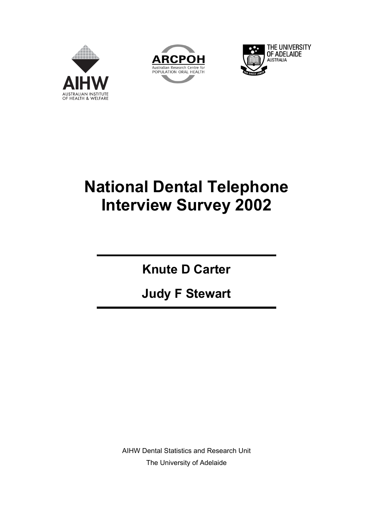





## **National Dental Telephone Interview Survey 2002**

**Knute D Carter** 

**Judy F Stewart** 

AIHW Dental Statistics and Research Unit The University of Adelaide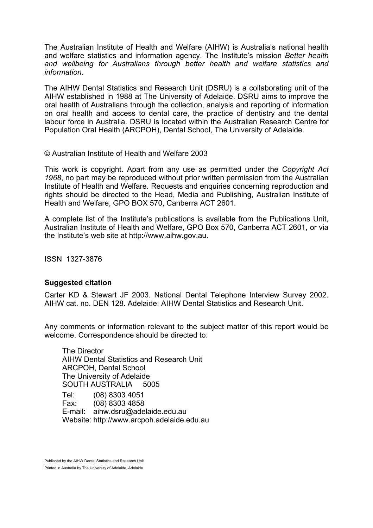The Australian Institute of Health and Welfare (AIHW) is Australia's national health and welfare statistics and information agency. The Institute's mission *Better health and wellbeing for Australians through better health and welfare statistics and information.*

The AIHW Dental Statistics and Research Unit (DSRU) is a collaborating unit of the AIHW established in 1988 at The University of Adelaide. DSRU aims to improve the oral health of Australians through the collection, analysis and reporting of information on oral health and access to dental care, the practice of dentistry and the dental labour force in Australia. DSRU is located within the Australian Research Centre for Population Oral Health (ARCPOH), Dental School, The University of Adelaide.

© Australian Institute of Health and Welfare 2003

This work is copyright. Apart from any use as permitted under the *Copyright Act 1968*, no part may be reproduced without prior written permission from the Australian Institute of Health and Welfare. Requests and enquiries concerning reproduction and rights should be directed to the Head, Media and Publishing, Australian Institute of Health and Welfare, GPO BOX 570, Canberra ACT 2601.

A complete list of the Institute's publications is available from the Publications Unit, Australian Institute of Health and Welfare, GPO Box 570, Canberra ACT 2601, or via the Institute's web site at http://www.aihw.gov.au.

ISSN 1327-3876

#### **Suggested citation**

Carter KD & Stewart JF 2003. National Dental Telephone Interview Survey 2002. AIHW cat. no. DEN 128. Adelaide: AIHW Dental Statistics and Research Unit.

Any comments or information relevant to the subject matter of this report would be welcome. Correspondence should be directed to:

The Director AIHW Dental Statistics and Research Unit ARCPOH, Dental School The University of Adelaide SOUTH AUSTRALIA 5005 Tel: (08) 8303 4051 Fax: (08) 8303 4858 E-mail: aihw.dsru@adelaide.edu.au Website: http://www.arcpoh.adelaide.edu.au

Published by the AIHW Dental Statistics and Research Unit Printed in Australia by The University of Adelaide, Adelaide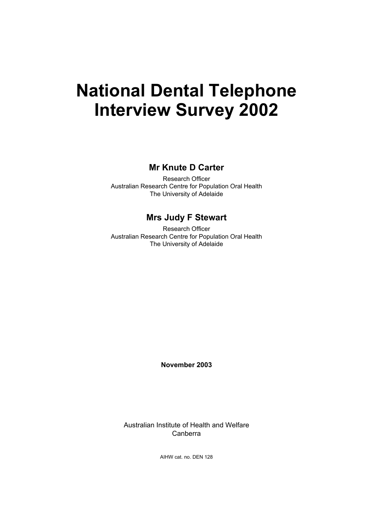## **National Dental Telephone Interview Survey 2002**

**Mr Knute D Carter** 

Research Officer Australian Research Centre for Population Oral Health The University of Adelaide

#### **Mrs Judy F Stewart**

Research Officer Australian Research Centre for Population Oral Health The University of Adelaide

**November 2003** 

Australian Institute of Health and Welfare Canberra

AIHW cat. no. DEN 128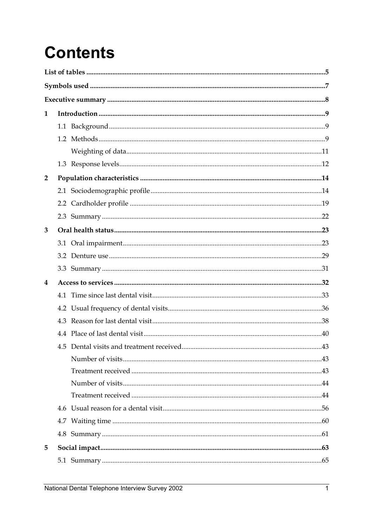# **Contents**

| 1              |     |  |
|----------------|-----|--|
|                |     |  |
|                |     |  |
|                |     |  |
|                |     |  |
| $\overline{2}$ |     |  |
|                |     |  |
|                |     |  |
|                |     |  |
| 3              |     |  |
|                |     |  |
|                |     |  |
|                |     |  |
| 4              |     |  |
|                | 4.1 |  |
|                |     |  |
|                |     |  |
|                |     |  |
|                |     |  |
|                |     |  |
|                |     |  |
|                |     |  |
|                |     |  |
|                |     |  |
|                |     |  |
|                |     |  |
| 5              |     |  |
|                |     |  |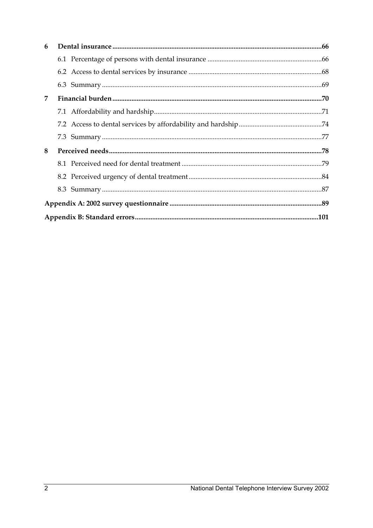| 6 |  |  |
|---|--|--|
|   |  |  |
|   |  |  |
|   |  |  |
| 7 |  |  |
|   |  |  |
|   |  |  |
|   |  |  |
| 8 |  |  |
|   |  |  |
|   |  |  |
|   |  |  |
|   |  |  |
|   |  |  |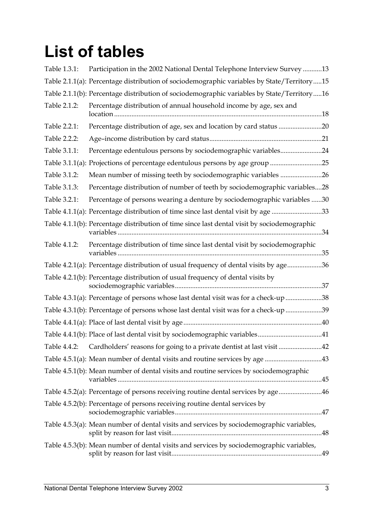# **List of tables**

| Table 1.3.1: | Participation in the 2002 National Dental Telephone Interview Survey 13                     |
|--------------|---------------------------------------------------------------------------------------------|
|              | Table 2.1.1(a): Percentage distribution of sociodemographic variables by State/Territory15  |
|              | Table 2.1.1(b): Percentage distribution of sociodemographic variables by State/Territory16  |
| Table 2.1.2: | Percentage distribution of annual household income by age, sex and                          |
| Table 2.2.1: | Percentage distribution of age, sex and location by card status 20                          |
| Table 2.2.2: |                                                                                             |
| Table 3.1.1: | Percentage edentulous persons by sociodemographic variables24                               |
|              | Table 3.1.1(a): Projections of percentage edentulous persons by age group 25                |
| Table 3.1.2: | Mean number of missing teeth by sociodemographic variables 26                               |
| Table 3.1.3: | Percentage distribution of number of teeth by sociodemographic variables28                  |
| Table 3.2.1: | Percentage of persons wearing a denture by sociodemographic variables 30                    |
|              | Table 4.1.1(a): Percentage distribution of time since last dental visit by age 33           |
|              | Table 4.1.1(b): Percentage distribution of time since last dental visit by sociodemographic |
| Table 4.1.2: | Percentage distribution of time since last dental visit by sociodemographic                 |
|              | Table 4.2.1(a): Percentage distribution of usual frequency of dental visits by age36        |
|              | Table 4.2.1(b): Percentage distribution of usual frequency of dental visits by              |
|              | Table 4.3.1(a): Percentage of persons whose last dental visit was for a check-up 38         |
|              | Table 4.3.1(b): Percentage of persons whose last dental visit was for a check-up 39         |
|              |                                                                                             |
|              | Table 4.4.1(b): Place of last dental visit by sociodemographic variables41                  |
|              | Table 4.4.2: Cardholders' reasons for going to a private dentist at last visit 42           |
|              | Table 4.5.1(a): Mean number of dental visits and routine services by age 43                 |
|              | Table 4.5.1(b): Mean number of dental visits and routine services by sociodemographic       |
|              | Table 4.5.2(a): Percentage of persons receiving routine dental services by age46            |
|              | Table 4.5.2(b): Percentage of persons receiving routine dental services by                  |
|              | Table 4.5.3(a): Mean number of dental visits and services by sociodemographic variables,    |
|              | Table 4.5.3(b): Mean number of dental visits and services by sociodemographic variables,    |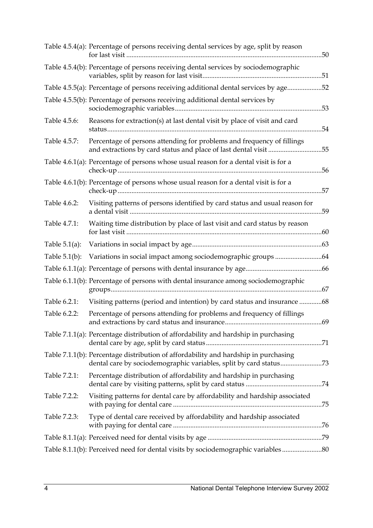|                  | Table 4.5.4(a): Percentage of persons receiving dental services by age, split by reason                                                    |  |
|------------------|--------------------------------------------------------------------------------------------------------------------------------------------|--|
|                  | Table 4.5.4(b): Percentage of persons receiving dental services by sociodemographic                                                        |  |
|                  | Table 4.5.5(a): Percentage of persons receiving additional dental services by age52                                                        |  |
|                  | Table 4.5.5(b): Percentage of persons receiving additional dental services by                                                              |  |
| Table 4.5.6:     | Reasons for extraction(s) at last dental visit by place of visit and card                                                                  |  |
| Table 4.5.7:     | Percentage of persons attending for problems and frequency of fillings<br>and extractions by card status and place of last dental visit 55 |  |
|                  | Table 4.6.1(a): Percentage of persons whose usual reason for a dental visit is for a                                                       |  |
|                  | Table 4.6.1(b): Percentage of persons whose usual reason for a dental visit is for a                                                       |  |
| Table 4.6.2:     | Visiting patterns of persons identified by card status and usual reason for                                                                |  |
| Table 4.7.1:     | Waiting time distribution by place of last visit and card status by reason                                                                 |  |
| Table $5.1(a)$ : |                                                                                                                                            |  |
| Table $5.1(b)$ : |                                                                                                                                            |  |
|                  |                                                                                                                                            |  |
|                  | Table 6.1.1(b): Percentage of persons with dental insurance among sociodemographic                                                         |  |
| Table 6.2.1:     | Visiting patterns (period and intention) by card status and insurance 68                                                                   |  |
| Table 6.2.2:     | Percentage of persons attending for problems and frequency of fillings                                                                     |  |
|                  | Table 7.1.1(a): Percentage distribution of affordability and hardship in purchasing                                                        |  |
|                  | Table 7.1.1(b): Percentage distribution of affordability and hardship in purchasing                                                        |  |
| Table 7.2.1:     | Percentage distribution of affordability and hardship in purchasing                                                                        |  |
| Table 7.2.2:     | Visiting patterns for dental care by affordability and hardship associated                                                                 |  |
| Table 7.2.3:     | Type of dental care received by affordability and hardship associated                                                                      |  |
|                  |                                                                                                                                            |  |
|                  | Table 8.1.1(b): Perceived need for dental visits by sociodemographic variables                                                             |  |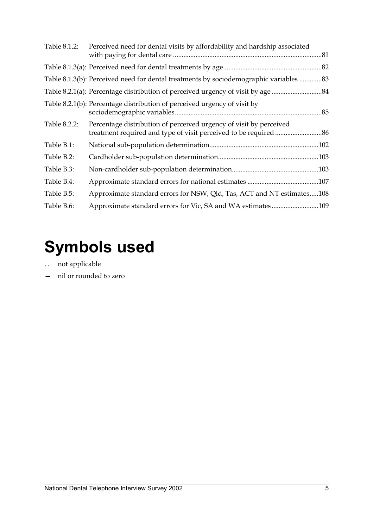| Table 8.1.2: | Perceived need for dental visits by affordability and hardship associated             |  |
|--------------|---------------------------------------------------------------------------------------|--|
|              |                                                                                       |  |
|              | Table 8.1.3(b): Perceived need for dental treatments by sociodemographic variables 83 |  |
|              |                                                                                       |  |
|              | Table 8.2.1(b): Percentage distribution of perceived urgency of visit by              |  |
| Table 8.2.2: | Percentage distribution of perceived urgency of visit by perceived                    |  |
| Table B.1:   |                                                                                       |  |
| Table B.2:   |                                                                                       |  |
| Table B.3:   |                                                                                       |  |
| Table B.4:   |                                                                                       |  |
| Table B.5:   | Approximate standard errors for NSW, Qld, Tas, ACT and NT estimates108                |  |
| Table B.6:   |                                                                                       |  |

# **Symbols used**

- . . not applicable
- nil or rounded to zero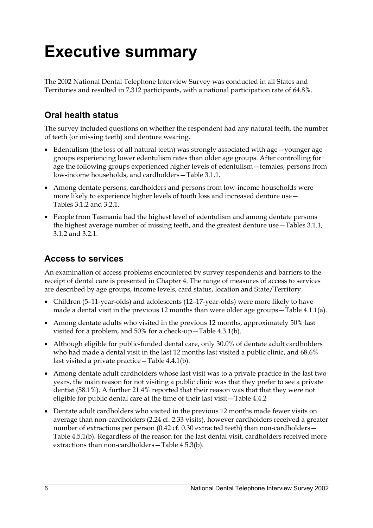# **Executive summary**

The 2002 National Dental Telephone Interview Survey was conducted in all States and Territories and resulted in 7,312 participants, with a national participation rate of 64.8%.

### **Oral health status**

The survey included questions on whether the respondent had any natural teeth, the number of teeth (or missing teeth) and denture wearing.

- Edentulism (the loss of all natural teeth) was strongly associated with age—younger age groups experiencing lower edentulism rates than older age groups. After controlling for age the following groups experienced higher levels of edentulism—females, persons from low-income households, and cardholders—Table 3.1.1.
- Among dentate persons, cardholders and persons from low-income households were more likely to experience higher levels of tooth loss and increased denture use— Tables 3.1.2 and 3.2.1.
- People from Tasmania had the highest level of edentulism and among dentate persons the highest average number of missing teeth, and the greatest denture use—Tables 3.1.1, 3.1.2 and 3.2.1.

### **Access to services**

An examination of access problems encountered by survey respondents and barriers to the receipt of dental care is presented in Chapter 4. The range of measures of access to services are described by age groups, income levels, card status, location and State/Territory.

- Children (5–11-year-olds) and adolescents (12–17-year-olds) were more likely to have made a dental visit in the previous 12 months than were older age groups—Table 4.1.1(a).
- Among dentate adults who visited in the previous 12 months, approximately 50% last visited for a problem, and 50% for a check-up—Table 4.3.1(b).
- Although eligible for public-funded dental care, only 30.0% of dentate adult cardholders who had made a dental visit in the last 12 months last visited a public clinic, and 68.6% last visited a private practice—Table 4.4.1(b).
- Among dentate adult cardholders whose last visit was to a private practice in the last two years, the main reason for not visiting a public clinic was that they prefer to see a private dentist (58.1%). A further 21.4% reported that their reason was that that they were not eligible for public dental care at the time of their last visit—Table 4.4.2
- Dentate adult cardholders who visited in the previous 12 months made fewer visits on average than non-cardholders (2.24 cf. 2.33 visits), however cardholders received a greater number of extractions per person (0.42 cf. 0.30 extracted teeth) than non-cardholders— Table 4.5.1(b). Regardless of the reason for the last dental visit, cardholders received more extractions than non-cardholders—Table 4.5.3(b).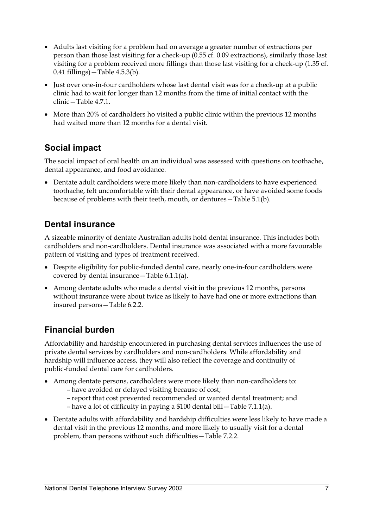- Adults last visiting for a problem had on average a greater number of extractions per person than those last visiting for a check-up (0.55 cf. 0.09 extractions), similarly those last visiting for a problem received more fillings than those last visiting for a check-up (1.35 cf. 0.41 fillings)—Table 4.5.3(b).
- Just over one-in-four cardholders whose last dental visit was for a check-up at a public clinic had to wait for longer than 12 months from the time of initial contact with the clinic—Table 4.7.1.
- More than 20% of cardholders ho visited a public clinic within the previous 12 months had waited more than 12 months for a dental visit.

### **Social impact**

The social impact of oral health on an individual was assessed with questions on toothache, dental appearance, and food avoidance.

• Dentate adult cardholders were more likely than non-cardholders to have experienced toothache, felt uncomfortable with their dental appearance, or have avoided some foods because of problems with their teeth, mouth, or dentures—Table 5.1(b).

### **Dental insurance**

A sizeable minority of dentate Australian adults hold dental insurance. This includes both cardholders and non-cardholders. Dental insurance was associated with a more favourable pattern of visiting and types of treatment received.

- Despite eligibility for public-funded dental care, nearly one-in-four cardholders were covered by dental insurance—Table 6.1.1(a).
- Among dentate adults who made a dental visit in the previous 12 months, persons without insurance were about twice as likely to have had one or more extractions than insured persons—Table 6.2.2.

### **Financial burden**

Affordability and hardship encountered in purchasing dental services influences the use of private dental services by cardholders and non-cardholders. While affordability and hardship will influence access, they will also reflect the coverage and continuity of public-funded dental care for cardholders.

- Among dentate persons, cardholders were more likely than non-cardholders to:
	- have avoided or delayed visiting because of cost;
	- report that cost prevented recommended or wanted dental treatment; and
	- have a lot of difficulty in paying a \$100 dental bill—Table 7.1.1(a).
- Dentate adults with affordability and hardship difficulties were less likely to have made a dental visit in the previous 12 months, and more likely to usually visit for a dental problem, than persons without such difficulties—Table 7.2.2.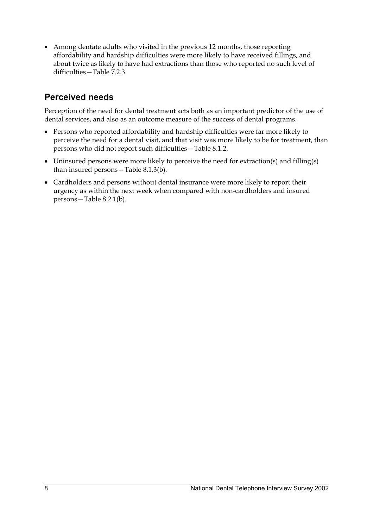• Among dentate adults who visited in the previous 12 months, those reporting affordability and hardship difficulties were more likely to have received fillings, and about twice as likely to have had extractions than those who reported no such level of difficulties—Table 7.2.3.

### **Perceived needs**

Perception of the need for dental treatment acts both as an important predictor of the use of dental services, and also as an outcome measure of the success of dental programs.

- Persons who reported affordability and hardship difficulties were far more likely to perceive the need for a dental visit, and that visit was more likely to be for treatment, than persons who did not report such difficulties—Table 8.1.2.
- Uninsured persons were more likely to perceive the need for extraction(s) and filling(s) than insured persons—Table 8.1.3(b).
- Cardholders and persons without dental insurance were more likely to report their urgency as within the next week when compared with non-cardholders and insured persons—Table 8.2.1(b).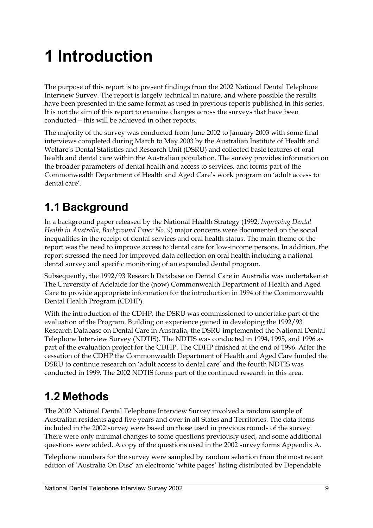# **1 Introduction**

The purpose of this report is to present findings from the 2002 National Dental Telephone Interview Survey. The report is largely technical in nature, and where possible the results have been presented in the same format as used in previous reports published in this series. It is not the aim of this report to examine changes across the surveys that have been conducted—this will be achieved in other reports.

The majority of the survey was conducted from June 2002 to January 2003 with some final interviews completed during March to May 2003 by the Australian Institute of Health and Welfare's Dental Statistics and Research Unit (DSRU) and collected basic features of oral health and dental care within the Australian population. The survey provides information on the broader parameters of dental health and access to services, and forms part of the Commonwealth Department of Health and Aged Care's work program on 'adult access to dental care'.

## **1.1 Background**

In a background paper released by the National Health Strategy (1992, *Improving Dental Health in Australia, Background Paper No. 9*) major concerns were documented on the social inequalities in the receipt of dental services and oral health status. The main theme of the report was the need to improve access to dental care for low-income persons. In addition, the report stressed the need for improved data collection on oral health including a national dental survey and specific monitoring of an expanded dental program.

Subsequently, the 1992/93 Research Database on Dental Care in Australia was undertaken at The University of Adelaide for the (now) Commonwealth Department of Health and Aged Care to provide appropriate information for the introduction in 1994 of the Commonwealth Dental Health Program (CDHP).

With the introduction of the CDHP, the DSRU was commissioned to undertake part of the evaluation of the Program. Building on experience gained in developing the 1992/93 Research Database on Dental Care in Australia, the DSRU implemented the National Dental Telephone Interview Survey (NDTIS). The NDTIS was conducted in 1994, 1995, and 1996 as part of the evaluation project for the CDHP. The CDHP finished at the end of 1996. After the cessation of the CDHP the Commonwealth Department of Health and Aged Care funded the DSRU to continue research on 'adult access to dental care' and the fourth NDTIS was conducted in 1999. The 2002 NDTIS forms part of the continued research in this area.

## **1.2 Methods**

The 2002 National Dental Telephone Interview Survey involved a random sample of Australian residents aged five years and over in all States and Territories. The data items included in the 2002 survey were based on those used in previous rounds of the survey. There were only minimal changes to some questions previously used, and some additional questions were added. A copy of the questions used in the 2002 survey forms Appendix A.

Telephone numbers for the survey were sampled by random selection from the most recent edition of 'Australia On Disc' an electronic 'white pages' listing distributed by Dependable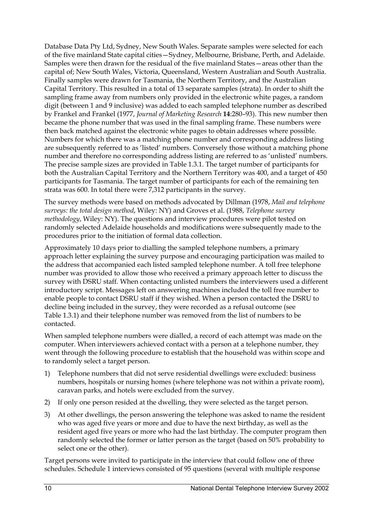Database Data Pty Ltd, Sydney, New South Wales. Separate samples were selected for each of the five mainland State capital cities—Sydney, Melbourne, Brisbane, Perth, and Adelaide. Samples were then drawn for the residual of the five mainland States—areas other than the capital of; New South Wales, Victoria, Queensland, Western Australian and South Australia. Finally samples were drawn for Tasmania, the Northern Territory, and the Australian Capital Territory. This resulted in a total of 13 separate samples (strata). In order to shift the sampling frame away from numbers only provided in the electronic white pages, a random digit (between 1 and 9 inclusive) was added to each sampled telephone number as described by Frankel and Frankel (1977, *Journal of Marketing Research* **14**:280–93). This new number then became the phone number that was used in the final sampling frame. These numbers were then back matched against the electronic white pages to obtain addresses where possible. Numbers for which there was a matching phone number and corresponding address listing are subsequently referred to as 'listed' numbers. Conversely those without a matching phone number and therefore no corresponding address listing are referred to as 'unlisted' numbers. The precise sample sizes are provided in Table 1.3.1. The target number of participants for both the Australian Capital Territory and the Northern Territory was 400, and a target of 450 participants for Tasmania. The target number of participants for each of the remaining ten strata was 600. In total there were 7,312 participants in the survey.

The survey methods were based on methods advocated by Dillman (1978, *Mail and telephone surveys: the total design method*, Wiley: NY) and Groves et al. (1988, *Telephone survey methodology*, Wiley: NY). The questions and interview procedures were pilot tested on randomly selected Adelaide households and modifications were subsequently made to the procedures prior to the initiation of formal data collection.

Approximately 10 days prior to dialling the sampled telephone numbers, a primary approach letter explaining the survey purpose and encouraging participation was mailed to the address that accompanied each listed sampled telephone number. A toll free telephone number was provided to allow those who received a primary approach letter to discuss the survey with DSRU staff. When contacting unlisted numbers the interviewers used a different introductory script. Messages left on answering machines included the toll free number to enable people to contact DSRU staff if they wished. When a person contacted the DSRU to decline being included in the survey, they were recorded as a refusal outcome (see Table 1.3.1) and their telephone number was removed from the list of numbers to be contacted.

When sampled telephone numbers were dialled, a record of each attempt was made on the computer. When interviewers achieved contact with a person at a telephone number, they went through the following procedure to establish that the household was within scope and to randomly select a target person.

- 1) Telephone numbers that did not serve residential dwellings were excluded: business numbers, hospitals or nursing homes (where telephone was not within a private room), caravan parks, and hotels were excluded from the survey.
- 2) If only one person resided at the dwelling, they were selected as the target person.
- 3) At other dwellings, the person answering the telephone was asked to name the resident who was aged five years or more and due to have the next birthday, as well as the resident aged five years or more who had the last birthday. The computer program then randomly selected the former or latter person as the target (based on 50% probability to select one or the other).

Target persons were invited to participate in the interview that could follow one of three schedules. Schedule 1 interviews consisted of 95 questions (several with multiple response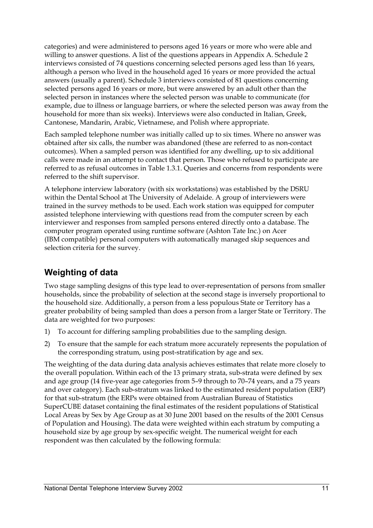categories) and were administered to persons aged 16 years or more who were able and willing to answer questions. A list of the questions appears in Appendix A. Schedule 2 interviews consisted of 74 questions concerning selected persons aged less than 16 years, although a person who lived in the household aged 16 years or more provided the actual answers (usually a parent). Schedule 3 interviews consisted of 81 questions concerning selected persons aged 16 years or more, but were answered by an adult other than the selected person in instances where the selected person was unable to communicate (for example, due to illness or language barriers, or where the selected person was away from the household for more than six weeks). Interviews were also conducted in Italian, Greek, Cantonese, Mandarin, Arabic, Vietnamese, and Polish where appropriate.

Each sampled telephone number was initially called up to six times. Where no answer was obtained after six calls, the number was abandoned (these are referred to as non-contact outcomes). When a sampled person was identified for any dwelling, up to six additional calls were made in an attempt to contact that person. Those who refused to participate are referred to as refusal outcomes in Table 1.3.1. Queries and concerns from respondents were referred to the shift supervisor.

A telephone interview laboratory (with six workstations) was established by the DSRU within the Dental School at The University of Adelaide. A group of interviewers were trained in the survey methods to be used. Each work station was equipped for computer assisted telephone interviewing with questions read from the computer screen by each interviewer and responses from sampled persons entered directly onto a database. The computer program operated using runtime software (Ashton Tate Inc.) on Acer (IBM compatible) personal computers with automatically managed skip sequences and selection criteria for the survey.

### **Weighting of data**

Two stage sampling designs of this type lead to over-representation of persons from smaller households, since the probability of selection at the second stage is inversely proportional to the household size. Additionally, a person from a less populous State or Territory has a greater probability of being sampled than does a person from a larger State or Territory. The data are weighted for two purposes:

- 1) To account for differing sampling probabilities due to the sampling design.
- 2) To ensure that the sample for each stratum more accurately represents the population of the corresponding stratum, using post-stratification by age and sex.

The weighting of the data during data analysis achieves estimates that relate more closely to the overall population. Within each of the 13 primary strata, sub-strata were defined by sex and age group (14 five-year age categories from 5–9 through to 70–74 years, and a 75 years and over category). Each sub-stratum was linked to the estimated resident population (ERP) for that sub-stratum (the ERPs were obtained from Australian Bureau of Statistics SuperCUBE dataset containing the final estimates of the resident populations of Statistical Local Areas by Sex by Age Group as at 30 June 2001 based on the results of the 2001 Census of Population and Housing). The data were weighted within each stratum by computing a household size by age group by sex-specific weight. The numerical weight for each respondent was then calculated by the following formula: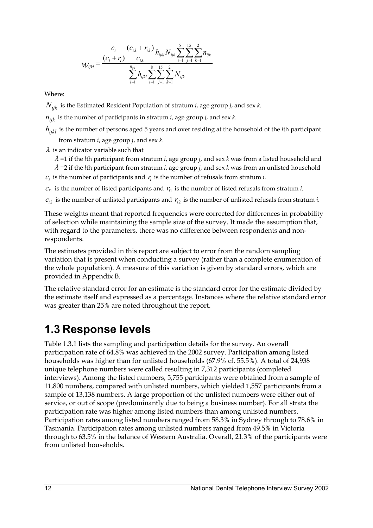$$
W_{ijkl} = \frac{\frac{c_i}{(c_i + r_i)} \frac{(c_{i\lambda} + r_{i\lambda})}{c_{i\lambda}} h_{ijkl} N_{ijk} \sum_{i=1}^{8} \sum_{j=1}^{15} \sum_{k=1}^{2} n_{ijk}}{\sum_{l=1}^{n_{ijk}} h_{ijkl} \sum_{i=1}^{8} \sum_{j=1}^{15} \sum_{k=1}^{2} N_{ijk}}
$$

Where:

*Nijk* is the Estimated Resident Population of stratum *i*, age group *j*, and sex *k*.

 $n_{ijk}$  is the number of participants in stratum *i*, age group *j*, and sex *k*.

*h<sub>ijkl</sub>* is the number of persons aged 5 years and over residing at the household of the *l*th participant from stratum *i*, age group *j*, and sex *k*.

 $\lambda$  is an indicator variable such that

λ =1 if the *l*th participant from stratum *i*, age group *j*, and sex *k* was from a listed household and

 $\lambda$  =2 if the *l*th participant from stratum *i*, age group *j*, and sex *k* was from an unlisted household  $c_i$  is the number of participants and  $r_i$  is the number of refusals from stratum *i*.

 $c_{i1}$  is the number of listed participants and  $r_{i1}$  is the number of listed refusals from stratum *i*.

 $c_i$  is the number of unlisted participants and  $r_i$  is the number of unlisted refusals from stratum *i*.

These weights meant that reported frequencies were corrected for differences in probability of selection while maintaining the sample size of the survey. It made the assumption that, with regard to the parameters, there was no difference between respondents and nonrespondents.

The estimates provided in this report are subject to error from the random sampling variation that is present when conducting a survey (rather than a complete enumeration of the whole population). A measure of this variation is given by standard errors, which are provided in Appendix B.

The relative standard error for an estimate is the standard error for the estimate divided by the estimate itself and expressed as a percentage. Instances where the relative standard error was greater than 25% are noted throughout the report.

### **1.3 Response levels**

Table 1.3.1 lists the sampling and participation details for the survey. An overall participation rate of 64.8% was achieved in the 2002 survey. Participation among listed households was higher than for unlisted households (67.9% cf. 55.5%). A total of 24,938 unique telephone numbers were called resulting in 7,312 participants (completed interviews). Among the listed numbers, 5,755 participants were obtained from a sample of 11,800 numbers, compared with unlisted numbers, which yielded 1,557 participants from a sample of 13,138 numbers. A large proportion of the unlisted numbers were either out of service, or out of scope (predominantly due to being a business number). For all strata the participation rate was higher among listed numbers than among unlisted numbers. Participation rates among listed numbers ranged from 58.3% in Sydney through to 78.6% in Tasmania. Participation rates among unlisted numbers ranged from 49.5% in Victoria through to 63.5% in the balance of Western Australia. Overall, 21.3% of the participants were from unlisted households.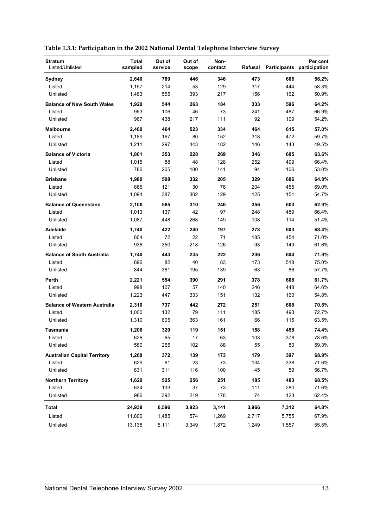| Table 1.3.1: Participation in the 2002 National Dental Telephone Interview Survey |
|-----------------------------------------------------------------------------------|
|-----------------------------------------------------------------------------------|

| <b>Stratum</b><br>Listed/Unlisted   | <b>Total</b><br>sampled | Out of<br>service | Out of<br>scope | Non-<br>contact | Refusal |       | Per cent<br>Participants participation |
|-------------------------------------|-------------------------|-------------------|-----------------|-----------------|---------|-------|----------------------------------------|
| Sydney                              | 2,640                   | 769               | 446             | 346             | 473     | 606   | 56.2%                                  |
| Listed                              | 1,157                   | 214               | 53              | 129             | 317     | 444   | 58.3%                                  |
| Unlisted                            | 1,483                   | 555               | 393             | 217             | 156     | 162   | 50.9%                                  |
| <b>Balance of New South Wales</b>   | 1,920                   | 544               | 263             | 184             | 333     | 596   | 64.2%                                  |
| Listed                              | 953                     | 106               | 46              | 73              | 241     | 487   | 66.9%                                  |
| Unlisted                            | 967                     | 438               | 217             | 111             | 92      | 109   | 54.2%                                  |
| Melbourne                           | 2,400                   | 464               | 523             | 334             | 464     | 615   | 57.0%                                  |
| Listed                              | 1,189                   | 167               | 80              | 152             | 318     | 472   | 59.7%                                  |
| Unlisted                            | 1,211                   | 297               | 443             | 182             | 146     | 143   | 49.5%                                  |
| <b>Balance of Victoria</b>          | 1,801                   | 353               | 228             | 269             | 346     | 605   | 63.6%                                  |
| Listed                              | 1,015                   | 88                | 48              | 128             | 252     | 499   | 66.4%                                  |
| Unlisted                            | 786                     | 265               | 180             | 141             | 94      | 106   | 53.0%                                  |
| <b>Brisbane</b>                     | 1,980                   | 508               | 332             | 205             | 329     | 606   | 64.8%                                  |
| Listed                              | 886                     | 121               | 30              | 76              | 204     | 455   | 69.0%                                  |
| Unlisted                            | 1,094                   | 387               | 302             | 129             | 125     | 151   | 54.7%                                  |
| <b>Balance of Queensland</b>        | 2,100                   | 585               | 310             | 246             | 356     | 603   | 62.9%                                  |
| Listed                              | 1,013                   | 137               | 42              | 97              | 248     | 489   | 66.4%                                  |
| Unlisted                            | 1,087                   | 448               | 268             | 149             | 108     | 114   | 51.4%                                  |
| Adelaide                            | 1,740                   | 422               | 240             | 197             | 278     | 603   | 68.4%                                  |
| Listed                              | 804                     | 72                | 22              | 71              | 185     | 454   | 71.0%                                  |
| Unlisted                            | 936                     | 350               | 218             | 126             | 93      | 149   | 61.6%                                  |
| <b>Balance of South Australia</b>   | 1,740                   | 443               | 235             | 222             | 236     | 604   | 71.9%                                  |
| Listed                              | 896                     | 82                | 40              | 83              | 173     | 518   | 75.0%                                  |
| Unlisted                            | 844                     | 361               | 195             | 139             | 63      | 86    | 57.7%                                  |
| Perth                               | 2,221                   | 554               | 390             | 291             | 378     | 608   | 61.7%                                  |
| Listed                              | 998                     | 107               | 57              | 140             | 246     | 448   | 64.6%                                  |
| Unlisted                            | 1,223                   | 447               | 333             | 151             | 132     | 160   | 54.8%                                  |
| <b>Balance of Western Australia</b> | 2,310                   | 737               | 442             | 272             | 251     | 608   | 70.8%                                  |
| Listed                              | 1,000                   | 132               | 79              | 111             | 185     | 493   | 72.7%                                  |
| Unlisted                            | 1,310                   | 605               | 363             | 161             | 66      | 115   | 63.5%                                  |
| Tasmania                            | 1,206                   | 320               | 119             | 151             | 158     | 458   | 74.4%                                  |
| Listed                              | 626                     | 65                | $17$            | 63              | 103     | 378   | 78.6%                                  |
| Unlisted                            | 580                     | 255               | 102             | 88              | 55      | 80    | 59.3%                                  |
| <b>Australian Capital Territory</b> | 1,260                   | 372               | 139             | 173             | 179     | 397   | 68.9%                                  |
| Listed                              | 629                     | 61                | 23              | 73              | 134     | 338   | 71.6%                                  |
| Unlisted                            | 631                     | 311               | 116             | 100             | 45      | 59    | 56.7%                                  |
| <b>Northern Territory</b>           | 1,620                   | 525               | 256             | 251             | 185     | 403   | 68.5%                                  |
| Listed                              | 634                     | 133               | 37              | 73              | 111     | 280   | 71.6%                                  |
| Unlisted                            | 986                     | 392               | 219             | 178             | 74      | 123   | 62.4%                                  |
| <b>Total</b>                        | 24,938                  | 6,596             | 3,923           | 3,141           | 3,966   | 7,312 | 64.8%                                  |
| Listed                              | 11,800                  | 1,485             | 574             | 1,269           | 2,717   | 5,755 | 67.9%                                  |
| Unlisted                            | 13,138                  | 5,111             | 3,349           | 1,872           | 1,249   | 1,557 | 55.5%                                  |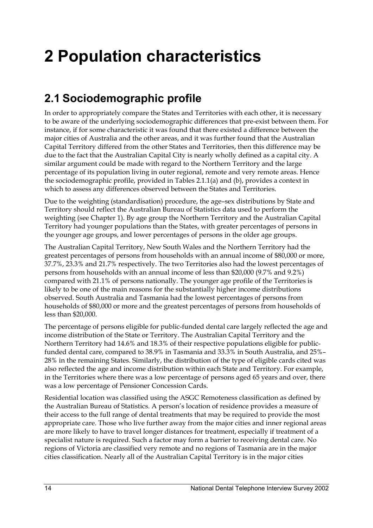# **2 Population characteristics**

## **2.1 Sociodemographic profile**

In order to appropriately compare the States and Territories with each other, it is necessary to be aware of the underlying sociodemographic differences that pre-exist between them. For instance, if for some characteristic it was found that there existed a difference between the major cities of Australia and the other areas, and it was further found that the Australian Capital Territory differed from the other States and Territories, then this difference may be due to the fact that the Australian Capital City is nearly wholly defined as a capital city. A similar argument could be made with regard to the Northern Territory and the large percentage of its population living in outer regional, remote and very remote areas. Hence the sociodemographic profile, provided in Tables 2.1.1(a) and (b), provides a context in which to assess any differences observed between the States and Territories.

Due to the weighting (standardisation) procedure, the age–sex distributions by State and Territory should reflect the Australian Bureau of Statistics data used to perform the weighting (see Chapter 1). By age group the Northern Territory and the Australian Capital Territory had younger populations than the States, with greater percentages of persons in the younger age groups, and lower percentages of persons in the older age groups.

The Australian Capital Territory, New South Wales and the Northern Territory had the greatest percentages of persons from households with an annual income of \$80,000 or more, 37.7%, 23.3% and 21.7% respectively. The two Territories also had the lowest percentages of persons from households with an annual income of less than \$20,000 (9.7% and 9.2%) compared with 21.1% of persons nationally. The younger age profile of the Territories is likely to be one of the main reasons for the substantially higher income distributions observed. South Australia and Tasmania had the lowest percentages of persons from households of \$80,000 or more and the greatest percentages of persons from households of less than \$20,000.

The percentage of persons eligible for public-funded dental care largely reflected the age and income distribution of the State or Territory. The Australian Capital Territory and the Northern Territory had 14.6% and 18.3% of their respective populations eligible for publicfunded dental care, compared to 38.9% in Tasmania and 33.3% in South Australia, and 25%– 28% in the remaining States. Similarly, the distribution of the type of eligible cards cited was also reflected the age and income distribution within each State and Territory. For example, in the Territories where there was a low percentage of persons aged 65 years and over, there was a low percentage of Pensioner Concession Cards.

Residential location was classified using the ASGC Remoteness classification as defined by the Australian Bureau of Statistics. A person's location of residence provides a measure of their access to the full range of dental treatments that may be required to provide the most appropriate care. Those who live further away from the major cities and inner regional areas are more likely to have to travel longer distances for treatment, especially if treatment of a specialist nature is required. Such a factor may form a barrier to receiving dental care. No regions of Victoria are classified very remote and no regions of Tasmania are in the major cities classification. Nearly all of the Australian Capital Territory is in the major cities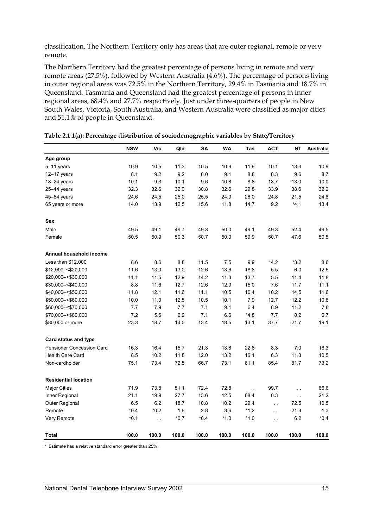classification. The Northern Territory only has areas that are outer regional, remote or very remote.

The Northern Territory had the greatest percentage of persons living in remote and very remote areas (27.5%), followed by Western Australia (4.6%). The percentage of persons living in outer regional areas was 72.5% in the Northern Territory, 29.4% in Tasmania and 18.7% in Queensland. Tasmania and Queensland had the greatest percentage of persons in inner regional areas, 68.4% and 27.7% respectively. Just under three-quarters of people in New South Wales, Victoria, South Australia, and Western Australia were classified as major cities and 51.1% of people in Queensland.

|                                  | <b>NSW</b> | Vic      | Qld    | <b>SA</b> | WA     | Tas         | <b>ACT</b>    | <b>NT</b>     | <b>Australia</b> |
|----------------------------------|------------|----------|--------|-----------|--------|-------------|---------------|---------------|------------------|
| Age group                        |            |          |        |           |        |             |               |               |                  |
| 5-11 years                       | 10.9       | 10.5     | 11.3   | 10.5      | 10.9   | 11.9        | 10.1          | 13.3          | 10.9             |
| $12-17$ years                    | 8.1        | 9.2      | 9.2    | 8.0       | 9.1    | 8.8         | 8.3           | 9.6           | 8.7              |
| $18 - 24$ years                  | 10.1       | 9.3      | 10.1   | 9.6       | 10.8   | 8.8         | 13.7          | 13.0          | 10.0             |
| 25-44 years                      | 32.3       | 32.6     | 32.0   | 30.8      | 32.6   | 29.8        | 33.9          | 38.6          | 32.2             |
| $45 - 64$ years                  | 24.6       | 24.5     | 25.0   | 25.5      | 24.9   | 26.0        | 24.8          | 21.5          | 24.8             |
| 65 years or more                 | 14.0       | 13.9     | 12.5   | 15.6      | 11.8   | 14.7        | 9.2           | $*4.1$        | 13.4             |
| Sex                              |            |          |        |           |        |             |               |               |                  |
| Male                             | 49.5       | 49.1     | 49.7   | 49.3      | 50.0   | 49.1        | 49.3          | 52.4          | 49.5             |
| Female                           | 50.5       | 50.9     | 50.3   | 50.7      | 50.0   | 50.9        | 50.7          | 47.6          | 50.5             |
| Annual household income          |            |          |        |           |        |             |               |               |                  |
| Less than \$12,000               | 8.6        | 8.6      | 8.8    | 11.5      | 7.5    | 9.9         | *4.2          | $*3.2$        | 8.6              |
| \$12,000 -< \$20,000             | 11.6       | 13.0     | 13.0   | 12.6      | 13.6   | 18.8        | 5.5           | 6.0           | 12.5             |
| \$20,000 -< \$30,000             | 11.1       | 11.5     | 12.9   | 14.2      | 11.3   | 13.7        | 5.5           | 11.4          | 11.8             |
| \$30,000 -< \$40,000             | 8.8        | 11.6     | 12.7   | 12.6      | 12.9   | 15.0        | 7.6           | 11.7          | 11.1             |
| \$40,000 -< \$50,000             | 11.8       | 12.1     | 11.6   | 11.1      | 10.5   | 10.4        | 10.2          | 14.5          | 11.6             |
| \$50,000 -< \$60,000             | 10.0       | 11.0     | 12.5   | 10.5      | 10.1   | 7.9         | 12.7          | 12.2          | 10.8             |
| \$60,000 -< \$70,000             | 7.7        | 7.9      | 7.7    | 7.1       | 9.1    | 6.4         | 8.9           | 11.2          | 7.8              |
| \$70,000 -< \$80,000             | 7.2        | 5.6      | 6.9    | 7.1       | 6.6    | *4.8        | 7.7           | 8.2           | 6.7              |
| \$80,000 or more                 | 23.3       | 18.7     | 14.0   | 13.4      | 18.5   | 13.1        | 37.7          | 21.7          | 19.1             |
| <b>Card status and type</b>      |            |          |        |           |        |             |               |               |                  |
| <b>Pensioner Concession Card</b> | 16.3       | 16.4     | 15.7   | 21.3      | 13.8   | 22.8        | 8.3           | 7.0           | 16.3             |
| <b>Health Care Card</b>          | 8.5        | 10.2     | 11.8   | 12.0      | 13.2   | 16.1        | 6.3           | 11.3          | 10.5             |
| Non-cardholder                   | 75.1       | 73.4     | 72.5   | 66.7      | 73.1   | 61.1        | 85.4          | 81.7          | 73.2             |
| <b>Residential location</b>      |            |          |        |           |        |             |               |               |                  |
| <b>Major Cities</b>              | 71.9       | 73.8     | 51.1   | 72.4      | 72.8   | $\bar{L}$ . | 99.7          | $\sim$ $\sim$ | 66.6             |
| Inner Regional                   | 21.1       | 19.9     | 27.7   | 13.6      | 12.5   | 68.4        | 0.3           | $\sim$ $\sim$ | 21.2             |
| Outer Regional                   | 6.5        | 6.2      | 18.7   | 10.8      | 10.2   | 29.4        | $\sim$ $\sim$ | 72.5          | 10.5             |
| Remote                           | $*0.4$     | *0.2     | 1.8    | 2.8       | 3.6    | $*1.2$      | $\ddotsc$     | 21.3          | 1.3              |
| Very Remote                      | $*0.1$     | $\sim$ . | $*0.7$ | $*0.4$    | $*1.0$ | $*1.0$      | L.            | 6.2           | $*0.4$           |
| Total                            | 100.0      | 100.0    | 100.0  | 100.0     | 100.0  | 100.0       | 100.0         | 100.0         | 100.0            |

#### **Table 2.1.1(a): Percentage distribution of sociodemographic variables by State/Territory**

\* Estimate has a relative standard error greater than 25%.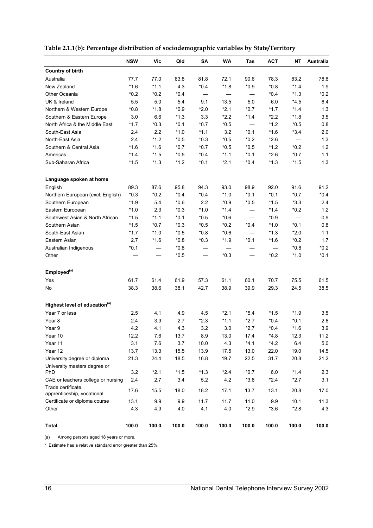|                                                  | <b>NSW</b> | Vic    | Qld    | SΑ     | <b>WA</b> | <b>Tas</b>               | <b>ACT</b> | ΝT     | <b>Australia</b> |
|--------------------------------------------------|------------|--------|--------|--------|-----------|--------------------------|------------|--------|------------------|
| <b>Country of birth</b>                          |            |        |        |        |           |                          |            |        |                  |
| Australia                                        | 77.7       | 77.0   | 83.8   | 81.8   | 72.1      | 90.6                     | 78.3       | 83.2   | 78.8             |
| New Zealand                                      | $*1.6$     | $*1.1$ | 4.3    | $*0.4$ | $*1.8$    | $*0.9$                   | $*0.8$     | $*1.4$ | 1.9              |
| Other Oceania                                    | $*0.2$     | $*0.2$ | $*0.4$ |        | —         | $\overline{\phantom{0}}$ | $*0.4$     | $*1.3$ | $*0.2$           |
| UK & Ireland                                     | 5.5        | 5.0    | 5.4    | 9.1    | 13.5      | 5.0                      | 6.0        | $*4.5$ | 6.4              |
| Northern & Western Europe                        | $*0.8$     | $*1.8$ | $*0.9$ | $*2.0$ | $*2.1$    | $*0.7$                   | $*1.7$     | $*1.4$ | 1.3              |
| Southern & Eastern Europe                        | 3.0        | 6.6    | $*1.3$ | 3.3    | $*2.2$    | $*1.4$                   | $*2.2$     | $*1.8$ | 3.5              |
| North Africa & the Middle East                   | $*1.7$     | $*0.3$ | $*0.1$ | $*0.7$ | $*0.5$    |                          | $*1.2$     | $*0.5$ | 0.8              |
| South-East Asia                                  | 2.4        | 2.2    | $*1.0$ | $*1.1$ | 3.2       | $*0.1$                   | $*1.6$     | $*3.4$ | 2.0              |
| North-East Asia                                  | 2.4        | $*1.2$ | $*0.5$ | $*0.3$ | $*0.5$    | $*0.2$                   | $*2.6$     |        | 1.3              |
| Southern & Central Asia                          | $*1.6$     | $*1.6$ | $*0.7$ | $*0.7$ | $*0.5$    | $*0.5$                   | $*1.2$     | $*0.2$ | 1.2              |
| Americas                                         | $*1.4$     | $*1.5$ | $*0.5$ | $*0.4$ | $*1.1$    | $*0.1$                   | $*2.6$     | $*0.7$ | 1.1              |
| Sub-Saharan Africa                               | $*1.5$     | $*1.3$ | $*1.2$ | $*0.1$ | $*2.1$    | *0.4                     | $*1.3$     | $*1.5$ | 1.3              |
| Language spoken at home                          |            |        |        |        |           |                          |            |        |                  |
| English                                          | 89.3       | 87.6   | 95.8   | 94.3   | 93.0      | 98.9                     | 92.0       | 91.6   | 91.2             |
| Northern European (excl. English)                | $*0.3$     | *0.2   | $*0.4$ | $*0.4$ | $*1.0$    | $*0.1$                   | $*0.1$     | $*0.7$ | $*0.4$           |
| Southern European                                | $*1.9$     | 5.4    | $*0.6$ | 2.2    | $*0.9$    | $*0.5$                   | $*1.5$     | $*3.3$ | 2.4              |
| Eastern European                                 | $*1.0$     | 2.3    | $*0.3$ | $*1.0$ | $*1.4$    |                          | $*1.4$     | $*0.2$ | 1.2              |
| Southwest Asian & North African                  | $*1.5$     | $*1.1$ | $*0.1$ | $*0.5$ | $*0.6$    |                          | $*0.9$     |        | 0.9              |
| Southern Asian                                   | $*1.5$     | $*0.7$ | $*0.3$ | $*0.5$ | $*0.2$    | $*0.4$                   | $*1.0$     | $*0.1$ | 0.8              |
| South-East Asian                                 | $*1.7$     | $*1.0$ | $*0.5$ | $*0.8$ | $*0.6$    |                          | $*1.3$     | $*2.0$ | 1.1              |
| Eastern Asian                                    | 2.7        | $*1.6$ | $*0.8$ | $*0.3$ | $*1.9$    | $*0.1$                   | $*1.6$     | $*0.2$ | 1.7              |
| Australian Indigenous                            | $*0.1$     |        | $*0.8$ |        |           |                          |            | $*0.8$ | $*0.2$           |
| Other                                            |            |        | $*0.5$ |        | $*0.3$    |                          | $*0.2$     | $*1.0$ | $*0.1$           |
| Employed <sup>(a)</sup>                          |            |        |        |        |           |                          |            |        |                  |
| Yes                                              | 61.7       | 61.4   | 61.9   | 57.3   | 61.1      | 60.1                     | 70.7       | 75.5   | 61.5             |
| No                                               | 38.3       | 38.6   | 38.1   | 42.7   | 38.9      | 39.9                     | 29.3       | 24.5   | 38.5             |
| Highest level of education <sup>(a)</sup>        |            |        |        |        |           |                          |            |        |                  |
| Year 7 or less                                   | 2.5        | 4.1    | 4.9    | 4.5    | $*2.1$    | $*5.4$                   | $*1.5$     | $*1.9$ | 3.5              |
| Year 8                                           | 2.4        | 3.9    | 2.7    | $*2.3$ | $*1.1$    | *2.7                     | $*0.4$     | $*0.1$ | 2.6              |
| Year 9                                           | 4.2        | 4.1    | 4.3    | 3.2    | 3.0       | $*2.7$                   | $*0.4$     | $*1.6$ | 3.9              |
| Year 10                                          | 12.2       | 7.6    | 13.7   | 8.9    | 13.0      | 17.4                     | $*4.8$     | 12.3   | 11.2             |
| Year 11                                          | 3.1        | 7.6    | 3.7    | 10.0   | 4.3       | *4.1                     | $*4.2$     | 6.4    | 5.0              |
| Year 12                                          | 13.7       | 13.3   | 15.5   | 13.9   | 17.5      | 13.0                     | 22.0       | 19.0   | 14.5             |
| University degree or diploma                     | 21.3       | 24.4   | 18.5   | 16.8   | 19.7      | 22.5                     | 31.7       | 20.8   | 21.2             |
| University masters degree or                     |            |        |        |        |           |                          |            |        |                  |
| PhD                                              | 3.2        | $*2.1$ | $*1.5$ | $*1.3$ | $*2.4$    | $*0.7$                   | 6.0        | $*1.4$ | 2.3              |
| CAE or teachers college or nursing               | 2.4        | 2.7    | 3.4    | 5.2    | 4.2       | $*3.8$                   | $*2.4$     | $*2.7$ | 3.1              |
| Trade certificate,<br>apprenticeship, vocational | 17.6       | 15.5   | 18.0   | 18.2   | 17.1      | 13.7                     | 13.1       | 20.8   | 17.0             |
| Certificate or diploma course                    | 13.1       | 9.9    | 9.9    | 11.7   | 11.7      | 11.0                     | 9.9        | 10.1   | 11.3             |
| Other                                            | 4.3        | 4.9    | 4.0    | 4.1    | 4.0       | $*2.9$                   | $*3.6$     | $*2.8$ | 4.3              |
| <b>Total</b>                                     | 100.0      | 100.0  | 100.0  | 100.0  | 100.0     | 100.0                    | 100.0      | 100.0  | 100.0            |

**Table 2.1.1(b): Percentage distribution of sociodemographic variables by State/Territory** 

(a) Among persons aged 18 years or more.

\* Estimate has a relative standard error greater than 25%.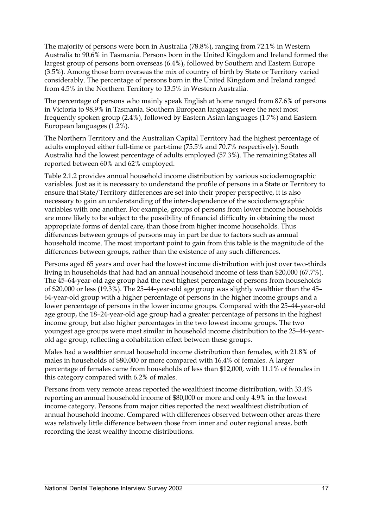The majority of persons were born in Australia (78.8%), ranging from 72.1% in Western Australia to 90.6% in Tasmania. Persons born in the United Kingdom and Ireland formed the largest group of persons born overseas (6.4%), followed by Southern and Eastern Europe (3.5%). Among those born overseas the mix of country of birth by State or Territory varied considerably. The percentage of persons born in the United Kingdom and Ireland ranged from 4.5% in the Northern Territory to 13.5% in Western Australia.

The percentage of persons who mainly speak English at home ranged from 87.6% of persons in Victoria to 98.9% in Tasmania. Southern European languages were the next most frequently spoken group (2.4%), followed by Eastern Asian languages (1.7%) and Eastern European languages (1.2%).

The Northern Territory and the Australian Capital Territory had the highest percentage of adults employed either full-time or part-time (75.5% and 70.7% respectively). South Australia had the lowest percentage of adults employed (57.3%). The remaining States all reported between 60% and 62% employed.

Table 2.1.2 provides annual household income distribution by various sociodemographic variables. Just as it is necessary to understand the profile of persons in a State or Territory to ensure that State/Territory differences are set into their proper perspective, it is also necessary to gain an understanding of the inter-dependence of the sociodemographic variables with one another. For example, groups of persons from lower income households are more likely to be subject to the possibility of financial difficulty in obtaining the most appropriate forms of dental care, than those from higher income households. Thus differences between groups of persons may in part be due to factors such as annual household income. The most important point to gain from this table is the magnitude of the differences between groups, rather than the existence of any such differences.

Persons aged 65 years and over had the lowest income distribution with just over two-thirds living in households that had had an annual household income of less than \$20,000 (67.7%). The 45–64-year-old age group had the next highest percentage of persons from households of \$20,000 or less (19.3%). The 25–44-year-old age group was slightly wealthier than the 45– 64-year-old group with a higher percentage of persons in the higher income groups and a lower percentage of persons in the lower income groups. Compared with the 25–44-year-old age group, the 18–24-year-old age group had a greater percentage of persons in the highest income group, but also higher percentages in the two lowest income groups. The two youngest age groups were most similar in household income distribution to the 25–44-yearold age group, reflecting a cohabitation effect between these groups.

Males had a wealthier annual household income distribution than females, with 21.8% of males in households of \$80,000 or more compared with 16.4% of females. A larger percentage of females came from households of less than \$12,000, with 11.1% of females in this category compared with 6.2% of males.

Persons from very remote areas reported the wealthiest income distribution, with 33.4% reporting an annual household income of \$80,000 or more and only 4.9% in the lowest income category. Persons from major cities reported the next wealthiest distribution of annual household income. Compared with differences observed between other areas there was relatively little difference between those from inner and outer regional areas, both recording the least wealthy income distributions.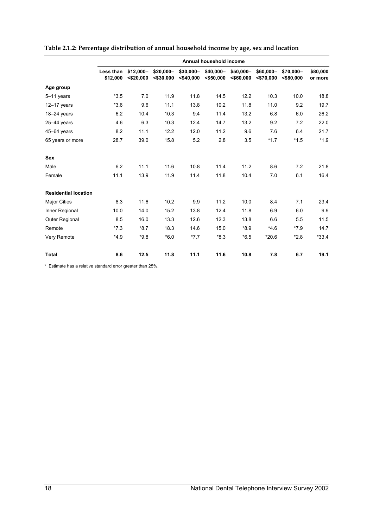|                             |                       |                           |                           |                            | Annual household income   |                           |                           |                           |                     |
|-----------------------------|-----------------------|---------------------------|---------------------------|----------------------------|---------------------------|---------------------------|---------------------------|---------------------------|---------------------|
|                             | Less than<br>\$12,000 | \$12,000-<br>$<$ \$20.000 | \$20,000-<br>$<$ \$30.000 | $$30,000-$<br>$<$ \$40.000 | \$40,000-<br>$<$ \$50.000 | \$50,000-<br>$<$ \$60.000 | \$60,000-<br>$<$ \$70.000 | \$70,000-<br>$<$ \$80.000 | \$80,000<br>or more |
| Age group                   |                       |                           |                           |                            |                           |                           |                           |                           |                     |
| 5-11 years                  | $*3.5$                | 7.0                       | 11.9                      | 11.8                       | 14.5                      | 12.2                      | 10.3                      | 10.0                      | 18.8                |
| $12-17$ years               | $*3.6$                | 9.6                       | 11.1                      | 13.8                       | 10.2                      | 11.8                      | 11.0                      | 9.2                       | 19.7                |
| $18 - 24$ years             | 6.2                   | 10.4                      | 10.3                      | 9.4                        | 11.4                      | 13.2                      | 6.8                       | 6.0                       | 26.2                |
| $25-44$ years               | 4.6                   | 6.3                       | 10.3                      | 12.4                       | 14.7                      | 13.2                      | 9.2                       | 7.2                       | 22.0                |
| $45-64$ years               | 8.2                   | 11.1                      | 12.2                      | 12.0                       | 11.2                      | 9.6                       | 7.6                       | 6.4                       | 21.7                |
| 65 years or more            | 28.7                  | 39.0                      | 15.8                      | 5.2                        | 2.8                       | 3.5                       | $*1.7$                    | $*1.5$                    | $*1.9$              |
| <b>Sex</b>                  |                       |                           |                           |                            |                           |                           |                           |                           |                     |
| Male                        | 6.2                   | 11.1                      | 11.6                      | 10.8                       | 11.4                      | 11.2                      | 8.6                       | 7.2                       | 21.8                |
| Female                      | 11.1                  | 13.9                      | 11.9                      | 11.4                       | 11.8                      | 10.4                      | 7.0                       | 6.1                       | 16.4                |
| <b>Residential location</b> |                       |                           |                           |                            |                           |                           |                           |                           |                     |
| Major Cities                | 8.3                   | 11.6                      | 10.2                      | 9.9                        | 11.2                      | 10.0                      | 8.4                       | 7.1                       | 23.4                |
| Inner Regional              | 10.0                  | 14.0                      | 15.2                      | 13.8                       | 12.4                      | 11.8                      | 6.9                       | 6.0                       | 9.9                 |
| Outer Regional              | 8.5                   | 16.0                      | 13.3                      | 12.6                       | 12.3                      | 13.8                      | 6.6                       | 5.5                       | 11.5                |
| Remote                      | $*7.3$                | $*8.7$                    | 18.3                      | 14.6                       | 15.0                      | $*8.9$                    | $*4.6$                    | $*7.9$                    | 14.7                |
| Very Remote                 | $*4.9$                | $*9.8$                    | $*6.0$                    | $*7.7$                     | $*8.3$                    | $*6.5$                    | $*20.6$                   | $*2.8$                    | $*33.4$             |
| Total                       | 8.6                   | 12.5                      | 11.8                      | 11.1                       | 11.6                      | 10.8                      | 7.8                       | 6.7                       | 19.1                |

#### **Table 2.1.2: Percentage distribution of annual household income by age, sex and location**

\* Estimate has a relative standard error greater than 25%.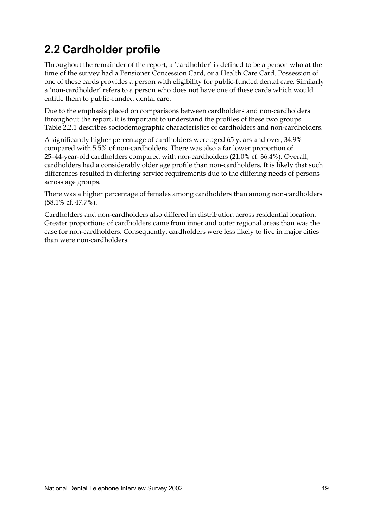## **2.2 Cardholder profile**

Throughout the remainder of the report, a 'cardholder' is defined to be a person who at the time of the survey had a Pensioner Concession Card, or a Health Care Card. Possession of one of these cards provides a person with eligibility for public-funded dental care. Similarly a 'non-cardholder' refers to a person who does not have one of these cards which would entitle them to public-funded dental care.

Due to the emphasis placed on comparisons between cardholders and non-cardholders throughout the report, it is important to understand the profiles of these two groups. Table 2.2.1 describes sociodemographic characteristics of cardholders and non-cardholders.

A significantly higher percentage of cardholders were aged 65 years and over, 34.9% compared with 5.5% of non-cardholders. There was also a far lower proportion of 25–44-year-old cardholders compared with non-cardholders (21.0% cf. 36.4%). Overall, cardholders had a considerably older age profile than non-cardholders. It is likely that such differences resulted in differing service requirements due to the differing needs of persons across age groups.

There was a higher percentage of females among cardholders than among non-cardholders (58.1% cf. 47.7%).

Cardholders and non-cardholders also differed in distribution across residential location. Greater proportions of cardholders came from inner and outer regional areas than was the case for non-cardholders. Consequently, cardholders were less likely to live in major cities than were non-cardholders.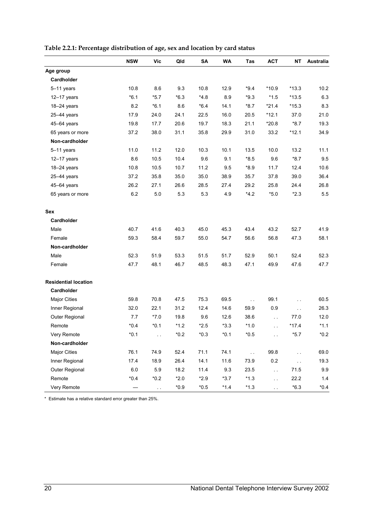|                             | <b>NSW</b> | <b>Vic</b>          | Qld    | SA     | <b>WA</b> | Tas         | <b>ACT</b>    | NΤ            | Australia |
|-----------------------------|------------|---------------------|--------|--------|-----------|-------------|---------------|---------------|-----------|
| Age group                   |            |                     |        |        |           |             |               |               |           |
| Cardholder                  |            |                     |        |        |           |             |               |               |           |
| 5-11 years                  | 10.8       | 8.6                 | 9.3    | 10.8   | 12.9      | *9.4        | $*10.9$       | $*13.3$       | 10.2      |
| $12-17$ years               | $*6.1$     | $*5.7$              | $*6.3$ | $*4.8$ | 8.9       | *9.3        | $*1.5$        | $*13.5$       | 6.3       |
| 18-24 years                 | 8.2        | $*6.1$              | 8.6    | $*6.4$ | 14.1      | $*8.7$      | $*21.4$       | $*15.3$       | 8.3       |
| 25-44 years                 | 17.9       | 24.0                | 24.1   | 22.5   | 16.0      | 20.5        | $*12.1$       | 37.0          | 21.0      |
| 45-64 years                 | 19.8       | 17.7                | 20.6   | 19.7   | 18.3      | 21.1        | $*20.8$       | $*8.7$        | 19.3      |
| 65 years or more            | 37.2       | 38.0                | 31.1   | 35.8   | 29.9      | 31.0        | 33.2          | $*12.1$       | 34.9      |
| Non-cardholder              |            |                     |        |        |           |             |               |               |           |
| 5-11 years                  | 11.0       | 11.2                | 12.0   | 10.3   | 10.1      | 13.5        | 10.0          | 13.2          | 11.1      |
| 12-17 years                 | 8.6        | 10.5                | 10.4   | 9.6    | 9.1       | $*8.5$      | 9.6           | $*8.7$        | 9.5       |
| 18-24 years                 | 10.8       | 10.5                | 10.7   | 11.2   | 9.5       | $*8.9$      | 11.7          | 12.4          | 10.6      |
| 25-44 years                 | 37.2       | 35.8                | 35.0   | 35.0   | 38.9      | 35.7        | 37.8          | 39.0          | 36.4      |
| 45-64 years                 | 26.2       | 27.1                | 26.6   | 28.5   | 27.4      | 29.2        | 25.8          | 24.4          | 26.8      |
| 65 years or more            | 6.2        | 5.0                 | 5.3    | 5.3    | 4.9       | $*4.2$      | $*5.0$        | $*2.3$        | 5.5       |
| Sex                         |            |                     |        |        |           |             |               |               |           |
| Cardholder                  |            |                     |        |        |           |             |               |               |           |
| Male                        | 40.7       | 41.6                | 40.3   | 45.0   | 45.3      | 43.4        | 43.2          | 52.7          | 41.9      |
| Female                      | 59.3       | 58.4                | 59.7   | 55.0   | 54.7      | 56.6        | 56.8          | 47.3          | 58.1      |
| Non-cardholder              |            |                     |        |        |           |             |               |               |           |
| Male                        | 52.3       | 51.9                | 53.3   | 51.5   | 51.7      | 52.9        | 50.1          | 52.4          | 52.3      |
| Female                      | 47.7       | 48.1                | 46.7   | 48.5   | 48.3      | 47.1        | 49.9          | 47.6          | 47.7      |
| <b>Residential location</b> |            |                     |        |        |           |             |               |               |           |
| Cardholder                  |            |                     |        |        |           |             |               |               |           |
| <b>Major Cities</b>         | 59.8       | 70.8                | 47.5   | 75.3   | 69.5      | $\ddotsc$   | 99.1          | $\ddotsc$     | 60.5      |
| Inner Regional              | 32.0       | 22.1                | 31.2   | 12.4   | 14.6      | 59.9        | 0.9           | $\sim$ $\sim$ | 26.3      |
| Outer Regional              | 7.7        | $*7.0$              | 19.8   | 9.6    | 12.6      | 38.6        | $\sim$        | 77.0          | 12.0      |
| Remote                      | $*0.4$     | $*0.1$              | $*1.2$ | $*2.5$ | $*3.3$    | $*1.0$      | $\sim$ $\sim$ | $*17.4$       | $*1.1$    |
| <b>Very Remote</b>          | $*0.1$     |                     | $*0.2$ | $*0.3$ | *0.1      | $*0.5$      |               | $*5.7$        | $*0.2$    |
| Non-cardholder              |            |                     |        |        |           |             |               |               |           |
| <b>Major Cities</b>         | 76.1       | 74.9                | 52.4   | 71.1   | 74.1      | $\bar{L}$ . | 99.8          | i.            | 69.0      |
| Inner Regional              | 17.4       | 18.9                | 26.4   | 14.1   | 11.6      | 73.9        | $0.2\,$       | $\sim$ $\sim$ | 19.3      |
| Outer Regional              | 6.0        | 5.9                 | 18.2   | 11.4   | 9.3       | 23.5        | $\sim$        | 71.5          | 9.9       |
| Remote                      | $*0.4$     | $*0.2$              | $*2.0$ | $*2.9$ | $*3.7$    | $*1.3$      | $\sim$ $\sim$ | 22.2          | 1.4       |
| Very Remote                 |            | $\bar{\bar{\nu}}$ . | $*0.9$ | $*0.5$ | $*1.4$    | $*1.3$      | $\sim$ $\sim$ | $*6.3$        | $*0.4$    |

#### **Table 2.2.1: Percentage distribution of age, sex and location by card status**

\* Estimate has a relative standard error greater than 25%.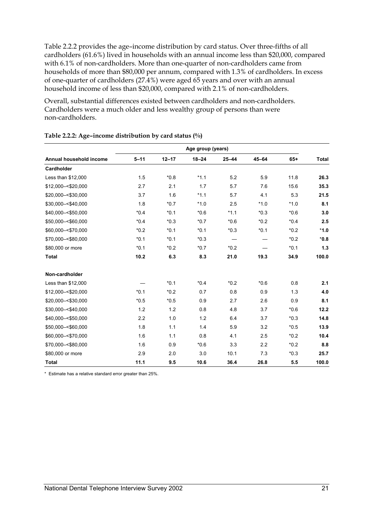Table 2.2.2 provides the age–income distribution by card status. Over three-fifths of all cardholders (61.6%) lived in households with an annual income less than \$20,000, compared with 6.1% of non-cardholders. More than one-quarter of non-cardholders came from households of more than \$80,000 per annum, compared with 1.3% of cardholders. In excess of one-quarter of cardholders (27.4%) were aged 65 years and over with an annual household income of less than \$20,000, compared with 2.1% of non-cardholders.

Overall, substantial differences existed between cardholders and non-cardholders. Cardholders were a much older and less wealthy group of persons than were non-cardholders.

|                         | Age group (years) |           |           |           |           |        |              |  |  |  |
|-------------------------|-------------------|-----------|-----------|-----------|-----------|--------|--------------|--|--|--|
| Annual household income | $5 - 11$          | $12 - 17$ | $18 - 24$ | $25 - 44$ | $45 - 64$ | $65+$  | <b>Total</b> |  |  |  |
| <b>Cardholder</b>       |                   |           |           |           |           |        |              |  |  |  |
| Less than \$12,000      | 1.5               | $*0.8$    | $*1.1$    | 5.2       | 5.9       | 11.8   | 26.3         |  |  |  |
| \$12,000 -< \$20,000    | 2.7               | 2.1       | 1.7       | 5.7       | 7.6       | 15.6   | 35.3         |  |  |  |
| \$20,000 -< \$30,000    | 3.7               | 1.6       | $*1.1$    | 5.7       | 4.1       | 5.3    | 21.5         |  |  |  |
| \$30,000 -< \$40,000    | 1.8               | $*0.7$    | $*1.0$    | 2.5       | $*1.0$    | $*1.0$ | 8.1          |  |  |  |
| \$40,000 -< \$50,000    | $*0.4$            | $*0.1$    | $*0.6$    | $*1.1$    | $*0.3$    | $*0.6$ | 3.0          |  |  |  |
| \$50,000 -< \$60,000    | $*0.4$            | $*0.3$    | $*0.7$    | $*0.6$    | $*0.2$    | $*0.4$ | 2.5          |  |  |  |
| \$60.000 -< \$70.000    | $*0.2$            | $*0.1$    | $*0.1$    | $*0.3$    | $*0.1$    | $*0.2$ | $*1.0$       |  |  |  |
| \$70,000 -< \$80,000    | $*0.1$            | $*0.1$    | $*0.3$    |           |           | $*0.2$ | $*0.8$       |  |  |  |
| \$80,000 or more        | $*0.1$            | $*0.2$    | $*0.7$    | $*0.2$    |           | $*0.1$ | 1.3          |  |  |  |
| <b>Total</b>            | 10.2              | 6.3       | 8.3       | 21.0      | 19.3      | 34.9   | 100.0        |  |  |  |
| Non-cardholder          |                   |           |           |           |           |        |              |  |  |  |
| Less than \$12,000      |                   | $*0.1$    | $*0.4$    | $*0.2$    | $*0.6$    | 0.8    | 2.1          |  |  |  |
| \$12,000 -< \$20,000    | $*0.1$            | $*0.2$    | 0.7       | 0.8       | 0.9       | 1.3    | 4.0          |  |  |  |
| \$20.000 -< \$30.000    | $*0.5$            | $*0.5$    | 0.9       | 2.7       | 2.6       | 0.9    | 8.1          |  |  |  |
| \$30,000 -< \$40,000    | 1.2               | 1.2       | 0.8       | 4.8       | 3.7       | $*0.6$ | 12.2         |  |  |  |
| \$40,000 -< \$50,000    | 2.2               | 1.0       | 1.2       | 6.4       | 3.7       | $*0.3$ | 14.8         |  |  |  |
| \$50,000 -< \$60,000    | 1.8               | 1.1       | 1.4       | 5.9       | 3.2       | $*0.5$ | 13.9         |  |  |  |
| \$60.000 -< \$70.000    | 1.6               | 1.1       | 0.8       | 4.1       | 2.5       | $*0.2$ | 10.4         |  |  |  |
| \$70,000 -< \$80,000    | 1.6               | 0.9       | $*0.6$    | 3.3       | 2.2       | $*0.2$ | 8.8          |  |  |  |
| \$80,000 or more        | 2.9               | 2.0       | 3.0       | 10.1      | 7.3       | $*0.3$ | 25.7         |  |  |  |
| <b>Total</b>            | 11.1              | 9.5       | 10.6      | 36.4      | 26.8      | 5.5    | 100.0        |  |  |  |

#### **Table 2.2.2: Age–income distribution by card status (%)**

\* Estimate has a relative standard error greater than 25%.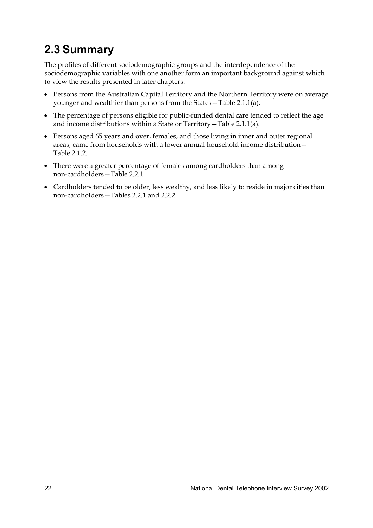## **2.3 Summary**

The profiles of different sociodemographic groups and the interdependence of the sociodemographic variables with one another form an important background against which to view the results presented in later chapters.

- Persons from the Australian Capital Territory and the Northern Territory were on average younger and wealthier than persons from the States—Table 2.1.1(a).
- The percentage of persons eligible for public-funded dental care tended to reflect the age and income distributions within a State or Territory—Table 2.1.1(a).
- Persons aged 65 years and over, females, and those living in inner and outer regional areas, came from households with a lower annual household income distribution— Table 2.1.2.
- There were a greater percentage of females among cardholders than among non-cardholders—Table 2.2.1.
- Cardholders tended to be older, less wealthy, and less likely to reside in major cities than non-cardholders—Tables 2.2.1 and 2.2.2.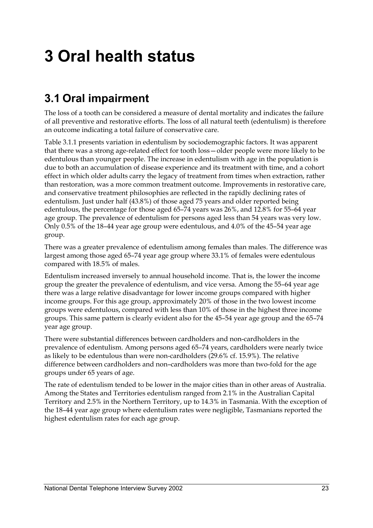# **3 Oral health status**

### **3.1 Oral impairment**

The loss of a tooth can be considered a measure of dental mortality and indicates the failure of all preventive and restorative efforts. The loss of all natural teeth (edentulism) is therefore an outcome indicating a total failure of conservative care.

Table 3.1.1 presents variation in edentulism by sociodemographic factors. It was apparent that there was a strong age-related effect for tooth loss—older people were more likely to be edentulous than younger people. The increase in edentulism with age in the population is due to both an accumulation of disease experience and its treatment with time, and a cohort effect in which older adults carry the legacy of treatment from times when extraction, rather than restoration, was a more common treatment outcome. Improvements in restorative care, and conservative treatment philosophies are reflected in the rapidly declining rates of edentulism. Just under half (43.8%) of those aged 75 years and older reported being edentulous, the percentage for those aged 65–74 years was 26%, and 12.8% for 55–64 year age group. The prevalence of edentulism for persons aged less than 54 years was very low. Only 0.5% of the 18–44 year age group were edentulous, and 4.0% of the 45–54 year age group.

There was a greater prevalence of edentulism among females than males. The difference was largest among those aged 65–74 year age group where 33.1% of females were edentulous compared with 18.5% of males.

Edentulism increased inversely to annual household income. That is, the lower the income group the greater the prevalence of edentulism, and vice versa. Among the 55–64 year age there was a large relative disadvantage for lower income groups compared with higher income groups. For this age group, approximately 20% of those in the two lowest income groups were edentulous, compared with less than 10% of those in the highest three income groups. This same pattern is clearly evident also for the 45–54 year age group and the 65–74 year age group.

There were substantial differences between cardholders and non-cardholders in the prevalence of edentulism. Among persons aged 65–74 years, cardholders were nearly twice as likely to be edentulous than were non-cardholders (29.6% cf. 15.9%). The relative difference between cardholders and non–cardholders was more than two-fold for the age groups under 65 years of age.

The rate of edentulism tended to be lower in the major cities than in other areas of Australia. Among the States and Territories edentulism ranged from 2.1% in the Australian Capital Territory and 2.5% in the Northern Territory, up to 14.3% in Tasmania. With the exception of the 18–44 year age group where edentulism rates were negligible, Tasmanians reported the highest edentulism rates for each age group.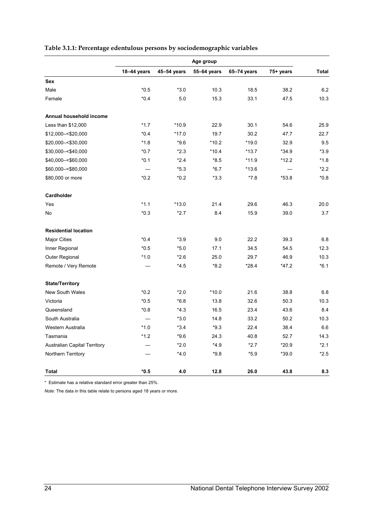|                                     | Age group                |             |             |             |           |        |
|-------------------------------------|--------------------------|-------------|-------------|-------------|-----------|--------|
|                                     | 18-44 years              | 45-54 years | 55-64 years | 65-74 years | 75+ years | Total  |
| Sex                                 |                          |             |             |             |           |        |
| Male                                | $*0.5$                   | $*3.0$      | 10.3        | 18.5        | 38.2      | 6.2    |
| Female                              | $*0.4$                   | 5.0         | 15.3        | 33.1        | 47.5      | 10.3   |
| Annual household income             |                          |             |             |             |           |        |
| Less than \$12,000                  | $*1.7$                   | *10.9       | 22.9        | 30.1        | 54.6      | 25.9   |
| \$12,000 -< \$20,000                | $*0.4$                   | $*17.0$     | 19.7        | 30.2        | 47.7      | 22.7   |
| \$20,000 -< \$30,000                | $*1.8$                   | $*9.6$      | $*10.2$     | $*19.0$     | 32.9      | 9.5    |
| \$30,000 -< \$40,000                | $*0.7$                   | $*2.3$      | $*10.4$     | $*13.7$     | $*34.9$   | $*3.9$ |
| \$40,000 -< \$60,000                | $*0.1$                   | $*2.4$      | $*8.5$      | $*11.9$     | $*12.2$   | $*1.8$ |
| \$60,000 -< \$80,000                | $\overline{\phantom{0}}$ | $*5.3$      | $*6.7$      | $*13.6$     |           | $*2.2$ |
| \$80,000 or more                    | $*0.2$                   | $*0.2$      | $*3.3$      | *7.8        | $*53.8$   | $*0.8$ |
| Cardholder                          |                          |             |             |             |           |        |
| Yes                                 | $*1.1$                   | $*13.0$     | 21.4        | 29.6        | 46.3      | 20.0   |
| No                                  | $*0.3$                   | $*2.7$      | 8.4         | 15.9        | 39.0      | 3.7    |
| <b>Residential location</b>         |                          |             |             |             |           |        |
| <b>Major Cities</b>                 | $*0.4$                   | $*3.9$      | 9.0         | 22.2        | 39.3      | 6.8    |
| Inner Regional                      | $*0.5$                   | $*5.0$      | 17.1        | 34.5        | 54.5      | 12.3   |
| Outer Regional                      | $*1.0$                   | $*2.6$      | 25.0        | 29.7        | 46.9      | 10.3   |
| Remote / Very Remote                |                          | $*4.5$      | $*8.2$      | $*28.4$     | $*47.2$   | $*6.1$ |
| <b>State/Territory</b>              |                          |             |             |             |           |        |
| New South Wales                     | $*0.2$                   | $*2.0$      | $*10.0$     | 21.6        | 38.8      | 6.8    |
| Victoria                            | $*0.5$                   | $*6.8$      | 13.8        | 32.6        | 50.3      | 10.3   |
| Queensland                          | $*0.8$                   | $*4.3$      | 16.5        | 23.4        | 43.6      | 8.4    |
| South Australia                     |                          | $*3.0$      | 14.8        | 33.2        | 50.2      | 10.3   |
| Western Australia                   | $*1.0$                   | $*3.4$      | $*9.3$      | 22.4        | 38.4      | 6.6    |
| Tasmania                            | $*1.2$                   | $*9.6$      | 24.3        | 40.8        | 52.7      | 14.3   |
| <b>Australian Capital Territory</b> |                          | $*2.0$      | $*4.9$      | $*2.7$      | $*20.9$   | $*2.1$ |
| Northern Territory                  |                          | $*4.0$      | *9.8        | $*5.9$      | $*39.0$   | $*2.5$ |
| <b>Total</b>                        | $*0.5$                   | 4.0         | 12.8        | 26.0        | 43.8      | 8.3    |

#### **Table 3.1.1: Percentage edentulous persons by sociodemographic variables**

\* Estimate has a relative standard error greater than 25%.

*Note:* The data in this table relate to persons aged 18 years or more.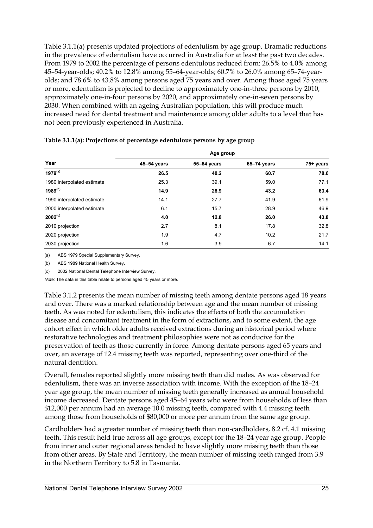Table 3.1.1(a) presents updated projections of edentulism by age group. Dramatic reductions in the prevalence of edentulism have occurred in Australia for at least the past two decades. From 1979 to 2002 the percentage of persons edentulous reduced from: 26.5% to 4.0% among 45–54-year-olds; 40.2% to 12.8% among 55–64-year-olds; 60.7% to 26.0% among 65–74-yearolds; and 78.6% to 43.8% among persons aged 75 years and over. Among those aged 75 years or more, edentulism is projected to decline to approximately one-in-three persons by 2010, approximately one-in-four persons by 2020, and approximately one-in-seven persons by 2030. When combined with an ageing Australian population, this will produce much increased need for dental treatment and maintenance among older adults to a level that has not been previously experienced in Australia.

| Year                       | Age group   |             |             |           |  |  |  |  |
|----------------------------|-------------|-------------|-------------|-----------|--|--|--|--|
|                            | 45-54 years | 55-64 years | 65-74 years | 75+ years |  |  |  |  |
| $1979^{(a)}$               | 26.5        | 40.2        | 60.7        | 78.6      |  |  |  |  |
| 1980 interpolated estimate | 25.3        | 39.1        | 59.0        | 77.1      |  |  |  |  |
| $1989^{(b)}$               | 14.9        | 28.9        | 43.2        | 63.4      |  |  |  |  |
| 1990 interpolated estimate | 14.1        | 27.7        | 41.9        | 61.9      |  |  |  |  |
| 2000 interpolated estimate | 6.1         | 15.7        | 28.9        | 46.9      |  |  |  |  |
| $2002^{(c)}$               | 4.0         | 12.8        | 26.0        | 43.8      |  |  |  |  |
| 2010 projection            | 2.7         | 8.1         | 17.8        | 32.8      |  |  |  |  |
| 2020 projection            | 1.9         | 4.7         | 10.2        | 21.7      |  |  |  |  |
| 2030 projection            | 1.6         | 3.9         | 6.7         | 14.1      |  |  |  |  |

#### **Table 3.1.1(a): Projections of percentage edentulous persons by age group**

(a) ABS 1979 Special Supplementary Survey.

(b) ABS 1989 National Health Survey.

(c) 2002 National Dental Telephone Interview Survey.

*Note:* The data in this table relate to persons aged 45 years or more.

Table 3.1.2 presents the mean number of missing teeth among dentate persons aged 18 years and over. There was a marked relationship between age and the mean number of missing teeth. As was noted for edentulism, this indicates the effects of both the accumulation disease and concomitant treatment in the form of extractions, and to some extent, the age cohort effect in which older adults received extractions during an historical period where restorative technologies and treatment philosophies were not as conducive for the preservation of teeth as those currently in force. Among dentate persons aged 65 years and over, an average of 12.4 missing teeth was reported, representing over one-third of the natural dentition.

Overall, females reported slightly more missing teeth than did males. As was observed for edentulism, there was an inverse association with income. With the exception of the 18–24 year age group, the mean number of missing teeth generally increased as annual household income decreased. Dentate persons aged 45–64 years who were from households of less than \$12,000 per annum had an average 10.0 missing teeth, compared with 4.4 missing teeth among those from households of \$80,000 or more per annum from the same age group.

Cardholders had a greater number of missing teeth than non-cardholders, 8.2 cf. 4.1 missing teeth. This result held true across all age groups, except for the 18–24 year age group. People from inner and outer regional areas tended to have slightly more missing teeth than those from other areas. By State and Territory, the mean number of missing teeth ranged from 3.9 in the Northern Territory to 5.8 in Tasmania.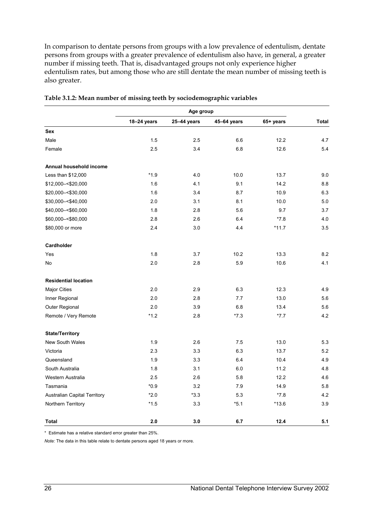In comparison to dentate persons from groups with a low prevalence of edentulism, dentate persons from groups with a greater prevalence of edentulism also have, in general, a greater number if missing teeth. That is, disadvantaged groups not only experience higher edentulism rates, but among those who are still dentate the mean number of missing teeth is also greater.

|                                     | Age group   |             |             |           |              |  |
|-------------------------------------|-------------|-------------|-------------|-----------|--------------|--|
|                                     | 18-24 years | 25-44 years | 45-64 years | 65+ years | <b>Total</b> |  |
| <b>Sex</b>                          |             |             |             |           |              |  |
| Male                                | 1.5         | 2.5         | 6.6         | 12.2      | 4.7          |  |
| Female                              | 2.5         | 3.4         | 6.8         | 12.6      | 5.4          |  |
| Annual household income             |             |             |             |           |              |  |
| Less than \$12,000                  | $*1.9$      | 4.0         | 10.0        | 13.7      | 9.0          |  |
| \$12,000 - < \$20,000               | 1.6         | 4.1         | 9.1         | 14.2      | 8.8          |  |
| \$20,000-<\$30,000                  | 1.6         | 3.4         | 8.7         | 10.9      | 6.3          |  |
| \$30,000 -< \$40,000                | 2.0         | 3.1         | 8.1         | 10.0      | 5.0          |  |
| \$40,000 -< \$60,000                | 1.8         | 2.8         | 5.6         | 9.7       | 3.7          |  |
| \$60,000 -< \$80,000                | 2.8         | 2.6         | 6.4         | $*7.8$    | 4.0          |  |
| \$80,000 or more                    | 2.4         | 3.0         | 4.4         | *11.7     | 3.5          |  |
| Cardholder                          |             |             |             |           |              |  |
| Yes                                 | 1.8         | 3.7         | 10.2        | 13.3      | 8.2          |  |
| No                                  | 2.0         | 2.8         | 5.9         | 10.6      | 4.1          |  |
| <b>Residential location</b>         |             |             |             |           |              |  |
| <b>Major Cities</b>                 | 2.0         | 2.9         | 6.3         | 12.3      | 4.9          |  |
| Inner Regional                      | 2.0         | 2.8         | 7.7         | 13.0      | 5.6          |  |
| Outer Regional                      | 2.0         | 3.9         | 6.8         | 13.4      | 5.6          |  |
| Remote / Very Remote                | $*1.2$      | 2.8         | $*7.3$      | $*7.7$    | 4.2          |  |
| <b>State/Territory</b>              |             |             |             |           |              |  |
| <b>New South Wales</b>              | 1.9         | 2.6         | 7.5         | 13.0      | 5.3          |  |
| Victoria                            | 2.3         | 3.3         | 6.3         | 13.7      | 5.2          |  |
| Queensland                          | 1.9         | 3.3         | 6.4         | 10.4      | 4.9          |  |
| South Australia                     | 1.8         | 3.1         | 6.0         | 11.2      | 4.8          |  |
| Western Australia                   | 2.5         | 2.6         | 5.8         | 12.2      | 4.6          |  |
| Tasmania                            | $*0.9$      | 3.2         | 7.9         | 14.9      | 5.8          |  |
| <b>Australian Capital Territory</b> | $*2.0$      | $*3.3$      | 5.3         | $*7.8$    | 4.2          |  |
| Northern Territory                  | $*1.5$      | 3.3         | $*5.1$      | $*13.6$   | 3.9          |  |
| <b>Total</b>                        | 2.0         | 3.0         | 6.7         | 12.4      | 5.1          |  |

| Table 3.1.2: Mean number of missing teeth by sociodemographic variables |
|-------------------------------------------------------------------------|
|-------------------------------------------------------------------------|

\* Estimate has a relative standard error greater than 25%.

*Note:* The data in this table relate to dentate persons aged 18 years or more.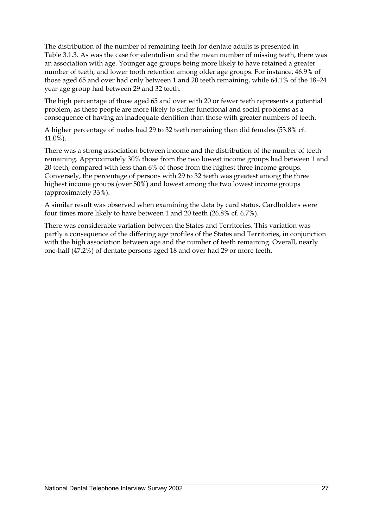The distribution of the number of remaining teeth for dentate adults is presented in Table 3.1.3. As was the case for edentulism and the mean number of missing teeth, there was an association with age. Younger age groups being more likely to have retained a greater number of teeth, and lower tooth retention among older age groups. For instance, 46.9% of those aged 65 and over had only between 1 and 20 teeth remaining, while 64.1% of the 18–24 year age group had between 29 and 32 teeth.

The high percentage of those aged 65 and over with 20 or fewer teeth represents a potential problem, as these people are more likely to suffer functional and social problems as a consequence of having an inadequate dentition than those with greater numbers of teeth.

A higher percentage of males had 29 to 32 teeth remaining than did females (53.8% cf. 41.0%).

There was a strong association between income and the distribution of the number of teeth remaining. Approximately 30% those from the two lowest income groups had between 1 and 20 teeth, compared with less than 6% of those from the highest three income groups. Conversely, the percentage of persons with 29 to 32 teeth was greatest among the three highest income groups (over 50%) and lowest among the two lowest income groups (approximately 33%).

A similar result was observed when examining the data by card status. Cardholders were four times more likely to have between 1 and 20 teeth (26.8% cf. 6.7%).

There was considerable variation between the States and Territories. This variation was partly a consequence of the differing age profiles of the States and Territories, in conjunction with the high association between age and the number of teeth remaining. Overall, nearly one-half (47.2%) of dentate persons aged 18 and over had 29 or more teeth.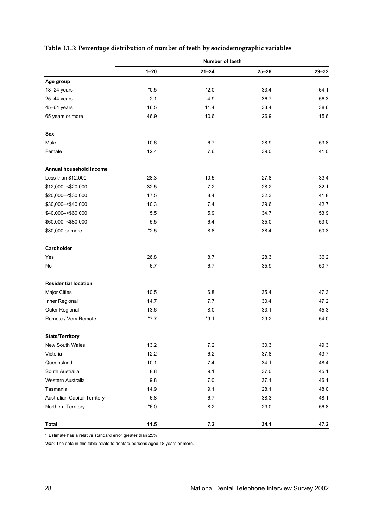|                              | Number of teeth |           |           |           |
|------------------------------|-----------------|-----------|-----------|-----------|
|                              | $1 - 20$        | $21 - 24$ | $25 - 28$ | $29 - 32$ |
| Age group                    |                 |           |           |           |
| 18-24 years                  | $*0.5$          | $*2.0$    | 33.4      | 64.1      |
| 25-44 years                  | 2.1             | 4.9       | 36.7      | 56.3      |
| 45-64 years                  | 16.5            | 11.4      | 33.4      | 38.6      |
| 65 years or more             | 46.9            | 10.6      | 26.9      | 15.6      |
| Sex                          |                 |           |           |           |
| Male                         | 10.6            | 6.7       | 28.9      | 53.8      |
| Female                       | 12.4            | 7.6       | 39.0      | 41.0      |
| Annual household income      |                 |           |           |           |
| Less than \$12,000           | 28.3            | 10.5      | 27.8      | 33.4      |
| \$12,000 -< \$20,000         | 32.5            | 7.2       | 28.2      | 32.1      |
| \$20,000 -< \$30,000         | 17.5            | 8.4       | 32.3      | 41.8      |
| \$30,000 -< \$40,000         | 10.3            | 74        | 39.6      | 42.7      |
| \$40,000 -< \$60,000         | 5.5             | 5.9       | 34.7      | 53.9      |
| \$60,000 -< \$80,000         | 5.5             | 6.4       | 35.0      | 53.0      |
| \$80,000 or more             | $*2.5$          | 8.8       | 38.4      | 50.3      |
| Cardholder                   |                 |           |           |           |
| Yes                          | 26.8            | 8.7       | 28.3      | 36.2      |
| No                           | 6.7             | 6.7       | 35.9      | 50.7      |
| <b>Residential location</b>  |                 |           |           |           |
| <b>Major Cities</b>          | 10.5            | 6.8       | 35.4      | 47.3      |
| Inner Regional               | 14.7            | 7.7       | 30.4      | 47.2      |
| Outer Regional               | 13.6            | 8.0       | 33.1      | 45.3      |
| Remote / Very Remote         | $*7.7$          | $*9.1$    | 29.2      | 54.0      |
| <b>State/Territory</b>       |                 |           |           |           |
| New South Wales              | 13.2            | $7.2\,$   | 30.3      | 49.3      |
| Victoria                     | 12.2            | 6.2       | 37.8      | 43.7      |
| Queensland                   | 10.1            | 7.4       | 34.1      | 48.4      |
| South Australia              | 8.8             | 9.1       | 37.0      | 45.1      |
| Western Australia            | 9.8             | 7.0       | 37.1      | 46.1      |
| Tasmania                     | 14.9            | 9.1       | 28.1      | 48.0      |
| Australian Capital Territory | $6.8\,$         | 6.7       | 38.3      | 48.1      |
| Northern Territory           | $*6.0$          | 8.2       | 29.0      | 56.8      |
| <b>Total</b>                 | 11.5            | $\bf 7.2$ | 34.1      | 47.2      |

#### **Table 3.1.3: Percentage distribution of number of teeth by sociodemographic variables**

\* Estimate has a relative standard error greater than 25%.

*Note:* The data in this table relate to dentate persons aged 18 years or more.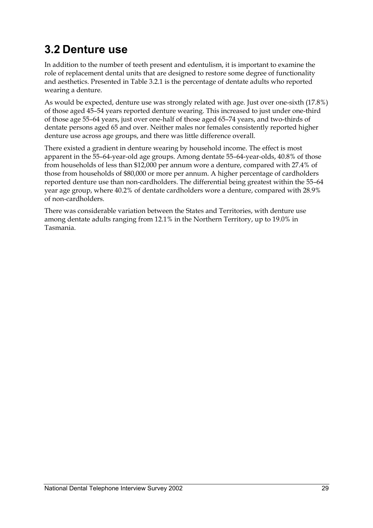### **3.2 Denture use**

In addition to the number of teeth present and edentulism, it is important to examine the role of replacement dental units that are designed to restore some degree of functionality and aesthetics. Presented in Table 3.2.1 is the percentage of dentate adults who reported wearing a denture.

As would be expected, denture use was strongly related with age. Just over one-sixth (17.8%) of those aged 45–54 years reported denture wearing. This increased to just under one-third of those age 55–64 years, just over one-half of those aged 65–74 years, and two-thirds of dentate persons aged 65 and over. Neither males nor females consistently reported higher denture use across age groups, and there was little difference overall.

There existed a gradient in denture wearing by household income. The effect is most apparent in the 55–64-year-old age groups. Among dentate 55–64-year-olds, 40.8% of those from households of less than \$12,000 per annum wore a denture, compared with 27.4% of those from households of \$80,000 or more per annum. A higher percentage of cardholders reported denture use than non-cardholders. The differential being greatest within the 55–64 year age group, where 40.2% of dentate cardholders wore a denture, compared with 28.9% of non-cardholders.

There was considerable variation between the States and Territories, with denture use among dentate adults ranging from 12.1% in the Northern Territory, up to 19.0% in Tasmania.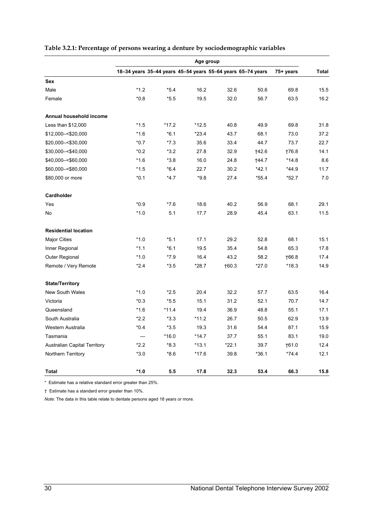|                                     | Age group |         |         |                                                             |         |           |       |
|-------------------------------------|-----------|---------|---------|-------------------------------------------------------------|---------|-----------|-------|
|                                     |           |         |         | 18-34 years 35-44 years 45-54 years 55-64 years 65-74 years |         | 75+ years | Total |
| <b>Sex</b>                          |           |         |         |                                                             |         |           |       |
| Male                                | $*1.2$    | $*5.4$  | 16.2    | 32.6                                                        | 50.6    | 69.8      | 15.5  |
| Female                              | $*0.8$    | $*5.5$  | 19.5    | 32.0                                                        | 56.7    | 63.5      | 16.2  |
| Annual household income             |           |         |         |                                                             |         |           |       |
| Less than \$12,000                  | $*1.5$    | $*17.2$ | $*12.5$ | 40.8                                                        | 49.9    | 69.8      | 31.8  |
| \$12,000 - < \$20,000               | $*1.6$    | $*6.1$  | $*23.4$ | 43.7                                                        | 68.1    | 73.0      | 37.2  |
| \$20,000 - < \$30,000               | $*0.7$    | $*7.3$  | 35.6    | 33.4                                                        | 44.7    | 73.7      | 22.7  |
| \$30,000 -< \$40,000                | $*0.2$    | $*3.2$  | 27.8    | 32.9                                                        | †42.6   | 176.8     | 14.1  |
| \$40,000 -< \$60,000                | $*1.6$    | $*3.8$  | 16.0    | 24.8                                                        | 144.7   | $*14.8$   | 8.6   |
| \$60,000 -< \$80,000                | $*1.5$    | $*6.4$  | 22.7    | 30.2                                                        | $*42.1$ | $*44.9$   | 11.7  |
| \$80,000 or more                    | $*0.1$    | $*4.7$  | $*9.8$  | 27.4                                                        | *55.4   | *52.7     | 7.0   |
| Cardholder                          |           |         |         |                                                             |         |           |       |
| Yes                                 | $*0.9$    | $*76$   | 18.6    | 40.2                                                        | 56.9    | 68.1      | 29.1  |
| No                                  | $*1.0$    | 5.1     | 17.7    | 28.9                                                        | 45.4    | 63.1      | 11.5  |
| <b>Residential location</b>         |           |         |         |                                                             |         |           |       |
| <b>Major Cities</b>                 | $*1.0$    | $*5.1$  | 17.1    | 29.2                                                        | 52.8    | 68.1      | 15.1  |
| Inner Regional                      | $*1.1$    | $*6.1$  | 19.5    | 35.4                                                        | 54.8    | 65.3      | 17.8  |
| Outer Regional                      | $*1.0$    | $*7.9$  | 16.4    | 43.2                                                        | 58.2    | 166.8     | 17.4  |
| Remote / Very Remote                | $*2.4$    | $*3.5$  | $*28.7$ | 160.3                                                       | $*27.0$ | $*18.3$   | 14.9  |
| <b>State/Territory</b>              |           |         |         |                                                             |         |           |       |
| <b>New South Wales</b>              | $*1.0$    | $*2.5$  | 20.4    | 32.2                                                        | 57.7    | 63.5      | 16.4  |
| Victoria                            | $*0.3$    | $*5.5$  | 15.1    | 31.2                                                        | 52.1    | 70.7      | 14.7  |
| Queensland                          | $*1.6$    | $*11.4$ | 19.4    | 36.9                                                        | 48.8    | 55.1      | 17.1  |
| South Australia                     | $*2.2$    | $*3.3$  | $*11.2$ | 26.7                                                        | 50.5    | 62.9      | 13.9  |
| Western Australia                   | $*0.4$    | $*3.5$  | 19.3    | 31.6                                                        | 54.4    | 87.1      | 15.9  |
| Tasmania                            |           | $*16.0$ | $*14.7$ | 37.7                                                        | 55.1    | 83.1      | 19.0  |
| <b>Australian Capital Territory</b> | $*2.2$    | *8.3    | *13.1   | *22.1                                                       | 39.7    | $+61.0$   | 12.4  |
| Northern Territory                  | $*3.0$    | $*8.6$  | $*17.6$ | 39.8                                                        | $*36.1$ | $*74.4$   | 12.1  |
| <b>Total</b>                        | $*1.0$    | 5.5     | 17.8    | 32.3                                                        | 53.4    | 66.3      | 15.8  |

#### **Table 3.2.1: Percentage of persons wearing a denture by sociodemographic variables**

\* Estimate has a relative standard error greater than 25%.

† Estimate has a standard error greater than 10%.

*Note:* The data in this table relate to dentate persons aged 18 years or more.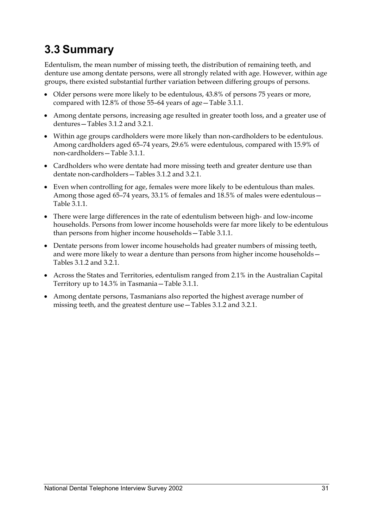## **3.3 Summary**

Edentulism, the mean number of missing teeth, the distribution of remaining teeth, and denture use among dentate persons, were all strongly related with age. However, within age groups, there existed substantial further variation between differing groups of persons.

- Older persons were more likely to be edentulous, 43.8% of persons 75 years or more, compared with 12.8% of those 55–64 years of age—Table 3.1.1.
- Among dentate persons, increasing age resulted in greater tooth loss, and a greater use of dentures—Tables 3.1.2 and 3.2.1.
- Within age groups cardholders were more likely than non-cardholders to be edentulous. Among cardholders aged 65–74 years, 29.6% were edentulous, compared with 15.9% of non-cardholders—Table 3.1.1.
- Cardholders who were dentate had more missing teeth and greater denture use than dentate non-cardholders—Tables 3.1.2 and 3.2.1.
- Even when controlling for age, females were more likely to be edentulous than males. Among those aged 65–74 years, 33.1% of females and 18.5% of males were edentulous— Table 3.1.1.
- There were large differences in the rate of edentulism between high- and low-income households. Persons from lower income households were far more likely to be edentulous than persons from higher income households—Table 3.1.1.
- Dentate persons from lower income households had greater numbers of missing teeth, and were more likely to wear a denture than persons from higher income households— Tables 3.1.2 and 3.2.1.
- Across the States and Territories, edentulism ranged from 2.1% in the Australian Capital Territory up to 14.3% in Tasmania—Table 3.1.1.
- Among dentate persons, Tasmanians also reported the highest average number of missing teeth, and the greatest denture use—Tables 3.1.2 and 3.2.1.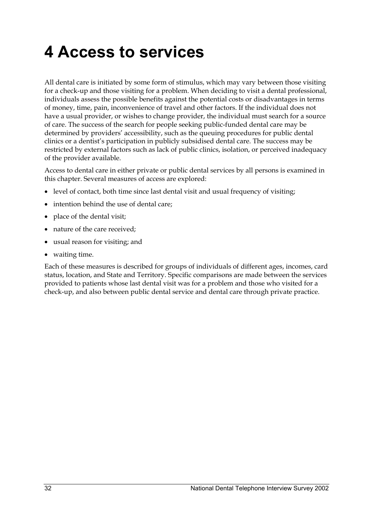## **4 Access to services**

All dental care is initiated by some form of stimulus, which may vary between those visiting for a check-up and those visiting for a problem. When deciding to visit a dental professional, individuals assess the possible benefits against the potential costs or disadvantages in terms of money, time, pain, inconvenience of travel and other factors. If the individual does not have a usual provider, or wishes to change provider, the individual must search for a source of care. The success of the search for people seeking public-funded dental care may be determined by providers' accessibility, such as the queuing procedures for public dental clinics or a dentist's participation in publicly subsidised dental care. The success may be restricted by external factors such as lack of public clinics, isolation, or perceived inadequacy of the provider available.

Access to dental care in either private or public dental services by all persons is examined in this chapter. Several measures of access are explored:

- level of contact, both time since last dental visit and usual frequency of visiting;
- intention behind the use of dental care;
- place of the dental visit;
- nature of the care received:
- usual reason for visiting; and
- waiting time.

Each of these measures is described for groups of individuals of different ages, incomes, card status, location, and State and Territory. Specific comparisons are made between the services provided to patients whose last dental visit was for a problem and those who visited for a check-up, and also between public dental service and dental care through private practice.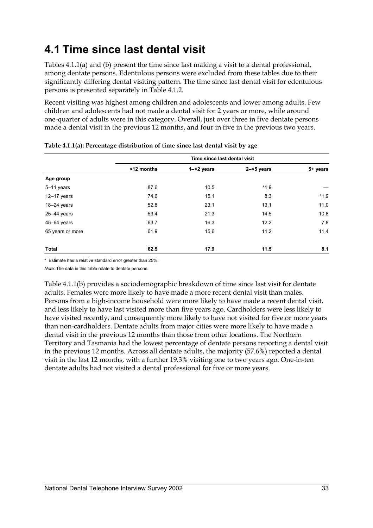## **4.1 Time since last dental visit**

Tables 4.1.1(a) and (b) present the time since last making a visit to a dental professional, among dentate persons. Edentulous persons were excluded from these tables due to their significantly differing dental visiting pattern. The time since last dental visit for edentulous persons is presented separately in Table 4.1.2.

Recent visiting was highest among children and adolescents and lower among adults. Few children and adolescents had not made a dental visit for 2 years or more, while around one-quarter of adults were in this category. Overall, just over three in five dentate persons made a dental visit in the previous 12 months, and four in five in the previous two years.

|                  | Time since last dental visit |               |               |          |  |
|------------------|------------------------------|---------------|---------------|----------|--|
|                  | <12 months                   | $1 - 2$ years | $2 - 5$ years | 5+ years |  |
| Age group        |                              |               |               |          |  |
| 5-11 years       | 87.6                         | 10.5          | $*1.9$        |          |  |
| $12 - 17$ years  | 74.6                         | 15.1          | 8.3           | $*1.9$   |  |
| $18-24$ years    | 52.8                         | 23.1          | 13.1          | 11.0     |  |
| $25 - 44$ years  | 53.4                         | 21.3          | 14.5          | 10.8     |  |
| $45 - 64$ years  | 63.7                         | 16.3          | 12.2          | 7.8      |  |
| 65 years or more | 61.9                         | 15.6          | 11.2          | 11.4     |  |
| Total            | 62.5                         | 17.9          | 11.5          | 8.1      |  |

| Table 4.1.1(a): Percentage distribution of time since last dental visit by age |  |
|--------------------------------------------------------------------------------|--|
|--------------------------------------------------------------------------------|--|

\* Estimate has a relative standard error greater than 25%.

*Note:* The data in this table relate to dentate persons.

Table 4.1.1(b) provides a sociodemographic breakdown of time since last visit for dentate adults. Females were more likely to have made a more recent dental visit than males. Persons from a high-income household were more likely to have made a recent dental visit, and less likely to have last visited more than five years ago. Cardholders were less likely to have visited recently, and consequently more likely to have not visited for five or more years than non-cardholders. Dentate adults from major cities were more likely to have made a dental visit in the previous 12 months than those from other locations. The Northern Territory and Tasmania had the lowest percentage of dentate persons reporting a dental visit in the previous 12 months. Across all dentate adults, the majority (57.6%) reported a dental visit in the last 12 months, with a further 19.3% visiting one to two years ago. One-in-ten dentate adults had not visited a dental professional for five or more years.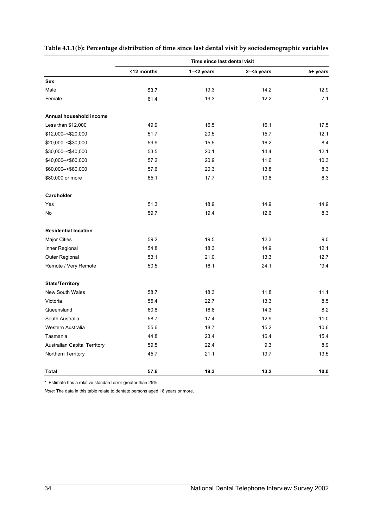|                              | Time since last dental visit |               |               |          |  |
|------------------------------|------------------------------|---------------|---------------|----------|--|
|                              | <12 months                   | $1 - 2$ years | $2 - 5$ years | 5+ years |  |
| Sex                          |                              |               |               |          |  |
| Male                         | 53.7                         | 19.3          | 14.2          | 12.9     |  |
| Female                       | 61.4                         | 19.3          | 12.2          | 7.1      |  |
| Annual household income      |                              |               |               |          |  |
| Less than \$12,000           | 49.9                         | 16.5          | 16.1          | 17.5     |  |
| \$12,000 - < \$20,000        | 51.7                         | 20.5          | 15.7          | 12.1     |  |
| \$20,000 - < \$30,000        | 59.9                         | 15.5          | 16.2          | 8.4      |  |
| \$30,000 -< \$40,000         | 53.5                         | 20.1          | 14.4          | 12.1     |  |
| \$40,000 -< \$60,000         | 57.2                         | 20.9          | 11.6          | 10.3     |  |
| \$60,000 -< \$80,000         | 57.6                         | 20.3          | 13.8          | 8.3      |  |
| \$80,000 or more             | 65.1                         | 17.7          | 10.8          | 6.3      |  |
| Cardholder                   |                              |               |               |          |  |
| Yes                          | 51.3                         | 18.9          | 14.9          | 14.9     |  |
| No                           | 59.7                         | 19.4          | 12.6          | 8.3      |  |
| <b>Residential location</b>  |                              |               |               |          |  |
| <b>Major Cities</b>          | 59.2                         | 19.5          | 12.3          | 9.0      |  |
| Inner Regional               | 54.8                         | 18.3          | 14.9          | 12.1     |  |
| Outer Regional               | 53.1                         | 21.0          | 13.3          | 12.7     |  |
| Remote / Very Remote         | 50.5                         | 16.1          | 24.1          | $*9.4$   |  |
| <b>State/Territory</b>       |                              |               |               |          |  |
| New South Wales              | 58.7                         | 18.3          | 11.8          | 11.1     |  |
| Victoria                     | 55.4                         | 22.7          | 13.3          | 8.5      |  |
| Queensland                   | 60.8                         | 16.8          | 14.3          | 8.2      |  |
| South Australia              | 58.7                         | 17.4          | 12.9          | 11.0     |  |
| Western Australia            | 55.6                         | 18.7          | 15.2          | 10.6     |  |
| Tasmania                     | 44.8                         | 23.4          | 16.4          | 15.4     |  |
| Australian Capital Territory | 59.5                         | 22.4          | 9.3           | 8.9      |  |
| Northern Territory           | 45.7                         | 21.1          | 19.7          | 13.5     |  |
| Total                        | 57.6                         | 19.3          | 13.2          | 10.0     |  |

#### **Table 4.1.1(b): Percentage distribution of time since last dental visit by sociodemographic variables**

\* Estimate has a relative standard error greater than 25%.

*Note:* The data in this table relate to dentate persons aged 18 years or more.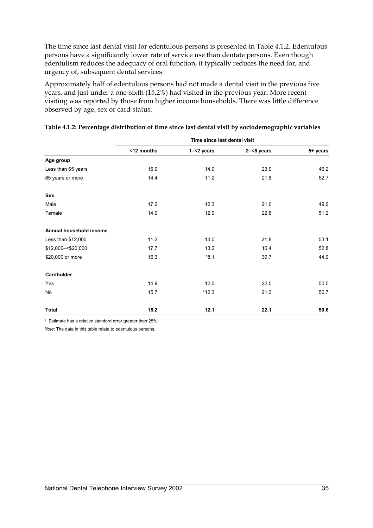The time since last dental visit for edentulous persons is presented in Table 4.1.2. Edentulous persons have a significantly lower rate of service use than dentate persons. Even though edentulism reduces the adequacy of oral function, it typically reduces the need for, and urgency of, subsequent dental services.

Approximately half of edentulous persons had not made a dental visit in the previous five years, and just under a one-sixth (15.2%) had visited in the previous year. More recent visiting was reported by those from higher income households. There was little difference observed by age, sex or card status.

|                         | Time since last dental visit |               |               |          |  |
|-------------------------|------------------------------|---------------|---------------|----------|--|
|                         | <12 months                   | $1 - 2$ years | $2 - 5$ years | 5+ years |  |
| Age group               |                              |               |               |          |  |
| Less than 65 years      | 16.9                         | 14.0          | 23.0          | 46.2     |  |
| 65 years or more        | 14.4                         | 11.2          | 21.8          | 52.7     |  |
| Sex                     |                              |               |               |          |  |
| Male                    | 17.2                         | 12.3          | 21.0          | 49.6     |  |
| Female                  | 14.0                         | 12.0          | 22.8          | 51.2     |  |
| Annual household income |                              |               |               |          |  |
| Less than \$12,000      | 11.2                         | 14.0          | 21.8          | 53.1     |  |
| \$12,000 -< \$20,000    | 17.7                         | 13.2          | 16.4          | 52.8     |  |
| \$20,000 or more        | 16.3                         | $*8.1$        | 30.7          | 44.9     |  |
| Cardholder              |                              |               |               |          |  |
| Yes                     | 14.9                         | 12.0          | 22.5          | 50.5     |  |
| <b>No</b>               | 15.7                         | $*12.3$       | 21.3          | 50.7     |  |
| Total                   | 15.2                         | 12.1          | 22.1          | 50.6     |  |

#### **Table 4.1.2: Percentage distribution of time since last dental visit by sociodemographic variables**

\* Estimate has a relative standard error greater than 25%.

*Note:* The data in this table relate to edentulous persons.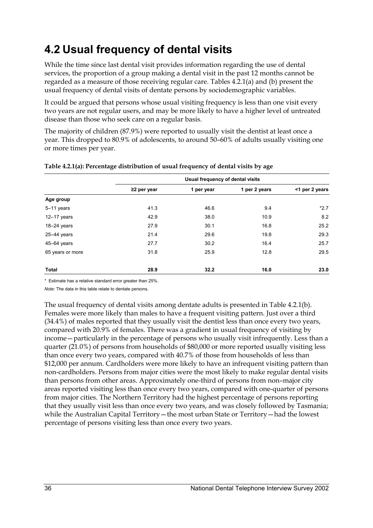## **4.2 Usual frequency of dental visits**

While the time since last dental visit provides information regarding the use of dental services, the proportion of a group making a dental visit in the past 12 months cannot be regarded as a measure of those receiving regular care. Tables 4.2.1(a) and (b) present the usual frequency of dental visits of dentate persons by sociodemographic variables.

It could be argued that persons whose usual visiting frequency is less than one visit every two years are not regular users, and may be more likely to have a higher level of untreated disease than those who seek care on a regular basis.

The majority of children (87.9%) were reported to usually visit the dentist at least once a year. This dropped to 80.9% of adolescents, to around 50–60% of adults usually visiting one or more times per year.

|                  | Usual frequency of dental visits |            |               |                |  |
|------------------|----------------------------------|------------|---------------|----------------|--|
|                  | $\geq$ 2 per year                | 1 per year | 1 per 2 years | <1 per 2 years |  |
| Age group        |                                  |            |               |                |  |
| 5-11 years       | 41.3                             | 46.6       | 9.4           | $*2.7$         |  |
| $12 - 17$ years  | 42.9                             | 38.0       | 10.9          | 8.2            |  |
| $18-24$ years    | 27.9                             | 30.1       | 16.8          | 25.2           |  |
| $25 - 44$ years  | 21.4                             | 29.6       | 19.8          | 29.3           |  |
| 45-64 years      | 27.7                             | 30.2       | 16.4          | 25.7           |  |
| 65 years or more | 31.8                             | 25.9       | 12.8          | 29.5           |  |
| <b>Total</b>     | 28.9                             | 32.2       | 16.0          | 23.0           |  |

#### **Table 4.2.1(a): Percentage distribution of usual frequency of dental visits by age**

\* Estimate has a relative standard error greater than 25%.

*Note:* The data in this table relate to dentate persons.

The usual frequency of dental visits among dentate adults is presented in Table 4.2.1(b). Females were more likely than males to have a frequent visiting pattern. Just over a third (34.4%) of males reported that they usually visit the dentist less than once every two years, compared with 20.9% of females. There was a gradient in usual frequency of visiting by income—particularly in the percentage of persons who usually visit infrequently. Less than a quarter (21.0%) of persons from households of \$80,000 or more reported usually visiting less than once every two years, compared with 40.7% of those from households of less than \$12,000 per annum. Cardholders were more likely to have an infrequent visiting pattern than non-cardholders. Persons from major cities were the most likely to make regular dental visits than persons from other areas. Approximately one-third of persons from non–major city areas reported visiting less than once every two years, compared with one-quarter of persons from major cities. The Northern Territory had the highest percentage of persons reporting that they usually visit less than once every two years, and was closely followed by Tasmania; while the Australian Capital Territory—the most urban State or Territory—had the lowest percentage of persons visiting less than once every two years.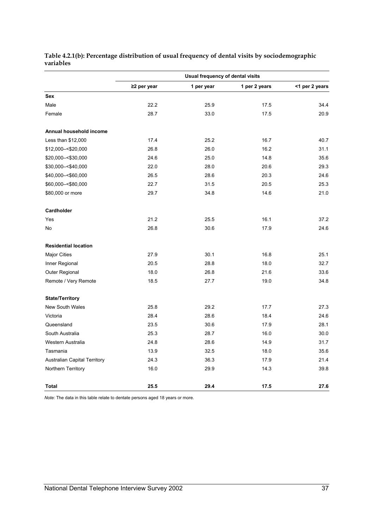**Table 4.2.1(b): Percentage distribution of usual frequency of dental visits by sociodemographic variables** 

|                                     | Usual frequency of dental visits |            |               |                |  |
|-------------------------------------|----------------------------------|------------|---------------|----------------|--|
|                                     | $\geq$ 2 per year                | 1 per year | 1 per 2 years | <1 per 2 years |  |
| <b>Sex</b>                          |                                  |            |               |                |  |
| Male                                | 22.2                             | 25.9       | 17.5          | 34.4           |  |
| Female                              | 28.7                             | 33.0       | 17.5          | 20.9           |  |
| Annual household income             |                                  |            |               |                |  |
| Less than \$12,000                  | 17.4                             | 25.2       | 16.7          | 40.7           |  |
| \$12,000 - < \$20,000               | 26.8                             | 26.0       | 16.2          | 31.1           |  |
| \$20,000 - < \$30,000               | 24.6                             | 25.0       | 14.8          | 35.6           |  |
| \$30,000-<\$40,000                  | 22.0                             | 28.0       | 20.6          | 29.3           |  |
| \$40,000 -< \$60,000                | 26.5                             | 28.6       | 20.3          | 24.6           |  |
| \$60,000 -< \$80,000                | 22.7                             | 31.5       | 20.5          | 25.3           |  |
| \$80,000 or more                    | 29.7                             | 34.8       | 14.6          | 21.0           |  |
| Cardholder                          |                                  |            |               |                |  |
| Yes                                 | 21.2                             | 25.5       | 16.1          | 37.2           |  |
| No                                  | 26.8                             | 30.6       | 17.9          | 24.6           |  |
| <b>Residential location</b>         |                                  |            |               |                |  |
| <b>Major Cities</b>                 | 27.9                             | 30.1       | 16.8          | 25.1           |  |
| Inner Regional                      | 20.5                             | 28.8       | 18.0          | 32.7           |  |
| Outer Regional                      | 18.0                             | 26.8       | 21.6          | 33.6           |  |
| Remote / Very Remote                | 18.5                             | 27.7       | 19.0          | 34.8           |  |
| <b>State/Territory</b>              |                                  |            |               |                |  |
| <b>New South Wales</b>              | 25.8                             | 29.2       | 17.7          | 27.3           |  |
| Victoria                            | 28.4                             | 28.6       | 18.4          | 24.6           |  |
| Queensland                          | 23.5                             | 30.6       | 17.9          | 28.1           |  |
| South Australia                     | 25.3                             | 28.7       | 16.0          | 30.0           |  |
| Western Australia                   | 24.8                             | 28.6       | 14.9          | 31.7           |  |
| Tasmania                            | 13.9                             | 32.5       | 18.0          | 35.6           |  |
| <b>Australian Capital Territory</b> | 24.3                             | 36.3       | 17.9          | 21.4           |  |
| Northern Territory                  | 16.0                             | 29.9       | 14.3          | 39.8           |  |
| Total                               | 25.5                             | 29.4       | 17.5          | 27.6           |  |

*Note:* The data in this table relate to dentate persons aged 18 years or more.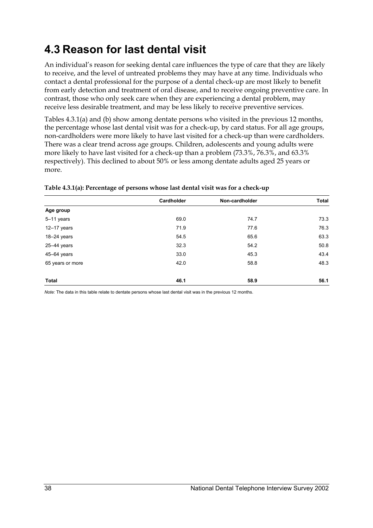## **4.3 Reason for last dental visit**

An individual's reason for seeking dental care influences the type of care that they are likely to receive, and the level of untreated problems they may have at any time. Individuals who contact a dental professional for the purpose of a dental check-up are most likely to benefit from early detection and treatment of oral disease, and to receive ongoing preventive care. In contrast, those who only seek care when they are experiencing a dental problem, may receive less desirable treatment, and may be less likely to receive preventive services.

Tables 4.3.1(a) and (b) show among dentate persons who visited in the previous 12 months, the percentage whose last dental visit was for a check-up, by card status. For all age groups, non-cardholders were more likely to have last visited for a check-up than were cardholders. There was a clear trend across age groups. Children, adolescents and young adults were more likely to have last visited for a check-up than a problem (73.3%, 76.3%, and 63.3% respectively). This declined to about 50% or less among dentate adults aged 25 years or more.

| Cardholder | Non-cardholder | <b>Total</b> |
|------------|----------------|--------------|
|            |                |              |
| 69.0       | 74.7           | 73.3         |
| 71.9       | 77.6           | 76.3         |
| 54.5       | 65.6           | 63.3         |
| 32.3       | 54.2           | 50.8         |
| 33.0       | 45.3           | 43.4         |
| 42.0       | 58.8           | 48.3         |
|            |                | 56.1         |
|            | 46.1           | 58.9         |

#### **Table 4.3.1(a): Percentage of persons whose last dental visit was for a check-up**

*Note:* The data in this table relate to dentate persons whose last dental visit was in the previous 12 months.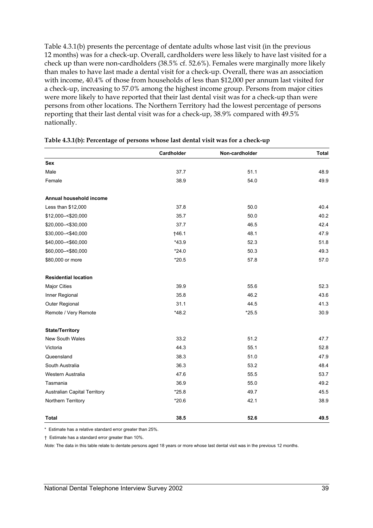Table 4.3.1(b) presents the percentage of dentate adults whose last visit (in the previous 12 months) was for a check-up. Overall, cardholders were less likely to have last visited for a check up than were non-cardholders (38.5% cf. 52.6%). Females were marginally more likely than males to have last made a dental visit for a check-up. Overall, there was an association with income, 40.4% of those from households of less than \$12,000 per annum last visited for a check-up, increasing to 57.0% among the highest income group. Persons from major cities were more likely to have reported that their last dental visit was for a check-up than were persons from other locations. The Northern Territory had the lowest percentage of persons reporting that their last dental visit was for a check-up, 38.9% compared with 49.5% nationally.

|                                     | Cardholder | Non-cardholder | <b>Total</b> |
|-------------------------------------|------------|----------------|--------------|
| <b>Sex</b>                          |            |                |              |
| Male                                | 37.7       | 51.1           | 48.9         |
| Female                              | 38.9       | 54.0           | 49.9         |
|                                     |            |                |              |
| Annual household income             |            |                |              |
| Less than \$12,000                  | 37.8       | 50.0           | 40.4         |
| \$12,000 -< \$20,000                | 35.7       | 50.0           | 40.2         |
| \$20,000 -< \$30,000                | 37.7       | 46.5           | 42.4         |
| \$30,000 -< \$40,000                | †46.1      | 48.1           | 47.9         |
| \$40,000 -< \$60,000                | $*43.9$    | 52.3           | 51.8         |
| \$60,000 -< \$80,000                | $*24.0$    | 50.3           | 49.3         |
| \$80,000 or more                    | $*20.5$    | 57.8           | 57.0         |
|                                     |            |                |              |
| <b>Residential location</b>         |            |                |              |
| Major Cities                        | 39.9       | 55.6           | 52.3         |
| Inner Regional                      | 35.8       | 46.2           | 43.6         |
| Outer Regional                      | 31.1       | 44.5           | 41.3         |
| Remote / Very Remote                | $*48.2$    | $*25.5$        | 30.9         |
|                                     |            |                |              |
| <b>State/Territory</b>              |            |                |              |
| <b>New South Wales</b>              | 33.2       | 51.2           | 47.7         |
| Victoria                            | 44.3       | 55.1           | 52.8         |
| Queensland                          | 38.3       | 51.0           | 47.9         |
| South Australia                     | 36.3       | 53.2           | 48.4         |
| Western Australia                   | 47.6       | 55.5           | 53.7         |
| Tasmania                            | 36.9       | 55.0           | 49.2         |
| <b>Australian Capital Territory</b> | $*25.8$    | 49.7           | 45.5         |
| Northern Territory                  | $*20.6$    | 42.1           | 38.9         |
|                                     |            |                |              |
| <b>Total</b>                        | 38.5       | 52.6           | 49.5         |

#### **Table 4.3.1(b): Percentage of persons whose last dental visit was for a check-up**

\* Estimate has a relative standard error greater than 25%.

† Estimate has a standard error greater than 10%.

*Note:* The data in this table relate to dentate persons aged 18 years or more whose last dental visit was in the previous 12 months.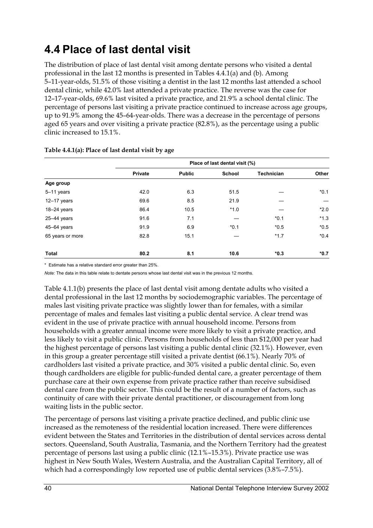## **4.4 Place of last dental visit**

The distribution of place of last dental visit among dentate persons who visited a dental professional in the last 12 months is presented in Tables  $4.4.1(a)$  and (b). Among 5–11-year-olds, 51.5% of those visiting a dentist in the last 12 months last attended a school dental clinic, while 42.0% last attended a private practice. The reverse was the case for 12–17-year-olds, 69.6% last visited a private practice, and 21.9% a school dental clinic. The percentage of persons last visiting a private practice continued to increase across age groups, up to 91.9% among the 45–64-year-olds. There was a decrease in the percentage of persons aged 65 years and over visiting a private practice (82.8%), as the percentage using a public clinic increased to 15.1%.

|                  | Place of last dental visit (%) |               |               |                   |        |
|------------------|--------------------------------|---------------|---------------|-------------------|--------|
|                  | Private                        | <b>Public</b> | <b>School</b> | <b>Technician</b> | Other  |
| Age group        |                                |               |               |                   |        |
| $5-11$ years     | 42.0                           | 6.3           | 51.5          |                   | $*0.1$ |
| $12-17$ years    | 69.6                           | 8.5           | 21.9          |                   |        |
| $18-24$ years    | 86.4                           | 10.5          | $*1.0$        |                   | $*2.0$ |
| $25 - 44$ years  | 91.6                           | 7.1           |               | $*0.1$            | $*1.3$ |
| 45-64 years      | 91.9                           | 6.9           | $*0.1$        | $*0.5$            | $*0.5$ |
| 65 years or more | 82.8                           | 15.1          |               | $*1.7$            | $*0.4$ |
| <b>Total</b>     | 80.2                           | 8.1           | 10.6          | $*0.3$            | $*0.7$ |

#### **Table 4.4.1(a): Place of last dental visit by age**

\* Estimate has a relative standard error greater than 25%.

*Note:* The data in this table relate to dentate persons whose last dental visit was in the previous 12 months.

Table 4.1.1(b) presents the place of last dental visit among dentate adults who visited a dental professional in the last 12 months by sociodemographic variables. The percentage of males last visiting private practice was slightly lower than for females, with a similar percentage of males and females last visiting a public dental service. A clear trend was evident in the use of private practice with annual household income. Persons from households with a greater annual income were more likely to visit a private practice, and less likely to visit a public clinic. Persons from households of less than \$12,000 per year had the highest percentage of persons last visiting a public dental clinic (32.1%). However, even in this group a greater percentage still visited a private dentist (66.1%). Nearly 70% of cardholders last visited a private practice, and 30% visited a public dental clinic. So, even though cardholders are eligible for public-funded dental care, a greater percentage of them purchase care at their own expense from private practice rather than receive subsidised dental care from the public sector. This could be the result of a number of factors, such as continuity of care with their private dental practitioner, or discouragement from long waiting lists in the public sector.

The percentage of persons last visiting a private practice declined, and public clinic use increased as the remoteness of the residential location increased. There were differences evident between the States and Territories in the distribution of dental services across dental sectors. Queensland, South Australia, Tasmania, and the Northern Territory had the greatest percentage of persons last using a public clinic (12.1%–15.3%). Private practice use was highest in New South Wales, Western Australia, and the Australian Capital Territory, all of which had a correspondingly low reported use of public dental services  $(3.8\% -7.5\%)$ .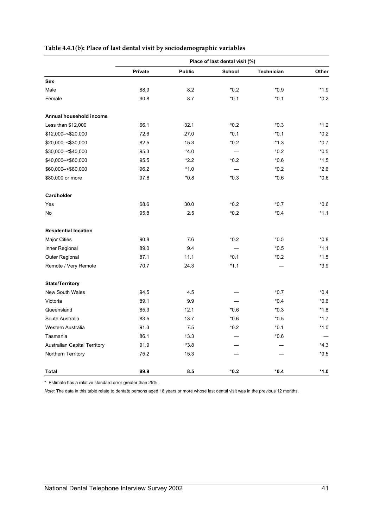#### **Table 4.4.1(b): Place of last dental visit by sociodemographic variables**

|                                     | Place of last dental visit (%) |               |        |                   |        |
|-------------------------------------|--------------------------------|---------------|--------|-------------------|--------|
|                                     | Private                        | <b>Public</b> | School | <b>Technician</b> | Other  |
| Sex                                 |                                |               |        |                   |        |
| Male                                | 88.9                           | 8.2           | $*0.2$ | $*0.9$            | $*1.9$ |
| Female                              | 90.8                           | 8.7           | $*0.1$ | $*0.1$            | $*0.2$ |
| Annual household income             |                                |               |        |                   |        |
| Less than \$12,000                  | 66.1                           | 32.1          | $*0.2$ | $*0.3$            | $*1.2$ |
| \$12,000 - < \$20,000               | 72.6                           | 27.0          | $*0.1$ | $*0.1$            | $*0.2$ |
| \$20,000-<\$30,000                  | 82.5                           | 15.3          | $*0.2$ | $*1.3$            | $*0.7$ |
| \$30,000 -< \$40,000                | 95.3                           | $*4.0$        |        | $*0.2$            | $*0.5$ |
| \$40,000 -< \$60,000                | 95.5                           | $*2.2$        | $*0.2$ | $*0.6$            | $*1.5$ |
| \$60,000 -< \$80,000                | 96.2                           | $*1.0$        |        | $*0.2$            | $*2.6$ |
| \$80,000 or more                    | 97.8                           | $*0.8$        | $*0.3$ | $*0.6$            | $*0.6$ |
| Cardholder                          |                                |               |        |                   |        |
| Yes                                 | 68.6                           | 30.0          | $*0.2$ | $*0.7$            | $*0.6$ |
| No                                  | 95.8                           | 2.5           | $*0.2$ | $*0.4$            | $*1.1$ |
| <b>Residential location</b>         |                                |               |        |                   |        |
| <b>Major Cities</b>                 | 90.8                           | 7.6           | $*0.2$ | $*0.5$            | $*0.8$ |
| Inner Regional                      | 89.0                           | 9.4           |        | $*0.5$            | $*1.1$ |
| Outer Regional                      | 87.1                           | 11.1          | $*0.1$ | $*0.2$            | $*1.5$ |
| Remote / Very Remote                | 70.7                           | 24.3          | $*1.1$ |                   | $*3.9$ |
| <b>State/Territory</b>              |                                |               |        |                   |        |
| New South Wales                     | 94.5                           | 4.5           |        | $*0.7$            | $*0.4$ |
| Victoria                            | 89.1                           | 9.9           |        | $*0.4$            | $*0.6$ |
| Queensland                          | 85.3                           | 12.1          | $*0.6$ | $*0.3$            | $*1.8$ |
| South Australia                     | 83.5                           | 13.7          | $*0.6$ | $*0.5$            | $*1.7$ |
| Western Australia                   | 91.3                           | 7.5           | $*0.2$ | $*0.1$            | $*1.0$ |
| Tasmania                            | 86.1                           | 13.3          |        | $*0.6$            |        |
| <b>Australian Capital Territory</b> | 91.9                           | $*3.8$        |        |                   | $*4.3$ |
| Northern Territory                  | 75.2                           | 15.3          |        |                   | $*9.5$ |
| Total                               | 89.9                           | 8.5           | $*0.2$ | $*0.4$            | $*1.0$ |

\* Estimate has a relative standard error greater than 25%.

*Note:* The data in this table relate to dentate persons aged 18 years or more whose last dental visit was in the previous 12 months.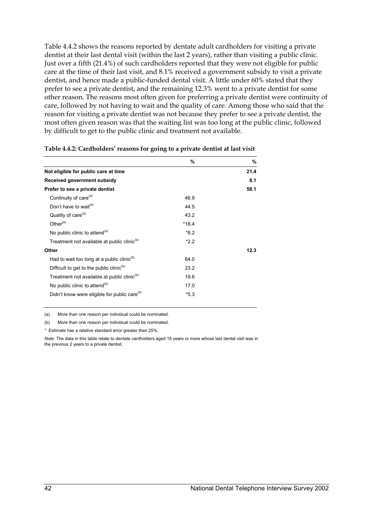Table 4.4.2 shows the reasons reported by dentate adult cardholders for visiting a private dentist at their last dental visit (within the last 2 years), rather than visiting a public clinic. Just over a fifth (21.4%) of such cardholders reported that they were not eligible for public care at the time of their last visit, and 8.1% received a government subsidy to visit a private dentist, and hence made a public-funded dental visit. A little under 60% stated that they prefer to see a private dentist, and the remaining 12.3% went to a private dentist for some other reason. The reasons most often given for preferring a private dentist were continuity of care, followed by not having to wait and the quality of care. Among those who said that the reason for visiting a private dentist was not because they prefer to see a private dentist, the most often given reason was that the waiting list was too long at the public clinic, followed by difficult to get to the public clinic and treatment not available.

|                                                          | %       | ℅    |
|----------------------------------------------------------|---------|------|
| Not eligible for public care at time                     |         | 21.4 |
| Received government subsidy                              |         | 8.1  |
| Prefer to see a private dentist                          |         | 58.1 |
| Continuity of care <sup>(a)</sup>                        | 46.9    |      |
| Don't have to wait <sup>(a)</sup>                        | 44.5    |      |
| Quality of care <sup>(a)</sup>                           | 43.2    |      |
| Other $(a)$                                              | $*18.4$ |      |
| No public clinic to attend <sup>(a)</sup>                | $*8.2$  |      |
| Treatment not available at public clinic <sup>(a)</sup>  | $*2.2$  |      |
| Other                                                    |         | 12.3 |
| Had to wait too long at a public clinic <sup>(b)</sup>   | 64.0    |      |
| Difficult to get to the public clinic <sup>(b)</sup>     | 23.2    |      |
| Treatment not available at public clinic <sup>(b)</sup>  | 19.6    |      |
| No public clinic to attend <sup>(b)</sup>                | 17.0    |      |
| Didn't know were eligible for public care <sup>(b)</sup> | $*5.3$  |      |

(a) More than one reason per individual could be nominated.

(b) More than one reason per individual could be nominated.

\* Estimate has a relative standard error greater than 25%.

*Note:* The data in this table relate to dentate cardholders aged 18 years or more whose last dental visit was in the previous 2 years to a private dentist.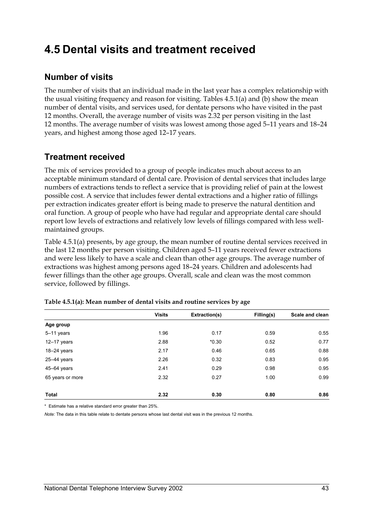## **4.5 Dental visits and treatment received**

### **Number of visits**

The number of visits that an individual made in the last year has a complex relationship with the usual visiting frequency and reason for visiting. Tables 4.5.1(a) and (b) show the mean number of dental visits, and services used, for dentate persons who have visited in the past 12 months. Overall, the average number of visits was 2.32 per person visiting in the last 12 months. The average number of visits was lowest among those aged 5–11 years and 18–24 years, and highest among those aged 12–17 years.

### **Treatment received**

The mix of services provided to a group of people indicates much about access to an acceptable minimum standard of dental care. Provision of dental services that includes large numbers of extractions tends to reflect a service that is providing relief of pain at the lowest possible cost. A service that includes fewer dental extractions and a higher ratio of fillings per extraction indicates greater effort is being made to preserve the natural dentition and oral function. A group of people who have had regular and appropriate dental care should report low levels of extractions and relatively low levels of fillings compared with less wellmaintained groups.

Table 4.5.1(a) presents, by age group, the mean number of routine dental services received in the last 12 months per person visiting. Children aged 5–11 years received fewer extractions and were less likely to have a scale and clean than other age groups. The average number of extractions was highest among persons aged 18–24 years. Children and adolescents had fewer fillings than the other age groups. Overall, scale and clean was the most common service, followed by fillings.

| <b>Visits</b> | Extraction(s) | Filling(s) | Scale and clean |
|---------------|---------------|------------|-----------------|
|               |               |            |                 |
| 1.96          | 0.17          | 0.59       | 0.55            |
| 2.88          | $*0.30$       | 0.52       | 0.77            |
| 2.17          | 0.46          | 0.65       | 0.88            |
| 2.26          | 0.32          | 0.83       | 0.95            |
| 2.41          | 0.29          | 0.98       | 0.95            |
| 2.32          | 0.27          | 1.00       | 0.99            |
| 2.32          | 0.30          | 0.80       | 0.86            |
|               |               |            |                 |

|  | Table 4.5.1(a): Mean number of dental visits and routine services by age |  |  |  |
|--|--------------------------------------------------------------------------|--|--|--|
|  |                                                                          |  |  |  |

\* Estimate has a relative standard error greater than 25%.

*Note:* The data in this table relate to dentate persons whose last dental visit was in the previous 12 months.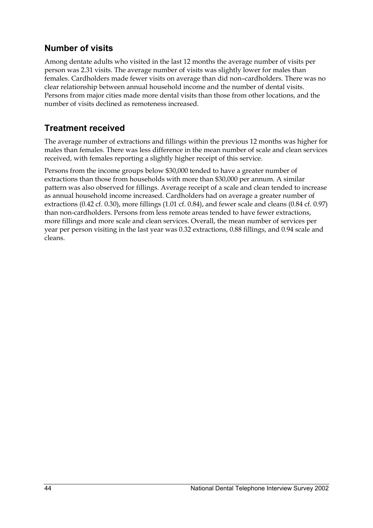## **Number of visits**

Among dentate adults who visited in the last 12 months the average number of visits per person was 2.31 visits. The average number of visits was slightly lower for males than females. Cardholders made fewer visits on average than did non–cardholders. There was no clear relationship between annual household income and the number of dental visits. Persons from major cities made more dental visits than those from other locations, and the number of visits declined as remoteness increased.

## **Treatment received**

The average number of extractions and fillings within the previous 12 months was higher for males than females. There was less difference in the mean number of scale and clean services received, with females reporting a slightly higher receipt of this service.

Persons from the income groups below \$30,000 tended to have a greater number of extractions than those from households with more than \$30,000 per annum. A similar pattern was also observed for fillings. Average receipt of a scale and clean tended to increase as annual household income increased. Cardholders had on average a greater number of extractions (0.42 cf. 0.30), more fillings (1.01 cf. 0.84), and fewer scale and cleans (0.84 cf. 0.97) than non-cardholders. Persons from less remote areas tended to have fewer extractions, more fillings and more scale and clean services. Overall, the mean number of services per year per person visiting in the last year was 0.32 extractions, 0.88 fillings, and 0.94 scale and cleans.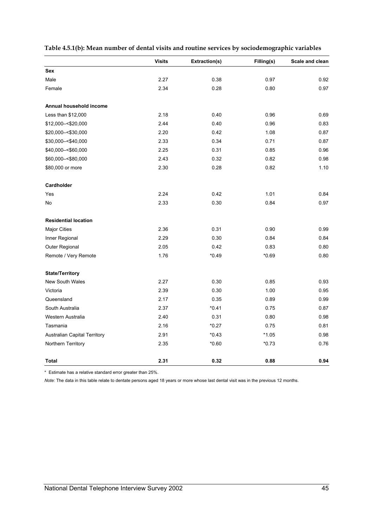|  |  |  |  | Table 4.5.1(b): Mean number of dental visits and routine services by sociodemographic variables |  |
|--|--|--|--|-------------------------------------------------------------------------------------------------|--|
|  |  |  |  |                                                                                                 |  |

|                                     | <b>Visits</b> | Extraction(s) | Filling(s) | Scale and clean |
|-------------------------------------|---------------|---------------|------------|-----------------|
| Sex                                 |               |               |            |                 |
| Male                                | 2.27          | 0.38          | 0.97       | 0.92            |
| Female                              | 2.34          | 0.28          | 0.80       | 0.97            |
| Annual household income             |               |               |            |                 |
| Less than \$12,000                  | 2.18          | 0.40          | 0.96       | 0.69            |
| \$12,000 -< \$20,000                | 2.44          | 0.40          | 0.96       | 0.83            |
| \$20,000 -< \$30,000                | 2.20          | 0.42          | 1.08       | 0.87            |
| \$30,000 -< \$40,000                | 2.33          | 0.34          | 0.71       | 0.87            |
| \$40,000 -< \$60,000                | 2.25          | 0.31          | 0.85       | 0.96            |
| \$60,000 -< \$80,000                | 2.43          | 0.32          | 0.82       | 0.98            |
| \$80,000 or more                    | 2.30          | 0.28          | 0.82       | 1.10            |
| Cardholder                          |               |               |            |                 |
| Yes                                 | 2.24          | 0.42          | 1.01       | 0.84            |
| No                                  | 2.33          | 0.30          | 0.84       | 0.97            |
| <b>Residential location</b>         |               |               |            |                 |
| <b>Major Cities</b>                 | 2.36          | 0.31          | 0.90       | 0.99            |
| Inner Regional                      | 2.29          | 0.30          | 0.84       | 0.84            |
| Outer Regional                      | 2.05          | 0.42          | 0.83       | 0.80            |
| Remote / Very Remote                | 1.76          | $*0.49$       | $*0.69$    | 0.80            |
| <b>State/Territory</b>              |               |               |            |                 |
| New South Wales                     | 2.27          | 0.30          | 0.85       | 0.93            |
| Victoria                            | 2.39          | 0.30          | 1.00       | 0.95            |
| Queensland                          | 2.17          | 0.35          | 0.89       | 0.99            |
| South Australia                     | 2.37          | $*0.41$       | 0.75       | 0.87            |
| Western Australia                   | 2.40          | 0.31          | 0.80       | 0.98            |
| Tasmania                            | 2.16          | $*0.27$       | 0.75       | 0.81            |
| <b>Australian Capital Territory</b> | 2.91          | $*0.43$       | $*1.05$    | 0.98            |
| Northern Territory                  | 2.35          | $*0.60$       | $*0.73$    | 0.76            |
| <b>Total</b>                        | 2.31          | 0.32          | 0.88       | 0.94            |

\* Estimate has a relative standard error greater than 25%.

*Note:* The data in this table relate to dentate persons aged 18 years or more whose last dental visit was in the previous 12 months.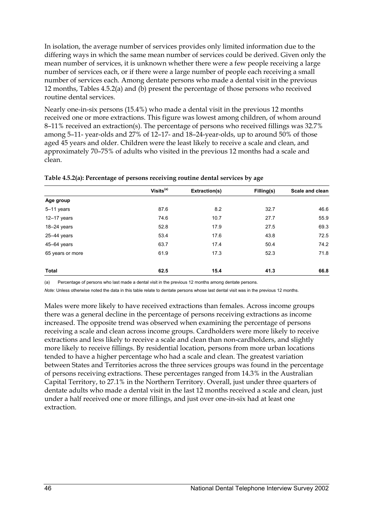In isolation, the average number of services provides only limited information due to the differing ways in which the same mean number of services could be derived. Given only the mean number of services, it is unknown whether there were a few people receiving a large number of services each, or if there were a large number of people each receiving a small number of services each. Among dentate persons who made a dental visit in the previous 12 months, Tables  $4.5.2(a)$  and  $(b)$  present the percentage of those persons who received routine dental services.

Nearly one-in-six persons (15.4%) who made a dental visit in the previous 12 months received one or more extractions. This figure was lowest among children, of whom around 8–11% received an extraction(s). The percentage of persons who received fillings was 32.7% among 5–11- year-olds and 27% of 12–17- and 18–24-year-olds, up to around 50% of those aged 45 years and older. Children were the least likely to receive a scale and clean, and approximately 70–75% of adults who visited in the previous 12 months had a scale and clean.

|                  | Visits <sup>(a)</sup> | Extraction(s) | Filling(s) | Scale and clean |
|------------------|-----------------------|---------------|------------|-----------------|
| Age group        |                       |               |            |                 |
| 5-11 years       | 87.6                  | 8.2           | 32.7       | 46.6            |
| $12-17$ years    | 74.6                  | 10.7          | 27.7       | 55.9            |
| $18-24$ years    | 52.8                  | 17.9          | 27.5       | 69.3            |
| $25 - 44$ years  | 53.4                  | 17.6          | 43.8       | 72.5            |
| $45 - 64$ years  | 63.7                  | 17.4          | 50.4       | 74.2            |
| 65 years or more | 61.9                  | 17.3          | 52.3       | 71.8            |
| Total            | 62.5                  | 15.4          | 41.3       | 66.8            |

**Table 4.5.2(a): Percentage of persons receiving routine dental services by age** 

(a) Percentage of persons who last made a dental visit in the previous 12 months among dentate persons.

*Note:* Unless otherwise noted the data in this table relate to dentate persons whose last dental visit was in the previous 12 months.

Males were more likely to have received extractions than females. Across income groups there was a general decline in the percentage of persons receiving extractions as income increased. The opposite trend was observed when examining the percentage of persons receiving a scale and clean across income groups. Cardholders were more likely to receive extractions and less likely to receive a scale and clean than non-cardholders, and slightly more likely to receive fillings. By residential location, persons from more urban locations tended to have a higher percentage who had a scale and clean. The greatest variation between States and Territories across the three services groups was found in the percentage of persons receiving extractions. These percentages ranged from 14.3% in the Australian Capital Territory, to 27.1% in the Northern Territory. Overall, just under three quarters of dentate adults who made a dental visit in the last 12 months received a scale and clean, just under a half received one or more fillings, and just over one-in-six had at least one extraction.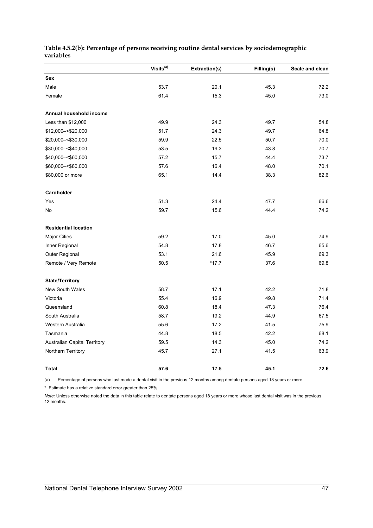#### **Table 4.5.2(b): Percentage of persons receiving routine dental services by sociodemographic variables**

|                                     | Visits <sup>(a)</sup> | Extraction(s) | Filling(s) | Scale and clean |
|-------------------------------------|-----------------------|---------------|------------|-----------------|
| Sex                                 |                       |               |            |                 |
| Male                                | 53.7                  | 20.1          | 45.3       | 72.2            |
| Female                              | 61.4                  | 15.3          | 45.0       | 73.0            |
| Annual household income             |                       |               |            |                 |
| Less than \$12,000                  | 49.9                  | 24.3          | 49.7       | 54.8            |
| \$12,000 - < \$20,000               | 51.7                  | 24.3          | 49.7       | 64.8            |
| \$20,000 -< \$30,000                | 59.9                  | 22.5          | 50.7       | 70.0            |
| \$30,000 -< \$40,000                | 53.5                  | 19.3          | 43.8       | 70.7            |
| \$40,000 -< \$60,000                | 57.2                  | 15.7          | 44.4       | 73.7            |
| \$60,000 -< \$80,000                | 57.6                  | 16.4          | 48.0       | 70.1            |
| \$80,000 or more                    | 65.1                  | 14.4          | 38.3       | 82.6            |
| Cardholder                          |                       |               |            |                 |
| Yes                                 | 51.3                  | 24.4          | 47.7       | 66.6            |
| No                                  | 59.7                  | 15.6          | 44.4       | 74.2            |
| <b>Residential location</b>         |                       |               |            |                 |
| <b>Major Cities</b>                 | 59.2                  | 17.0          | 45.0       | 74.9            |
| Inner Regional                      | 54.8                  | 17.8          | 46.7       | 65.6            |
| Outer Regional                      | 53.1                  | 21.6          | 45.9       | 69.3            |
| Remote / Very Remote                | 50.5                  | $*17.7$       | 37.6       | 69.8            |
| <b>State/Territory</b>              |                       |               |            |                 |
| <b>New South Wales</b>              | 58.7                  | 17.1          | 42.2       | 71.8            |
| Victoria                            | 55.4                  | 16.9          | 49.8       | 71.4            |
| Queensland                          | 60.8                  | 18.4          | 47.3       | 76.4            |
| South Australia                     | 58.7                  | 19.2          | 44.9       | 67.5            |
| Western Australia                   | 55.6                  | 17.2          | 41.5       | 75.9            |
| Tasmania                            | 44.8                  | 18.5          | 42.2       | 68.1            |
| <b>Australian Capital Territory</b> | 59.5                  | 14.3          | 45.0       | 74.2            |
| Northern Territory                  | 45.7                  | 27.1          | 41.5       | 63.9            |
| <b>Total</b>                        | 57.6                  | 17.5          | 45.1       | 72.6            |

(a) Percentage of persons who last made a dental visit in the previous 12 months among dentate persons aged 18 years or more.

\* Estimate has a relative standard error greater than 25%.

*Note:* Unless otherwise noted the data in this table relate to dentate persons aged 18 years or more whose last dental visit was in the previous 12 months.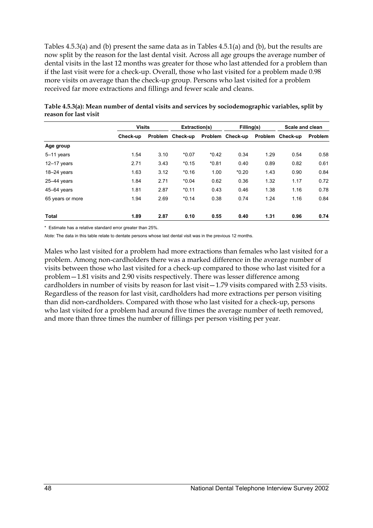Tables 4.5.3(a) and (b) present the same data as in Tables 4.5.1(a) and (b), but the results are now split by the reason for the last dental visit. Across all age groups the average number of dental visits in the last 12 months was greater for those who last attended for a problem than if the last visit were for a check-up. Overall, those who last visited for a problem made 0.98 more visits on average than the check-up group. Persons who last visited for a problem received far more extractions and fillings and fewer scale and cleans.

|                  |          | <b>Visits</b> |                  | Extraction(s) |                  | Filling(s) |                  | Scale and clean |  |
|------------------|----------|---------------|------------------|---------------|------------------|------------|------------------|-----------------|--|
|                  | Check-up |               | Problem Check-up |               | Problem Check-up |            | Problem Check-up | <b>Problem</b>  |  |
| Age group        |          |               |                  |               |                  |            |                  |                 |  |
| 5-11 years       | 1.54     | 3.10          | $*0.07$          | $*0.42$       | 0.34             | 1.29       | 0.54             | 0.58            |  |
| $12-17$ years    | 2.71     | 3.43          | $*0.15$          | $*0.81$       | 0.40             | 0.89       | 0.82             | 0.61            |  |
| $18 - 24$ years  | 1.63     | 3.12          | $*0.16$          | 1.00          | $*0.20$          | 1.43       | 0.90             | 0.84            |  |
| $25-44$ years    | 1.84     | 2.71          | $*0.04$          | 0.62          | 0.36             | 1.32       | 1.17             | 0.72            |  |
| 45-64 years      | 1.81     | 2.87          | $*0.11$          | 0.43          | 0.46             | 1.38       | 1.16             | 0.78            |  |
| 65 years or more | 1.94     | 2.69          | $*0.14$          | 0.38          | 0.74             | 1.24       | 1.16             | 0.84            |  |
| <b>Total</b>     | 1.89     | 2.87          | 0.10             | 0.55          | 0.40             | 1.31       | 0.96             | 0.74            |  |

| Table 4.5.3(a): Mean number of dental visits and services by sociodemographic variables, split by |  |
|---------------------------------------------------------------------------------------------------|--|
| reason for last visit                                                                             |  |

\* Estimate has a relative standard error greater than 25%.

*Note:* The data in this table relate to dentate persons whose last dental visit was in the previous 12 months.

Males who last visited for a problem had more extractions than females who last visited for a problem. Among non-cardholders there was a marked difference in the average number of visits between those who last visited for a check-up compared to those who last visited for a problem—1.81 visits and 2.90 visits respectively. There was lesser difference among cardholders in number of visits by reason for last visit—1.79 visits compared with 2.53 visits. Regardless of the reason for last visit, cardholders had more extractions per person visiting than did non-cardholders. Compared with those who last visited for a check-up, persons who last visited for a problem had around five times the average number of teeth removed, and more than three times the number of fillings per person visiting per year.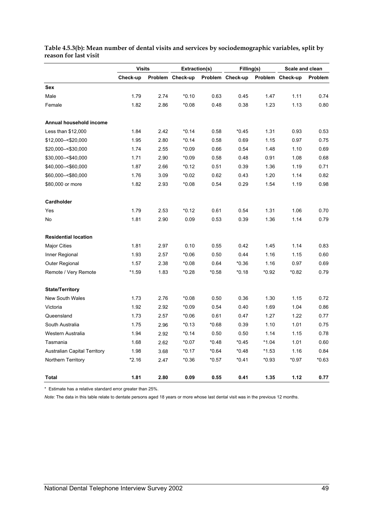|                                     | <b>Visits</b> |      | Extraction(s)    |         | Filling(s)       |         | <b>Scale and clean</b> |         |
|-------------------------------------|---------------|------|------------------|---------|------------------|---------|------------------------|---------|
|                                     | Check-up      |      | Problem Check-up |         | Problem Check-up |         | Problem Check-up       | Problem |
| <b>Sex</b>                          |               |      |                  |         |                  |         |                        |         |
| Male                                | 1.79          | 2.74 | $*0.10$          | 0.63    | 0.45             | 1.47    | 1.11                   | 0.74    |
| Female                              | 1.82          | 2.86 | $*0.08$          | 0.48    | 0.38             | 1.23    | 1.13                   | 0.80    |
| Annual household income             |               |      |                  |         |                  |         |                        |         |
| Less than \$12,000                  | 1.84          | 2.42 | $*0.14$          | 0.58    | $*0.45$          | 1.31    | 0.93                   | 0.53    |
| \$12,000 -< \$20,000                | 1.95          | 2.80 | $*0.14$          | 0.58    | 0.69             | 1.15    | 0.97                   | 0.75    |
| \$20,000 - < \$30,000               | 1.74          | 2.55 | $*0.09$          | 0.66    | 0.54             | 1.48    | 1.10                   | 0.69    |
| \$30,000 -< \$40,000                | 1.71          | 2.90 | $*0.09$          | 0.58    | 0.48             | 0.91    | 1.08                   | 0.68    |
| \$40,000 -< \$60,000                | 1.87          | 2.66 | $*0.12$          | 0.51    | 0.39             | 1.36    | 1.19                   | 0.71    |
| \$60,000 -< \$80,000                | 1.76          | 3.09 | $*0.02$          | 0.62    | 0.43             | 1.20    | 1.14                   | 0.82    |
| \$80,000 or more                    | 1.82          | 2.93 | $*0.08$          | 0.54    | 0.29             | 1.54    | 1.19                   | 0.98    |
| Cardholder                          |               |      |                  |         |                  |         |                        |         |
| Yes                                 | 1.79          | 2.53 | $*0.12$          | 0.61    | 0.54             | 1.31    | 1.06                   | 0.70    |
| No                                  | 1.81          | 2.90 | 0.09             | 0.53    | 0.39             | 1.36    | 1.14                   | 0.79    |
| <b>Residential location</b>         |               |      |                  |         |                  |         |                        |         |
| <b>Major Cities</b>                 | 1.81          | 2.97 | 0.10             | 0.55    | 0.42             | 1.45    | 1.14                   | 0.83    |
| Inner Regional                      | 1.93          | 2.57 | $*0.06$          | 0.50    | 0.44             | 1.16    | 1.15                   | 0.60    |
| Outer Regional                      | 1.57          | 2.38 | $*0.08$          | 0.64    | $*0.36$          | 1.16    | 0.97                   | 0.69    |
| Remote / Very Remote                | $*1.59$       | 1.83 | $*0.28$          | $*0.58$ | $*0.18$          | $*0.92$ | $*0.82$                | 0.79    |
| <b>State/Territory</b>              |               |      |                  |         |                  |         |                        |         |
| New South Wales                     | 1.73          | 2.76 | $*0.08$          | 0.50    | 0.36             | 1.30    | 1.15                   | 0.72    |
| Victoria                            | 1.92          | 2.92 | $*0.09$          | 0.54    | 0.40             | 1.69    | 1.04                   | 0.86    |
| Queensland                          | 1.73          | 2.57 | $*0.06$          | 0.61    | 0.47             | 1.27    | 1.22                   | 0.77    |
| South Australia                     | 1.75          | 2.96 | $*0.13$          | $*0.68$ | 0.39             | 1.10    | 1.01                   | 0.75    |
| Western Australia                   | 1.94          | 2.92 | $*0.14$          | 0.50    | 0.50             | 1.14    | 1.15                   | 0.78    |
| Tasmania                            | 1.68          | 2.62 | $*0.07$          | $*0.48$ | $*0.45$          | $*1.04$ | 1.01                   | 0.60    |
| <b>Australian Capital Territory</b> | 1.98          | 3.68 | $*0.17$          | $*0.64$ | $*0.48$          | $*1.53$ | 1.16                   | 0.84    |
| Northern Territory                  | *2.16         | 2.47 | $*0.36$          | *0.57   | $*0.41$          | *0.93   | *0.97                  | $*0.63$ |
| Total                               | 1.81          | 2.80 | 0.09             | 0.55    | 0.41             | 1.35    | 1.12                   | 0.77    |

#### **Table 4.5.3(b): Mean number of dental visits and services by sociodemographic variables, split by reason for last visit**

\* Estimate has a relative standard error greater than 25%.

*Note:* The data in this table relate to dentate persons aged 18 years or more whose last dental visit was in the previous 12 months.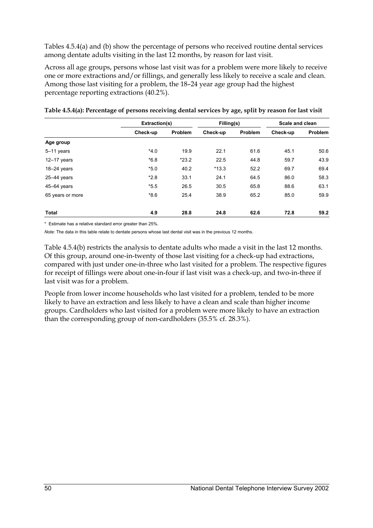Tables 4.5.4(a) and (b) show the percentage of persons who received routine dental services among dentate adults visiting in the last 12 months, by reason for last visit.

Across all age groups, persons whose last visit was for a problem were more likely to receive one or more extractions and/or fillings, and generally less likely to receive a scale and clean. Among those last visiting for a problem, the 18–24 year age group had the highest percentage reporting extractions (40.2%).

|                  |          | Extraction(s) |          | Filling(s) |          | Scale and clean |  |
|------------------|----------|---------------|----------|------------|----------|-----------------|--|
|                  | Check-up | Problem       | Check-up | Problem    | Check-up | Problem         |  |
| Age group        |          |               |          |            |          |                 |  |
| 5-11 years       | $*4.0$   | 19.9          | 22.1     | 61.6       | 45.1     | 50.6            |  |
| $12 - 17$ years  | $*6.8$   | $*23.2$       | 22.5     | 44.8       | 59.7     | 43.9            |  |
| $18-24$ years    | $*5.0$   | 40.2          | $*13.3$  | 52.2       | 69.7     | 69.4            |  |
| $25 - 44$ years  | $*2.8$   | 33.1          | 24.1     | 64.5       | 86.0     | 58.3            |  |
| 45-64 years      | $*5.5$   | 26.5          | 30.5     | 65.8       | 88.6     | 63.1            |  |
| 65 years or more | $*8.6$   | 25.4          | 38.9     | 65.2       | 85.0     | 59.9            |  |
| Total            | 4.9      | 28.8          | 24.8     | 62.6       | 72.8     | 59.2            |  |

**Table 4.5.4(a): Percentage of persons receiving dental services by age, split by reason for last visit** 

\* Estimate has a relative standard error greater than 25%.

*Note:* The data in this table relate to dentate persons whose last dental visit was in the previous 12 months.

Table 4.5.4(b) restricts the analysis to dentate adults who made a visit in the last 12 months. Of this group, around one-in-twenty of those last visiting for a check-up had extractions, compared with just under one-in-three who last visited for a problem. The respective figures for receipt of fillings were about one-in-four if last visit was a check-up, and two-in-three if last visit was for a problem.

People from lower income households who last visited for a problem, tended to be more likely to have an extraction and less likely to have a clean and scale than higher income groups. Cardholders who last visited for a problem were more likely to have an extraction than the corresponding group of non-cardholders (35.5% cf. 28.3%).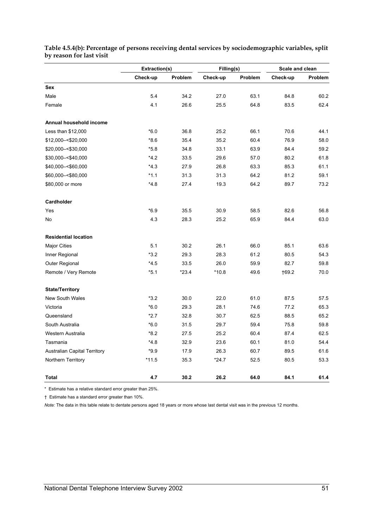|                                     | Extraction(s) |         | Filling(s) |         | Scale and clean |         |
|-------------------------------------|---------------|---------|------------|---------|-----------------|---------|
|                                     | Check-up      | Problem | Check-up   | Problem | Check-up        | Problem |
| Sex                                 |               |         |            |         |                 |         |
| Male                                | 5.4           | 34.2    | 27.0       | 63.1    | 84.8            | 60.2    |
| Female                              | 4.1           | 26.6    | 25.5       | 64.8    | 83.5            | 62.4    |
| Annual household income             |               |         |            |         |                 |         |
| Less than \$12,000                  | $*6.0$        | 36.8    | 25.2       | 66.1    | 70.6            | 44.1    |
| \$12,000 - < \$20,000               | $*8.6$        | 35.4    | 35.2       | 60.4    | 76.9            | 58.0    |
| \$20,000 -< \$30,000                | $*5.8$        | 34.8    | 33.1       | 63.9    | 84.4            | 59.2    |
| \$30,000 -< \$40,000                | $*4.2$        | 33.5    | 29.6       | 57.0    | 80.2            | 61.8    |
| \$40,000 -< \$60,000                | $*4.3$        | 27.9    | 26.8       | 63.3    | 85.3            | 61.1    |
| \$60,000 -< \$80,000                | $*1.1$        | 31.3    | 31.3       | 64.2    | 81.2            | 59.1    |
| \$80,000 or more                    | $*4.8$        | 27.4    | 19.3       | 64.2    | 89.7            | 73.2    |
| Cardholder                          |               |         |            |         |                 |         |
| Yes                                 | $*6.9$        | 35.5    | 30.9       | 58.5    | 82.6            | 56.8    |
| <b>No</b>                           | 4.3           | 28.3    | 25.2       | 65.9    | 84.4            | 63.0    |
| <b>Residential location</b>         |               |         |            |         |                 |         |
| <b>Major Cities</b>                 | 5.1           | 30.2    | 26.1       | 66.0    | 85.1            | 63.6    |
| Inner Regional                      | $*3.2$        | 29.3    | 28.3       | 61.2    | 80.5            | 54.3    |
| Outer Regional                      | $*4.5$        | 33.5    | 26.0       | 59.9    | 82.7            | 59.8    |
| Remote / Very Remote                | $*5.1$        | $*23.4$ | $*10.8$    | 49.6    | $+69.2$         | 70.0    |
| <b>State/Territory</b>              |               |         |            |         |                 |         |
| <b>New South Wales</b>              | $*3.2$        | 30.0    | 22.0       | 61.0    | 87.5            | 57.5    |
| Victoria                            | $*6.0$        | 29.3    | 28.1       | 74.6    | 77.2            | 65.3    |
| Queensland                          | $*2.7$        | 32.8    | 30.7       | 62.5    | 88.5            | 65.2    |
| South Australia                     | $*6.0$        | 31.5    | 29.7       | 59.4    | 75.8            | 59.8    |
| Western Australia                   | $*8.2$        | 27.5    | 25.2       | 60.4    | 87.4            | 62.5    |
| Tasmania                            | *4.8          | 32.9    | 23.6       | 60.1    | 81.0            | 54.4    |
| <b>Australian Capital Territory</b> | $*9.9$        | 17.9    | 26.3       | 60.7    | 89.5            | 61.6    |
| Northern Territory                  | $*11.5$       | 35.3    | *24.7      | 52.5    | 80.5            | 53.3    |
| Total                               | 4.7           | 30.2    | 26.2       | 64.0    | 84.1            | 61.4    |

**Table 4.5.4(b): Percentage of persons receiving dental services by sociodemographic variables, split by reason for last visit** 

\* Estimate has a relative standard error greater than 25%.

† Estimate has a standard error greater than 10%.

*Note:* The data in this table relate to dentate persons aged 18 years or more whose last dental visit was in the previous 12 months.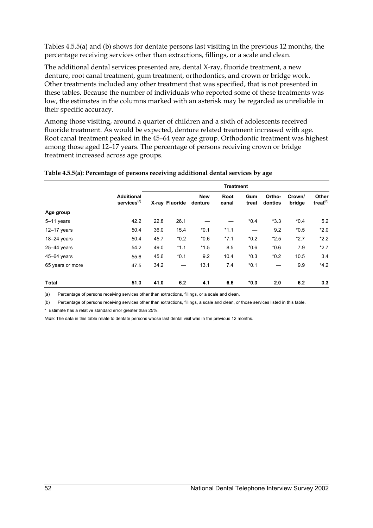Tables 4.5.5(a) and (b) shows for dentate persons last visiting in the previous 12 months, the percentage receiving services other than extractions, fillings, or a scale and clean.

The additional dental services presented are, dental X-ray, fluoride treatment, a new denture, root canal treatment, gum treatment, orthodontics, and crown or bridge work. Other treatments included any other treatment that was specified, that is not presented in these tables. Because the number of individuals who reported some of these treatments was low, the estimates in the columns marked with an asterisk may be regarded as unreliable in their specific accuracy.

Among those visiting, around a quarter of children and a sixth of adolescents received fluoride treatment. As would be expected, denture related treatment increased with age. Root canal treatment peaked in the 45–64 year age group. Orthodontic treatment was highest among those aged 12–17 years. The percentage of persons receiving crown or bridge treatment increased across age groups.

|  |  | Table 4.5.5(a): Percentage of persons receiving additional dental services by age |
|--|--|-----------------------------------------------------------------------------------|
|  |  |                                                                                   |

|                  |                                              | <b>Treatment</b> |                          |                       |               |              |                   |                  |                               |
|------------------|----------------------------------------------|------------------|--------------------------|-----------------------|---------------|--------------|-------------------|------------------|-------------------------------|
|                  | <b>Additional</b><br>services <sup>(a)</sup> |                  | X-ray Fluoride           | <b>New</b><br>denture | Root<br>canal | Gum<br>treat | Ortho-<br>dontics | Crown/<br>bridge | Other<br>treat <sup>(b)</sup> |
| Age group        |                                              |                  |                          |                       |               |              |                   |                  |                               |
| $5-11$ years     | 42.2                                         | 22.8             | 26.1                     |                       |               | $*0.4$       | $*3.3$            | $*0.4$           | 5.2                           |
| $12-17$ years    | 50.4                                         | 36.0             | 15.4                     | $*0.1$                | $*1.1$        |              | 9.2               | $*0.5$           | $*2.0$                        |
| $18-24$ years    | 50.4                                         | 45.7             | $*0.2$                   | $*0.6$                | $*7.1$        | $*0.2$       | $*2.5$            | $*2.7$           | $*2.2$                        |
| $25-44$ years    | 54.2                                         | 49.0             | $*1.1$                   | $*1.5$                | 8.5           | $*0.6$       | $*0.6$            | 7.9              | $*2.7$                        |
| 45-64 years      | 55.6                                         | 45.6             | $*0.1$                   | 9.2                   | 10.4          | $*0.3$       | $*0.2$            | 10.5             | 3.4                           |
| 65 years or more | 47.5                                         | 34.2             | $\overline{\phantom{0}}$ | 13.1                  | 7.4           | $*0.1$       |                   | 9.9              | $*4.2$                        |
| <b>Total</b>     | 51.3                                         | 41.0             | 6.2                      | 4.1                   | 6.6           | $*0.3$       | 2.0               | 6.2              | 3.3                           |

(a) Percentage of persons receiving services other than extractions, fillings, or a scale and clean.

(b) Percentage of persons receiving services other than extractions, fillings, a scale and clean, or those services listed in this table.

\* Estimate has a relative standard error greater than 25%.

*Note:* The data in this table relate to dentate persons whose last dental visit was in the previous 12 months.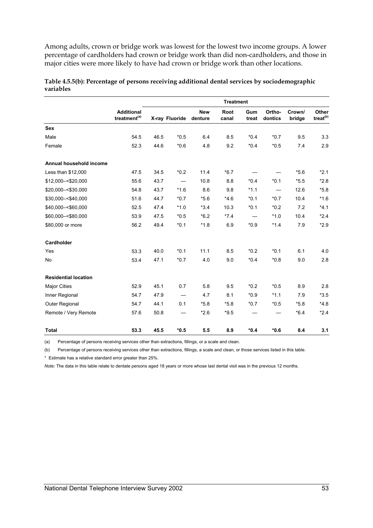Among adults, crown or bridge work was lowest for the lowest two income groups. A lower percentage of cardholders had crown or bridge work than did non-cardholders, and those in major cities were more likely to have had crown or bridge work than other locations.

|                                | <b>Treatment</b>                              |      |                |                       |               |              |                   |                  |                               |
|--------------------------------|-----------------------------------------------|------|----------------|-----------------------|---------------|--------------|-------------------|------------------|-------------------------------|
|                                | <b>Additional</b><br>treatment <sup>(a)</sup> |      | X-ray Fluoride | <b>New</b><br>denture | Root<br>canal | Gum<br>treat | Ortho-<br>dontics | Crown/<br>bridge | Other<br>treat <sup>(b)</sup> |
| <b>Sex</b>                     |                                               |      |                |                       |               |              |                   |                  |                               |
| Male                           | 54.5                                          | 46.5 | $*0.5$         | 6.4                   | 8.5           | $*0.4$       | $*0.7$            | 9.5              | 3.3                           |
| Female                         | 52.3                                          | 44.6 | $*0.6$         | 4.8                   | 9.2           | $*0.4$       | $*0.5$            | 7.4              | 2.9                           |
| <b>Annual household income</b> |                                               |      |                |                       |               |              |                   |                  |                               |
| Less than \$12,000             | 47.5                                          | 34.5 | $*0.2$         | 11.4                  | $*6.7$        |              |                   | $*5.6$           | $*2.1$                        |
| \$12,000 -< \$20,000           | 55.6                                          | 43.7 |                | 10.8                  | 8.8           | $*0.4$       | $*0.1$            | $*5.5$           | $*2.8$                        |
| \$20,000 -< \$30,000           | 54.8                                          | 43.7 | $*1.6$         | 8.6                   | 9.8           | $*1.1$       |                   | 12.6             | $*5.8$                        |
| \$30,000 -< \$40,000           | 51.6                                          | 44.7 | $*0.7$         | $*5.6$                | $*4.6$        | $*0.1$       | $*0.7$            | 10.4             | $*1.6$                        |
| \$40,000 -< \$60,000           | 52.5                                          | 47.4 | $*1.0$         | $*3.4$                | 10.3          | $*0.1$       | $*0.2$            | 7.2              | $*4.1$                        |
| \$60,000 -< \$80,000           | 53.9                                          | 47.5 | $*0.5$         | $*6.2$                | $*7.4$        |              | $*1.0$            | 10.4             | $*2.4$                        |
| \$80,000 or more               | 56.2                                          | 49.4 | $*0.1$         | $*1.8$                | 6.9           | $*0.9$       | $*1.4$            | 7.9              | $*2.9$                        |
| Cardholder                     |                                               |      |                |                       |               |              |                   |                  |                               |
| Yes                            | 53.3                                          | 40.0 | $*0.1$         | 11.1                  | 8.5           | $*0.2$       | $*0.1$            | 6.1              | 4.0                           |
| No                             | 53.4                                          | 47.1 | $*0.7$         | 4.0                   | 9.0           | $*0.4$       | $*0.8$            | 9.0              | 2.8                           |
| <b>Residential location</b>    |                                               |      |                |                       |               |              |                   |                  |                               |
| <b>Major Cities</b>            | 52.9                                          | 45.1 | 0.7            | 5.8                   | 9.5           | $*0.2$       | $*0.5$            | 8.9              | 2.8                           |
| Inner Regional                 | 54.7                                          | 47.9 |                | 4.7                   | 8.1           | $*0.9$       | $*1.1$            | 7.9              | $*3.5$                        |
| Outer Regional                 | 54.7                                          | 44.1 | 0.1            | $*5.8$                | $*5.8$        | $*0.7$       | $*0.5$            | $*5.8$           | $*4.8$                        |
| Remote / Very Remote           | 57.6                                          | 50.8 |                | $*2.6$                | $*9.5$        |              |                   | $*6.4$           | $*2.4$                        |
| <b>Total</b>                   | 53.3                                          | 45.5 | $*0.5$         | 5.5                   | 8.9           | $*0.4$       | $*0.6$            | 8.4              | 3.1                           |

#### **Table 4.5.5(b): Percentage of persons receiving additional dental services by sociodemographic variables**

(a) Percentage of persons receiving services other than extractions, fillings, or a scale and clean.

(b) Percentage of persons receiving services other than extractions, fillings, a scale and clean, or those services listed in this table.

\* Estimate has a relative standard error greater than 25%.

*Note:* The data in this table relate to dentate persons aged 18 years or more whose last dental visit was in the previous 12 months.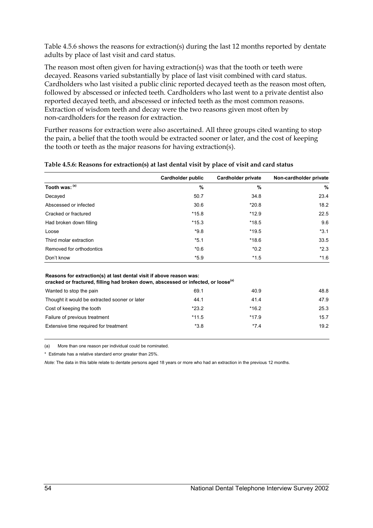Table 4.5.6 shows the reasons for extraction(s) during the last 12 months reported by dentate adults by place of last visit and card status.

The reason most often given for having extraction(s) was that the tooth or teeth were decayed. Reasons varied substantially by place of last visit combined with card status. Cardholders who last visited a public clinic reported decayed teeth as the reason most often, followed by abscessed or infected teeth. Cardholders who last went to a private dentist also reported decayed teeth, and abscessed or infected teeth as the most common reasons. Extraction of wisdom teeth and decay were the two reasons given most often by non-cardholders for the reason for extraction.

Further reasons for extraction were also ascertained. All three groups cited wanting to stop the pain, a belief that the tooth would be extracted sooner or later, and the cost of keeping the tooth or teeth as the major reasons for having extraction(s).

|                                                                                                                                                                      | <b>Cardholder public</b> | <b>Cardholder private</b> | Non-cardholder private |
|----------------------------------------------------------------------------------------------------------------------------------------------------------------------|--------------------------|---------------------------|------------------------|
| Tooth was: (a)                                                                                                                                                       | %                        | %                         | $\frac{0}{0}$          |
| Decayed                                                                                                                                                              | 50.7                     | 34.8                      | 23.4                   |
| Abscessed or infected                                                                                                                                                | 30.6                     | $*20.8$                   | 18.2                   |
| Cracked or fractured                                                                                                                                                 | $*15.8$                  | $*12.9$                   | 22.5                   |
| Had broken down filling                                                                                                                                              | $*15.3$                  | $*18.5$                   | 9.6                    |
| Loose                                                                                                                                                                | $*9.8$                   | $*19.5$                   | $*3.1$                 |
| Third molar extraction                                                                                                                                               | $*5.1$                   | $*18.6$                   | 33.5                   |
| Removed for orthodontics                                                                                                                                             | $*0.6$                   | $*0.2$                    | $*2.3$                 |
| Don't know                                                                                                                                                           | $*5.9$                   | $*1.5$                    | $*1.6$                 |
| Reasons for extraction(s) at last dental visit if above reason was:<br>cracked or fractured, filling had broken down, abscessed or infected, or loose <sup>(a)</sup> |                          |                           |                        |
| Wanted to stop the pain                                                                                                                                              | 69.1                     | 40.9                      | 48.8                   |
| Thought it would be extracted sooner or later                                                                                                                        | 44.1                     | 41.4                      | 47.9                   |
| Cost of keeping the tooth                                                                                                                                            | $*23.2$                  | $*16.2$                   | 25.3                   |

Failure of previous treatment the state of previous treatment the state of  $\sim$  15.7  $\sim$  15.7 Extensive time required for treatment the term of the state of the state of the state of the state of the state of the state of the state of the state of the state of the state of the state of the state of the state of the

#### **Table 4.5.6: Reasons for extraction(s) at last dental visit by place of visit and card status**

(a) More than one reason per individual could be nominated.

\* Estimate has a relative standard error greater than 25%.

*Note:* The data in this table relate to dentate persons aged 18 years or more who had an extraction in the previous 12 months.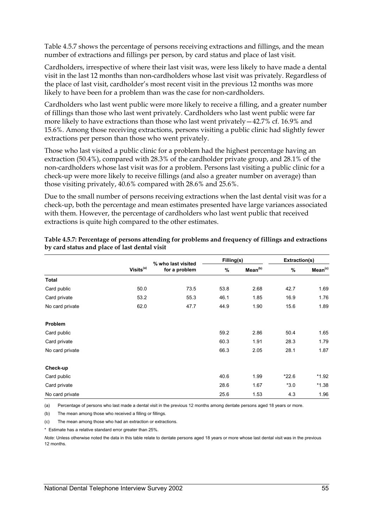Table 4.5.7 shows the percentage of persons receiving extractions and fillings, and the mean number of extractions and fillings per person, by card status and place of last visit.

Cardholders, irrespective of where their last visit was, were less likely to have made a dental visit in the last 12 months than non-cardholders whose last visit was privately. Regardless of the place of last visit, cardholder's most recent visit in the previous 12 months was more likely to have been for a problem than was the case for non-cardholders.

Cardholders who last went public were more likely to receive a filling, and a greater number of fillings than those who last went privately. Cardholders who last went public were far more likely to have extractions than those who last went privately—42.7% cf. 16.9% and 15.6%. Among those receiving extractions, persons visiting a public clinic had slightly fewer extractions per person than those who went privately.

Those who last visited a public clinic for a problem had the highest percentage having an extraction (50.4%), compared with 28.3% of the cardholder private group, and 28.1% of the non-cardholders whose last visit was for a problem. Persons last visiting a public clinic for a check-up were more likely to receive fillings (and also a greater number on average) than those visiting privately, 40.6% compared with 28.6% and 25.6%.

Due to the small number of persons receiving extractions when the last dental visit was for a check-up, both the percentage and mean estimates presented have large variances associated with them. However, the percentage of cardholders who last went public that received extractions is quite high compared to the other estimates.

|                 |                       | % who last visited | Filling(s) |                     | Extraction(s) |                     |
|-----------------|-----------------------|--------------------|------------|---------------------|---------------|---------------------|
|                 | Visits <sup>(a)</sup> | for a problem      | %          | Mean <sup>(b)</sup> | $\frac{9}{6}$ | Mean <sup>(c)</sup> |
| <b>Total</b>    |                       |                    |            |                     |               |                     |
| Card public     | 50.0                  | 73.5               | 53.8       | 2.68                | 42.7          | 1.69                |
| Card private    | 53.2                  | 55.3               | 46.1       | 1.85                | 16.9          | 1.76                |
| No card private | 62.0                  | 47.7               | 44.9       | 1.90                | 15.6          | 1.89                |
| Problem         |                       |                    |            |                     |               |                     |
| Card public     |                       |                    | 59.2       | 2.86                | 50.4          | 1.65                |
| Card private    |                       |                    | 60.3       | 1.91                | 28.3          | 1.79                |
| No card private |                       |                    | 66.3       | 2.05                | 28.1          | 1.87                |
| Check-up        |                       |                    |            |                     |               |                     |
| Card public     |                       |                    | 40.6       | 1.99                | $*22.6$       | *1.92               |
| Card private    |                       |                    | 28.6       | 1.67                | $*3.0$        | $*1.38$             |
| No card private |                       |                    | 25.6       | 1.53                | 4.3           | 1.96                |

#### **Table 4.5.7: Percentage of persons attending for problems and frequency of fillings and extractions by card status and place of last dental visit**

(a) Percentage of persons who last made a dental visit in the previous 12 months among dentate persons aged 18 years or more.

(b) The mean among those who received a filling or fillings.

(c) The mean among those who had an extraction or extractions.

\* Estimate has a relative standard error greater than 25%.

*Note:* Unless otherwise noted the data in this table relate to dentate persons aged 18 years or more whose last dental visit was in the previous 12 months.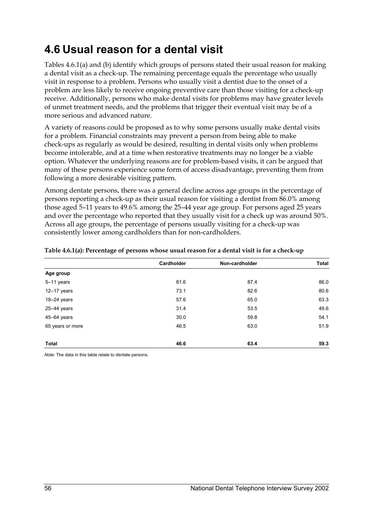## **4.6 Usual reason for a dental visit**

Tables 4.6.1(a) and (b) identify which groups of persons stated their usual reason for making a dental visit as a check-up. The remaining percentage equals the percentage who usually visit in response to a problem. Persons who usually visit a dentist due to the onset of a problem are less likely to receive ongoing preventive care than those visiting for a check-up receive. Additionally, persons who make dental visits for problems may have greater levels of unmet treatment needs, and the problems that trigger their eventual visit may be of a more serious and advanced nature.

A variety of reasons could be proposed as to why some persons usually make dental visits for a problem. Financial constraints may prevent a person from being able to make check-ups as regularly as would be desired, resulting in dental visits only when problems become intolerable, and at a time when restorative treatments may no longer be a viable option. Whatever the underlying reasons are for problem-based visits, it can be argued that many of these persons experience some form of access disadvantage, preventing them from following a more desirable visiting pattern.

Among dentate persons, there was a general decline across age groups in the percentage of persons reporting a check-up as their usual reason for visiting a dentist from 86.0% among those aged 5–11 years to 49.6% among the 25–44 year age group. For persons aged 25 years and over the percentage who reported that they usually visit for a check up was around 50%. Across all age groups, the percentage of persons usually visiting for a check-up was consistently lower among cardholders than for non-cardholders.

|                  | Cardholder | Non-cardholder | <b>Total</b> |
|------------------|------------|----------------|--------------|
| Age group        |            |                |              |
| 5-11 years       | 81.6       | 87.4           | 86.0         |
| $12 - 17$ years  | 73.1       | 82.6           | 80.6         |
| 18-24 years      | 57.6       | 65.0           | 63.3         |
| $25 - 44$ years  | 31.4       | 53.5           | 49.6         |
| $45 - 64$ years  | 30.0       | 59.8           | 54.1         |
| 65 years or more | 46.5       | 63.0           | 51.9         |
| Total            | 46.6       | 63.4           | 59.3         |

#### **Table 4.6.1(a): Percentage of persons whose usual reason for a dental visit is for a check-up**

*Note:* The data in this table relate to dentate persons.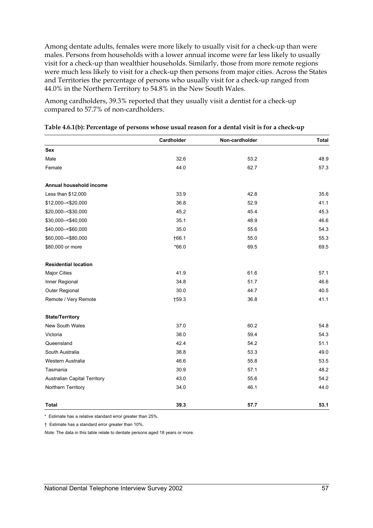Among dentate adults, females were more likely to usually visit for a check-up than were males. Persons from households with a lower annual income were far less likely to usually visit for a check-up than wealthier households. Similarly, those from more remote regions were much less likely to visit for a check-up then persons from major cities. Across the States and Territories the percentage of persons who usually visit for a check-up ranged from 44.0% in the Northern Territory to 54.8% in the New South Wales.

Among cardholders, 39.3% reported that they usually visit a dentist for a check-up compared to 57.7% of non-cardholders.

|                                     | Cardholder | Non-cardholder | <b>Total</b> |
|-------------------------------------|------------|----------------|--------------|
| <b>Sex</b>                          |            |                |              |
| Male                                | 32.6       | 53.2           | 48.9         |
| Female                              | 44.0       | 62.7           | 57.3         |
| Annual household income             |            |                |              |
| Less than \$12,000                  | 33.9       | 42.8           | 35.6         |
| \$12,000 -< \$20,000                | 36.8       | 52.9           | 41.1         |
| \$20,000 -< \$30,000                | 45.2       | 45.4           | 45.3         |
| \$30,000 -< \$40,000                | 35.1       | 48.9           | 46.6         |
| \$40,000 -< \$60,000                | 35.0       | 55.6           | 54.3         |
| \$60,000 -< \$80,000                | †66.1      | 55.0           | 55.3         |
| \$80,000 or more                    | $*66.0$    | 69.5           | 69.5         |
| <b>Residential location</b>         |            |                |              |
| <b>Major Cities</b>                 | 41.9       | 61.6           | 57.1         |
| Inner Regional                      | 34.8       | 51.7           | 46.6         |
| Outer Regional                      | 30.0       | 44.7           | 40.5         |
| Remote / Very Remote                | $+59.3$    | 36.8           | 41.1         |
| <b>State/Territory</b>              |            |                |              |
| <b>New South Wales</b>              | 37.0       | 60.2           | 54.8         |
| Victoria                            | 38.0       | 59.4           | 54.3         |
| Queensland                          | 42.4       | 54.2           | 51.1         |
| South Australia                     | 38.8       | 53.3           | 49.0         |
| Western Australia                   | 46.6       | 55.8           | 53.5         |
| Tasmania                            | 30.9       | 57.1           | 48.2         |
| <b>Australian Capital Territory</b> | 43.0       | 55.6           | 54.2         |
| Northern Territory                  | 34.0       | 46.1           | 44.0         |
| <b>Total</b>                        | 39.3       | 57.7           | 53.1         |

| Table 4.6.1(b): Percentage of persons whose usual reason for a dental visit is for a check-up |  |  |
|-----------------------------------------------------------------------------------------------|--|--|
|                                                                                               |  |  |

\* Estimate has a relative standard error greater than 25%.

† Estimate has a standard error greater than 10%.

*Note:* The data in this table relate to dentate persons aged 18 years or more.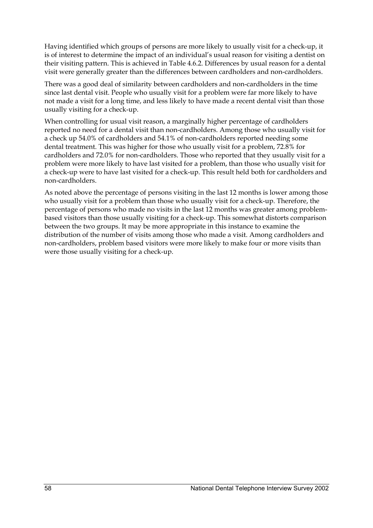Having identified which groups of persons are more likely to usually visit for a check-up, it is of interest to determine the impact of an individual's usual reason for visiting a dentist on their visiting pattern. This is achieved in Table 4.6.2. Differences by usual reason for a dental visit were generally greater than the differences between cardholders and non-cardholders.

There was a good deal of similarity between cardholders and non-cardholders in the time since last dental visit. People who usually visit for a problem were far more likely to have not made a visit for a long time, and less likely to have made a recent dental visit than those usually visiting for a check-up.

When controlling for usual visit reason, a marginally higher percentage of cardholders reported no need for a dental visit than non-cardholders. Among those who usually visit for a check up 54.0% of cardholders and 54.1% of non-cardholders reported needing some dental treatment. This was higher for those who usually visit for a problem, 72.8% for cardholders and 72.0% for non-cardholders. Those who reported that they usually visit for a problem were more likely to have last visited for a problem, than those who usually visit for a check-up were to have last visited for a check-up. This result held both for cardholders and non-cardholders.

As noted above the percentage of persons visiting in the last 12 months is lower among those who usually visit for a problem than those who usually visit for a check-up. Therefore, the percentage of persons who made no visits in the last 12 months was greater among problembased visitors than those usually visiting for a check-up. This somewhat distorts comparison between the two groups. It may be more appropriate in this instance to examine the distribution of the number of visits among those who made a visit. Among cardholders and non-cardholders, problem based visitors were more likely to make four or more visits than were those usually visiting for a check-up.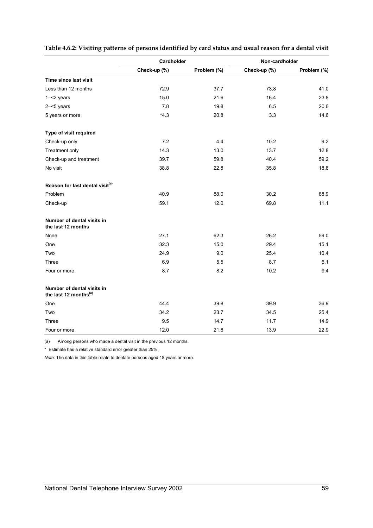|                                                                 | Cardholder   |             | Non-cardholder |             |  |
|-----------------------------------------------------------------|--------------|-------------|----------------|-------------|--|
|                                                                 | Check-up (%) | Problem (%) | Check-up (%)   | Problem (%) |  |
| Time since last visit                                           |              |             |                |             |  |
| Less than 12 months                                             | 72.9         | 37.7        | 73.8           | 41.0        |  |
| $1 - 2$ years                                                   | 15.0         | 21.6        | 16.4           | 23.8        |  |
| $2 - 5$ years                                                   | 7.8          | 19.8        | 6.5            | 20.6        |  |
| 5 years or more                                                 | $*4.3$       | 20.8        | 3.3            | 14.6        |  |
| Type of visit required                                          |              |             |                |             |  |
| Check-up only                                                   | 7.2          | 4.4         | 10.2           | 9.2         |  |
| Treatment only                                                  | 14.3         | 13.0        | 13.7           | 12.8        |  |
| Check-up and treatment                                          | 39.7         | 59.8        | 40.4           | 59.2        |  |
| No visit                                                        | 38.8         | 22.8        | 35.8           | 18.8        |  |
| Reason for last dental visit <sup>(a)</sup>                     |              |             |                |             |  |
| Problem                                                         | 40.9         | 88.0        | 30.2           | 88.9        |  |
| Check-up                                                        | 59.1         | 12.0        | 69.8           | 11.1        |  |
| Number of dental visits in<br>the last 12 months                |              |             |                |             |  |
| None                                                            | 27.1         | 62.3        | 26.2           | 59.0        |  |
| One                                                             | 32.3         | 15.0        | 29.4           | 15.1        |  |
| Two                                                             | 24.9         | 9.0         | 25.4           | 10.4        |  |
| Three                                                           | 6.9          | 5.5         | 8.7            | 6.1         |  |
| Four or more                                                    | 8.7          | 8.2         | 10.2           | 9.4         |  |
| Number of dental visits in<br>the last 12 months <sup>(a)</sup> |              |             |                |             |  |
| One                                                             | 44.4         | 39.8        | 39.9           | 36.9        |  |
| Two                                                             | 34.2         | 23.7        | 34.5           | 25.4        |  |
| Three                                                           | 9.5          | 14.7        | 11.7           | 14.9        |  |
| Four or more                                                    | 12.0         | 21.8        | 13.9           | 22.9        |  |

#### **Table 4.6.2: Visiting patterns of persons identified by card status and usual reason for a dental visit**

(a) Among persons who made a dental visit in the previous 12 months.

\* Estimate has a relative standard error greater than 25%.

*Note:* The data in this table relate to dentate persons aged 18 years or more.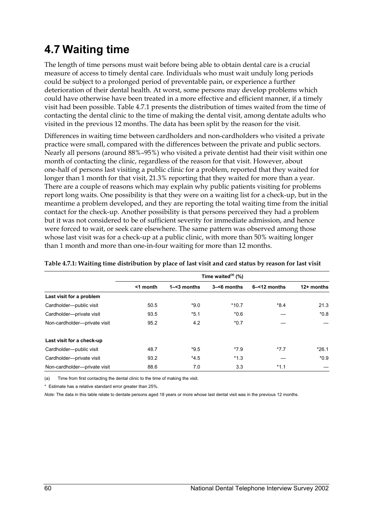## **4.7 Waiting time**

The length of time persons must wait before being able to obtain dental care is a crucial measure of access to timely dental care. Individuals who must wait unduly long periods could be subject to a prolonged period of preventable pain, or experience a further deterioration of their dental health. At worst, some persons may develop problems which could have otherwise have been treated in a more effective and efficient manner, if a timely visit had been possible. Table 4.7.1 presents the distribution of times waited from the time of contacting the dental clinic to the time of making the dental visit, among dentate adults who visited in the previous 12 months. The data has been split by the reason for the visit.

Differences in waiting time between cardholders and non-cardholders who visited a private practice were small, compared with the differences between the private and public sectors. Nearly all persons (around 88%–95%) who visited a private dentist had their visit within one month of contacting the clinic, regardless of the reason for that visit. However, about one-half of persons last visiting a public clinic for a problem, reported that they waited for longer than 1 month for that visit, 21.3% reporting that they waited for more than a year. There are a couple of reasons which may explain why public patients visiting for problems report long waits. One possibility is that they were on a waiting list for a check-up, but in the meantime a problem developed, and they are reporting the total waiting time from the initial contact for the check-up. Another possibility is that persons perceived they had a problem but it was not considered to be of sufficient severity for immediate admission, and hence were forced to wait, or seek care elsewhere. The same pattern was observed among those whose last visit was for a check-up at a public clinic, with more than 50% waiting longer than 1 month and more than one-in-four waiting for more than 12 months.

|                              | Time waited $^{(a)}$ (%) |                |                |                 |              |  |  |
|------------------------------|--------------------------|----------------|----------------|-----------------|--------------|--|--|
|                              | $<$ 1 month              | $1 - 3$ months | $3 - 6$ months | $6 - 12$ months | $12+$ months |  |  |
| Last visit for a problem     |                          |                |                |                 |              |  |  |
| Cardholder-public visit      | 50.5                     | $*9.0$         | $*10.7$        | $*8.4$          | 21.3         |  |  |
| Cardholder-private visit     | 93.5                     | $*5.1$         | $*0.6$         |                 | $*0.8$       |  |  |
| Non-cardholder-private visit | 95.2                     | 4.2            | $*0.7$         |                 |              |  |  |
| Last visit for a check-up    |                          |                |                |                 |              |  |  |
| Cardholder-public visit      | 48.7                     | $*9.5$         | $*7.9$         | $*7.7$          | $*26.1$      |  |  |
| Cardholder-private visit     | 93.2                     | $*4.5$         | $*1.3$         |                 | $*0.9$       |  |  |
| Non-cardholder-private visit | 88.6                     | 7.0            | 3.3            | $*1.1$          |              |  |  |

**Table 4.7.1: Waiting time distribution by place of last visit and card status by reason for last visit** 

(a) Time from first contacting the dental clinic to the time of making the visit.

\* Estimate has a relative standard error greater than 25%.

*Note:* The data in this table relate to dentate persons aged 18 years or more whose last dental visit was in the previous 12 months.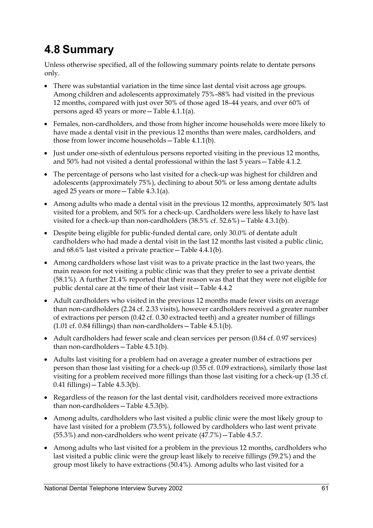# **4.8 Summary**

Unless otherwise specified, all of the following summary points relate to dentate persons only.

- There was substantial variation in the time since last dental visit across age groups. Among children and adolescents approximately 75%–88% had visited in the previous 12 months, compared with just over 50% of those aged 18–44 years, and over 60% of persons aged 45 years or more—Table 4.1.1(a).
- Females, non-cardholders, and those from higher income households were more likely to have made a dental visit in the previous 12 months than were males, cardholders, and those from lower income households—Table 4.1.1(b).
- Just under one-sixth of edentulous persons reported visiting in the previous 12 months, and 50% had not visited a dental professional within the last 5 years—Table 4.1.2.
- The percentage of persons who last visited for a check-up was highest for children and adolescents (approximately 75%), declining to about 50% or less among dentate adults aged 25 years or more—Table 4.3.1(a).
- Among adults who made a dental visit in the previous 12 months, approximately 50% last visited for a problem, and 50% for a check-up. Cardholders were less likely to have last visited for a check-up than non-cardholders (38.5% cf. 52.6%)—Table 4.3.1(b).
- Despite being eligible for public-funded dental care, only 30.0% of dentate adult cardholders who had made a dental visit in the last 12 months last visited a public clinic, and 68.6% last visited a private practice—Table 4.4.1(b).
- Among cardholders whose last visit was to a private practice in the last two years, the main reason for not visiting a public clinic was that they prefer to see a private dentist (58.1%). A further 21.4% reported that their reason was that that they were not eligible for public dental care at the time of their last visit—Table 4.4.2
- Adult cardholders who visited in the previous 12 months made fewer visits on average than non-cardholders (2.24 cf. 2.33 visits), however cardholders received a greater number of extractions per person (0.42 cf. 0.30 extracted teeth) and a greater number of fillings (1.01 cf. 0.84 fillings) than non-cardholders—Table 4.5.1(b).
- Adult cardholders had fewer scale and clean services per person (0.84 cf. 0.97 services) than non-cardholders—Table 4.5.1(b).
- Adults last visiting for a problem had on average a greater number of extractions per person than those last visiting for a check-up (0.55 cf. 0.09 extractions), similarly those last visiting for a problem received more fillings than those last visiting for a check-up (1.35 cf. 0.41 fillings)—Table 4.5.3(b).
- Regardless of the reason for the last dental visit, cardholders received more extractions than non-cardholders—Table 4.5.3(b).
- Among adults, cardholders who last visited a public clinic were the most likely group to have last visited for a problem (73.5%), followed by cardholders who last went private (55.3%) and non-cardholders who went private (47.7%)—Table 4.5.7.
- Among adults who last visited for a problem in the previous 12 months, cardholders who last visited a public clinic were the group least likely to receive fillings (59.2%) and the group most likely to have extractions (50.4%). Among adults who last visited for a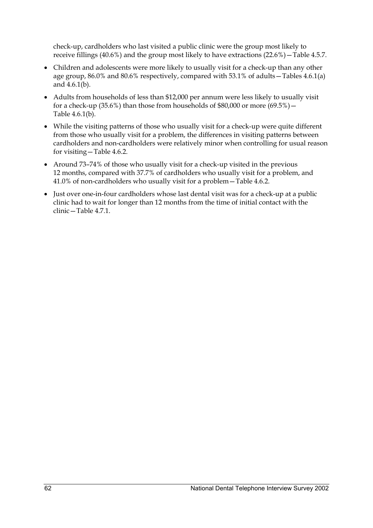check-up, cardholders who last visited a public clinic were the group most likely to receive fillings (40.6%) and the group most likely to have extractions (22.6%)—Table 4.5.7.

- Children and adolescents were more likely to usually visit for a check-up than any other age group, 86.0% and 80.6% respectively, compared with 53.1% of adults—Tables 4.6.1(a) and 4.6.1(b).
- Adults from households of less than \$12,000 per annum were less likely to usually visit for a check-up (35.6%) than those from households of  $$80,000$  or more (69.5%) -Table 4.6.1(b).
- While the visiting patterns of those who usually visit for a check-up were quite different from those who usually visit for a problem, the differences in visiting patterns between cardholders and non-cardholders were relatively minor when controlling for usual reason for visiting—Table 4.6.2.
- Around 73-74% of those who usually visit for a check-up visited in the previous 12 months, compared with 37.7% of cardholders who usually visit for a problem, and 41.0% of non-cardholders who usually visit for a problem—Table 4.6.2.
- Just over one-in-four cardholders whose last dental visit was for a check-up at a public clinic had to wait for longer than 12 months from the time of initial contact with the clinic—Table 4.7.1.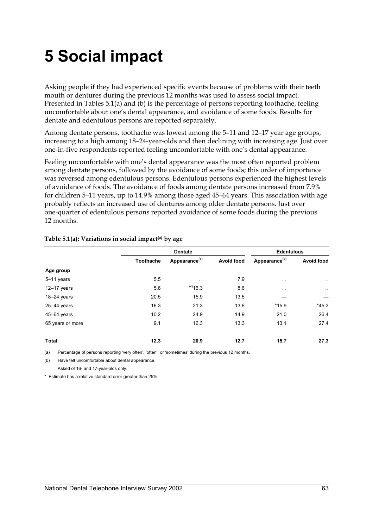# **5 Social impact**

Asking people if they had experienced specific events because of problems with their teeth mouth or dentures during the previous 12 months was used to assess social impact. Presented in Tables 5.1(a) and (b) is the percentage of persons reporting toothache, feeling uncomfortable about one's dental appearance, and avoidance of some foods. Results for dentate and edentulous persons are reported separately.

Among dentate persons, toothache was lowest among the 5–11 and 12–17 year age groups, increasing to a high among 18–24-year-olds and then declining with increasing age. Just over one-in-five respondents reported feeling uncomfortable with one's dental appearance.

Feeling uncomfortable with one's dental appearance was the most often reported problem among dentate persons, followed by the avoidance of some foods; this order of importance was reversed among edentulous persons. Edentulous persons experienced the highest levels of avoidance of foods. The avoidance of foods among dentate persons increased from 7.9% for children 5–11 years, up to 14.9% among those aged 45–64 years. This association with age probably reflects an increased use of dentures among older dentate persons. Just over one-quarter of edentulous persons reported avoidance of some foods during the previous 12 months.

|                  |                  | <b>Dentate</b>            | <b>Edentulous</b> |                           |                   |
|------------------|------------------|---------------------------|-------------------|---------------------------|-------------------|
|                  | <b>Toothache</b> | Appearance <sup>(b)</sup> | <b>Avoid food</b> | Appearance <sup>(b)</sup> | <b>Avoid food</b> |
| Age group        |                  |                           |                   |                           |                   |
| $5-11$ years     | 5.5              | $\sim$ $\sim$             | 7.9               | $\sim$ $\sim$             | $\sim$ $\sim$     |
| $12-17$ years    | 5.6              | $^{(c)}$ 16.3             | 8.6               | $\cdot$ .                 | $\sim$ $-$        |
| $18-24$ years    | 20.5             | 15.9                      | 13.5              |                           |                   |
| $25 - 44$ years  | 16.3             | 21.3                      | 13.6              | $*15.9$                   | $*45.3$           |
| 45-64 years      | 10.2             | 24.9                      | 14.9              | 21.0                      | 26.4              |
| 65 years or more | 9.1              | 16.3                      | 13.3              | 13.1                      | 27.4              |
| Total            | 12.3             | 20.9                      | 12.7              | 15.7                      | 27.3              |

#### **Table 5.1(a): Variations in social impact(a) by age**

(a) Percentage of persons reporting 'very often', 'often', or 'sometimes' during the previous 12 months.

(b) Have felt uncomfortable about dental appearance. Asked of 16- and 17-year-olds only.

\* Estimate has a relative standard error greater than 25%.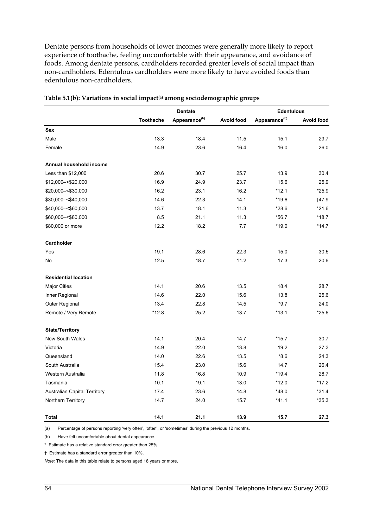Dentate persons from households of lower incomes were generally more likely to report experience of toothache, feeling uncomfortable with their appearance, and avoidance of foods. Among dentate persons, cardholders recorded greater levels of social impact than non-cardholders. Edentulous cardholders were more likely to have avoided foods than edentulous non-cardholders.

|                              |                  | <b>Dentate</b>            | <b>Edentulous</b> |                           |                   |
|------------------------------|------------------|---------------------------|-------------------|---------------------------|-------------------|
|                              | <b>Toothache</b> | Appearance <sup>(b)</sup> | <b>Avoid food</b> | Appearance <sup>(b)</sup> | <b>Avoid food</b> |
| Sex                          |                  |                           |                   |                           |                   |
| Male                         | 13.3             | 18.4                      | 11.5              | 15.1                      | 29.7              |
| Female                       | 14.9             | 23.6                      | 16.4              | 16.0                      | 26.0              |
| Annual household income      |                  |                           |                   |                           |                   |
| Less than \$12,000           | 20.6             | 30.7                      | 25.7              | 13.9                      | 30.4              |
| \$12,000 - < \$20,000        | 16.9             | 24.9                      | 23.7              | 15.6                      | 25.9              |
| \$20,000 -< \$30,000         | 16.2             | 23.1                      | 16.2              | $*12.1$                   | $*25.9$           |
| \$30,000 -< \$40,000         | 14.6             | 22.3                      | 14.1              | $*19.6$                   | 147.9             |
| \$40,000 -< \$60,000         | 13.7             | 18.1                      | 11.3              | $*28.6$                   | $*21.6$           |
| \$60,000 -< \$80,000         | 8.5              | 21.1                      | 11.3              | *56.7                     | $*18.7$           |
| \$80,000 or more             | 12.2             | 18.2                      | 7.7               | $*19.0$                   | $*14.7$           |
| Cardholder                   |                  |                           |                   |                           |                   |
| Yes                          | 19.1             | 28.6                      | 22.3              | 15.0                      | 30.5              |
| No                           | 12.5             | 18.7                      | 11.2              | 17.3                      | 20.6              |
| <b>Residential location</b>  |                  |                           |                   |                           |                   |
| <b>Major Cities</b>          | 14.1             | 20.6                      | 13.5              | 18.4                      | 28.7              |
| Inner Regional               | 14.6             | 22.0                      | 15.6              | 13.8                      | 25.6              |
| Outer Regional               | 13.4             | 22.8                      | 14.5              | $*9.7$                    | 24.0              |
| Remote / Very Remote         | $*12.8$          | 25.2                      | 13.7              | $*13.1$                   | $*25.6$           |
| <b>State/Territory</b>       |                  |                           |                   |                           |                   |
| New South Wales              | 14.1             | 20.4                      | 14.7              | $*15.7$                   | 30.7              |
| Victoria                     | 14.9             | 22.0                      | 13.8              | 19.2                      | 27.3              |
| Queensland                   | 14.0             | 22.6                      | 13.5              | $*8.6$                    | 24.3              |
| South Australia              | 15.4             | 23.0                      | 15.6              | 14.7                      | 26.4              |
| Western Australia            | 11.8             | 16.8                      | 10.9              | $*19.4$                   | 28.7              |
| Tasmania                     | 10.1             | 19.1                      | 13.0              | $*12.0$                   | $*17.2$           |
| Australian Capital Territory | 17.4             | 23.6                      | 14.8              | $*48.0$                   | $*31.4$           |
| Northern Territory           | 14.7             | 24.0                      | 15.7              | $*41.1$                   | $*35.3$           |
| Total                        | 14.1             | 21.1                      | 13.9              | 15.7                      | 27.3              |

Table 5.1(b): Variations in social impact<sup>(a)</sup> among sociodemographic groups

(a) Percentage of persons reporting 'very often', 'often', or 'sometimes' during the previous 12 months.

(b) Have felt uncomfortable about dental appearance.

\* Estimate has a relative standard error greater than 25%.

† Estimate has a standard error greater than 10%.

*Note:* The data in this table relate to persons aged 18 years or more.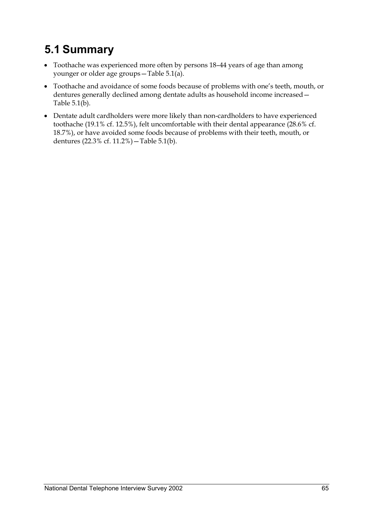# **5.1 Summary**

- Toothache was experienced more often by persons 18–44 years of age than among younger or older age groups—Table 5.1(a).
- Toothache and avoidance of some foods because of problems with one's teeth, mouth, or dentures generally declined among dentate adults as household income increased— Table  $5.1(b)$ .
- Dentate adult cardholders were more likely than non-cardholders to have experienced toothache (19.1% cf. 12.5%), felt uncomfortable with their dental appearance (28.6% cf. 18.7%), or have avoided some foods because of problems with their teeth, mouth, or dentures (22.3% cf. 11.2%)—Table 5.1(b).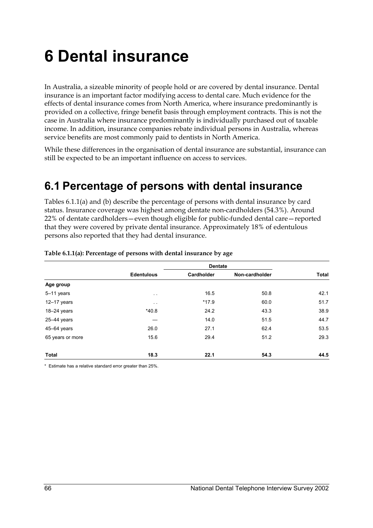# **6 Dental insurance**

In Australia, a sizeable minority of people hold or are covered by dental insurance. Dental insurance is an important factor modifying access to dental care. Much evidence for the effects of dental insurance comes from North America, where insurance predominantly is provided on a collective, fringe benefit basis through employment contracts. This is not the case in Australia where insurance predominantly is individually purchased out of taxable income. In addition, insurance companies rebate individual persons in Australia, whereas service benefits are most commonly paid to dentists in North America.

While these differences in the organisation of dental insurance are substantial, insurance can still be expected to be an important influence on access to services.

## **6.1 Percentage of persons with dental insurance**

Tables 6.1.1(a) and (b) describe the percentage of persons with dental insurance by card status. Insurance coverage was highest among dentate non-cardholders (54.3%). Around 22% of dentate cardholders—even though eligible for public-funded dental care—reported that they were covered by private dental insurance. Approximately 18% of edentulous persons also reported that they had dental insurance.

|                  |                                 | <b>Dentate</b> |                |       |  |
|------------------|---------------------------------|----------------|----------------|-------|--|
|                  | <b>Edentulous</b><br>Cardholder |                | Non-cardholder | Total |  |
| Age group        |                                 |                |                |       |  |
| 5-11 years       | $\sim$ $\sim$                   | 16.5           | 50.8           | 42.1  |  |
| $12-17$ years    | $\sim$ $\sim$                   | $*17.9$        | 60.0           | 51.7  |  |
| $18-24$ years    | $*40.8$                         | 24.2           | 43.3           | 38.9  |  |
| $25-44$ years    |                                 | 14.0           | 51.5           | 44.7  |  |
| 45-64 years      | 26.0                            | 27.1           | 62.4           | 53.5  |  |
| 65 years or more | 15.6                            | 29.4           | 51.2           | 29.3  |  |
| <b>Total</b>     | 18.3                            | 22.1           | 54.3           | 44.5  |  |

#### **Table 6.1.1(a): Percentage of persons with dental insurance by age**

\* Estimate has a relative standard error greater than 25%.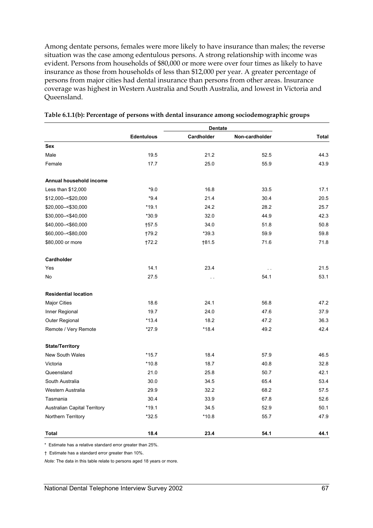Among dentate persons, females were more likely to have insurance than males; the reverse situation was the case among edentulous persons. A strong relationship with income was evident. Persons from households of \$80,000 or more were over four times as likely to have insurance as those from households of less than \$12,000 per year. A greater percentage of persons from major cities had dental insurance than persons from other areas. Insurance coverage was highest in Western Australia and South Australia, and lowest in Victoria and Queensland.

|                              | <b>Edentulous</b> | Cardholder     | Non-cardholder | Total |
|------------------------------|-------------------|----------------|----------------|-------|
| <b>Sex</b>                   |                   |                |                |       |
| Male                         | 19.5              | 21.2           | 52.5           | 44.3  |
| Female                       | 17.7              | 25.0           | 55.9           | 43.9  |
| Annual household income      |                   |                |                |       |
| Less than \$12,000           | $*9.0$            | 16.8           | 33.5           | 17.1  |
| \$12,000 - < \$20,000        | $*9.4$            | 21.4           | 30.4           | 20.5  |
| \$20,000 - < \$30,000        | *19.1             | 24.2           | 28.2           | 25.7  |
| \$30,000 - < \$40,000        | $*30.9$           | 32.0           | 44.9           | 42.3  |
| \$40,000 -< \$60,000         | $\dagger$ 57.5    | 34.0           | 51.8           | 50.8  |
| \$60,000 -< \$80,000         | †79.2             | $*39.3$        | 59.9           | 59.8  |
| \$80,000 or more             | †72.2             | $\dagger$ 81.5 | 71.6           | 71.8  |
| Cardholder                   |                   |                |                |       |
| Yes                          | 14.1              | 23.4           | $\sim$ $\sim$  | 21.5  |
| No                           | 27.5              | $\sim$         | 54.1           | 53.1  |
| <b>Residential location</b>  |                   |                |                |       |
| <b>Major Cities</b>          | 18.6              | 24.1           | 56.8           | 47.2  |
| Inner Regional               | 19.7              | 24.0           | 47.6           | 37.9  |
| Outer Regional               | $*13.4$           | 18.2           | 47.2           | 36.3  |
| Remote / Very Remote         | $*27.9$           | $*18.4$        | 49.2           | 42.4  |
| <b>State/Territory</b>       |                   |                |                |       |
| <b>New South Wales</b>       | $*15.7$           | 18.4           | 57.9           | 46.5  |
| Victoria                     | $*10.8$           | 18.7           | 40.8           | 32.8  |
| Queensland                   | 21.0              | 25.8           | 50.7           | 42.1  |
| South Australia              | 30.0              | 34.5           | 65.4           | 53.4  |
| Western Australia            | 29.9              | 32.2           | 68.2           | 57.5  |
| Tasmania                     | 30.4              | 33.9           | 67.8           | 52.6  |
| Australian Capital Territory | $*19.1$           | 34.5           | 52.9           | 50.1  |
| Northern Territory           | $*32.5$           | $*10.8$        | 55.7           | 47.9  |
| Total                        | 18.4              | 23.4           | 54.1           | 44.1  |

\* Estimate has a relative standard error greater than 25%.

† Estimate has a standard error greater than 10%.

*Note:* The data in this table relate to persons aged 18 years or more.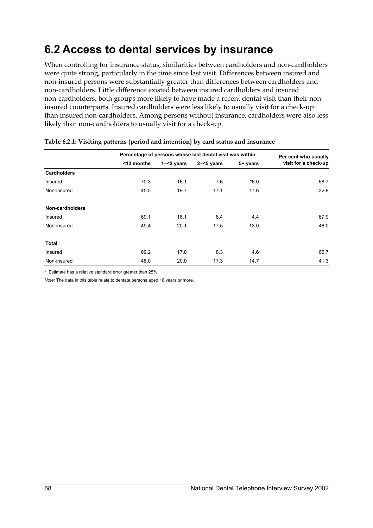## **6.2 Access to dental services by insurance**

When controlling for insurance status, similarities between cardholders and non-cardholders were quite strong, particularly in the time since last visit. Differences between insured and non-insured persons were substantially greater than differences between cardholders and non-cardholders. Little difference existed between insured cardholders and insured non-cardholders, both groups more likely to have made a recent dental visit than their noninsured counterparts. Insured cardholders were less likely to usually visit for a check-up than insured non-cardholders. Among persons without insurance, cardholders were also less likely than non-cardholders to usually visit for a check-up.

|                    | Percentage of persons whose last dental visit was within |               |               |          | Per cent who usually |
|--------------------|----------------------------------------------------------|---------------|---------------|----------|----------------------|
|                    | <12 months                                               | $1 - 2$ years | $2 - 5$ years | 5+ years | visit for a check-up |
| <b>Cardholders</b> |                                                          |               |               |          |                      |
| Insured            | 70.3                                                     | 16.1          | 7.6           | $*6.0$   | 58.7                 |
| Non-insured        | 45.5                                                     | 19.7          | 17.1          | 17.6     | 32.9                 |
| Non-cardholders    |                                                          |               |               |          |                      |
| Insured            | 69.1                                                     | 18.1          | 8.4           | 4.4      | 67.9                 |
| Non-insured        | 49.4                                                     | 20.1          | 17.5          | 13.0     | 46.0                 |
| Total              |                                                          |               |               |          |                      |
| Insured            | 69.2                                                     | 17.8          | 8.3           | 4.6      | 66.7                 |
| Non-insured        | 48.0                                                     | 20.0          | 17.3          | 14.7     | 41.3                 |

#### **Table 6.2.1: Visiting patterns (period and intention) by card status and insurance**

\* Estimate has a relative standard error greater than 25%.

*Note:* The data in this table relate to dentate persons aged 18 years or more.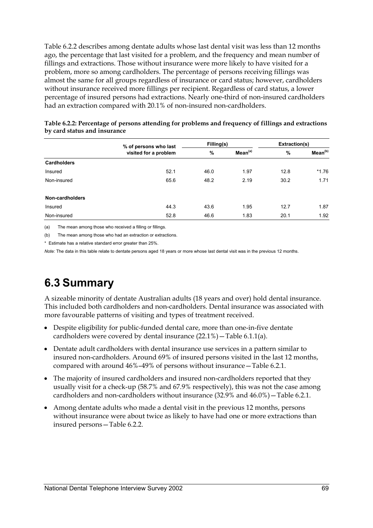Table 6.2.2 describes among dentate adults whose last dental visit was less than 12 months ago, the percentage that last visited for a problem, and the frequency and mean number of fillings and extractions. Those without insurance were more likely to have visited for a problem, more so among cardholders. The percentage of persons receiving fillings was almost the same for all groups regardless of insurance or card status; however, cardholders without insurance received more fillings per recipient. Regardless of card status, a lower percentage of insured persons had extractions. Nearly one-third of non-insured cardholders had an extraction compared with 20.1% of non-insured non-cardholders.

|                    | % of persons who last | Filling(s) |                     | Extraction(s) |                     |
|--------------------|-----------------------|------------|---------------------|---------------|---------------------|
|                    | visited for a problem | %          | Mean <sup>(a)</sup> | %             | Mean <sup>(b)</sup> |
| <b>Cardholders</b> |                       |            |                     |               |                     |
| Insured            | 52.1                  | 46.0       | 1.97                | 12.8          | $*1.76$             |
| Non-insured        | 65.6                  | 48.2       | 2.19                | 30.2          | 1.71                |
| Non-cardholders    |                       |            |                     |               |                     |
| Insured            | 44.3                  | 43.6       | 1.95                | 12.7          | 1.87                |
| Non-insured        | 52.8                  | 46.6       | 1.83                | 20.1          | 1.92                |

**Table 6.2.2: Percentage of persons attending for problems and frequency of fillings and extractions by card status and insurance** 

(a) The mean among those who received a filling or fillings.

(b) The mean among those who had an extraction or extractions.

\* Estimate has a relative standard error greater than 25%.

*Note:* The data in this table relate to dentate persons aged 18 years or more whose last dental visit was in the previous 12 months.

### **6.3 Summary**

A sizeable minority of dentate Australian adults (18 years and over) hold dental insurance. This included both cardholders and non-cardholders. Dental insurance was associated with more favourable patterns of visiting and types of treatment received.

- Despite eligibility for public-funded dental care, more than one-in-five dentate cardholders were covered by dental insurance (22.1%)—Table 6.1.1(a).
- Dentate adult cardholders with dental insurance use services in a pattern similar to insured non-cardholders. Around 69% of insured persons visited in the last 12 months, compared with around 46%–49% of persons without insurance—Table 6.2.1.
- The majority of insured cardholders and insured non-cardholders reported that they usually visit for a check-up (58.7% and 67.9% respectively), this was not the case among cardholders and non-cardholders without insurance (32.9% and 46.0%)—Table 6.2.1.
- Among dentate adults who made a dental visit in the previous 12 months, persons without insurance were about twice as likely to have had one or more extractions than insured persons—Table 6.2.2.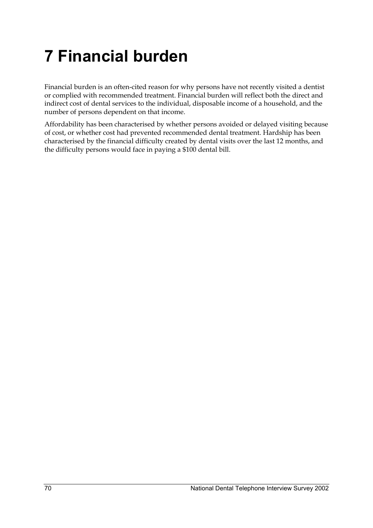# **7 Financial burden**

Financial burden is an often-cited reason for why persons have not recently visited a dentist or complied with recommended treatment. Financial burden will reflect both the direct and indirect cost of dental services to the individual, disposable income of a household, and the number of persons dependent on that income.

Affordability has been characterised by whether persons avoided or delayed visiting because of cost, or whether cost had prevented recommended dental treatment. Hardship has been characterised by the financial difficulty created by dental visits over the last 12 months, and the difficulty persons would face in paying a \$100 dental bill.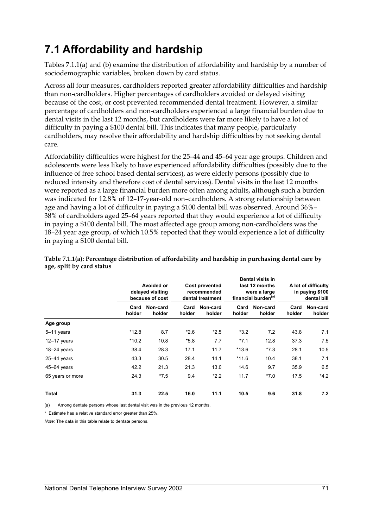## **7.1 Affordability and hardship**

Tables 7.1.1(a) and (b) examine the distribution of affordability and hardship by a number of sociodemographic variables, broken down by card status.

Across all four measures, cardholders reported greater affordability difficulties and hardship than non-cardholders. Higher percentages of cardholders avoided or delayed visiting because of the cost, or cost prevented recommended dental treatment. However, a similar percentage of cardholders and non-cardholders experienced a large financial burden due to dental visits in the last 12 months, but cardholders were far more likely to have a lot of difficulty in paying a \$100 dental bill. This indicates that many people, particularly cardholders, may resolve their affordability and hardship difficulties by not seeking dental care.

Affordability difficulties were highest for the 25–44 and 45–64 year age groups. Children and adolescents were less likely to have experienced affordability difficulties (possibly due to the influence of free school based dental services), as were elderly persons (possibly due to reduced intensity and therefore cost of dental services). Dental visits in the last 12 months were reported as a large financial burden more often among adults, although such a burden was indicated for 12.8% of 12–17-year-old non–cardholders. A strong relationship between age and having a lot of difficulty in paying a \$100 dental bill was observed. Around 36%– 38% of cardholders aged 25–64 years reported that they would experience a lot of difficulty in paying a \$100 dental bill. The most affected age group among non-cardholders was the 18–24 year age group, of which 10.5% reported that they would experience a lot of difficulty in paying a \$100 dental bill.

|                  | Avoided or<br>delayed visiting<br>because of cost |                    | <b>Cost prevented</b><br>recommended<br>dental treatment |                    | Dental visits in<br>last 12 months<br>were a large<br>financial burden <sup>(a)</sup> |                    | A lot of difficulty<br>in paying \$100<br>dental bill |                    |
|------------------|---------------------------------------------------|--------------------|----------------------------------------------------------|--------------------|---------------------------------------------------------------------------------------|--------------------|-------------------------------------------------------|--------------------|
|                  | Card<br>holder                                    | Non-card<br>holder | Card<br>holder                                           | Non-card<br>holder | Card<br>holder                                                                        | Non-card<br>holder | Card<br>holder                                        | Non-card<br>holder |
| Age group        |                                                   |                    |                                                          |                    |                                                                                       |                    |                                                       |                    |
| 5-11 years       | $*12.8$                                           | 8.7                | $*2.6$                                                   | $*2.5$             | $*3.2$                                                                                | 7.2                | 43.8                                                  | 7.1                |
| $12 - 17$ years  | $*10.2$                                           | 10.8               | $*5.8$                                                   | 7.7                | $*7.1$                                                                                | 12.8               | 37.3                                                  | 7.5                |
| $18 - 24$ years  | 38.4                                              | 28.3               | 17.1                                                     | 11.7               | *13.6                                                                                 | $*7.3$             | 28.1                                                  | 10.5               |
| $25 - 44$ years  | 43.3                                              | 30.5               | 28.4                                                     | 14.1               | $*11.6$                                                                               | 10.4               | 38.1                                                  | 7.1                |
| 45-64 years      | 42.2                                              | 21.3               | 21.3                                                     | 13.0               | 14.6                                                                                  | 9.7                | 35.9                                                  | 6.5                |
| 65 years or more | 24.3                                              | $*7.5$             | 9.4                                                      | $*2.2$             | 11.7                                                                                  | $*7.0$             | 17.5                                                  | $*4.2$             |
| Total            | 31.3                                              | 22.5               | 16.0                                                     | 11.1               | 10.5                                                                                  | 9.6                | 31.8                                                  | 7.2                |

### **Table 7.1.1(a): Percentage distribution of affordability and hardship in purchasing dental care by age, split by card status**

(a) Among dentate persons whose last dental visit was in the previous 12 months.

\* Estimate has a relative standard error greater than 25%.

*Note:* The data in this table relate to dentate persons.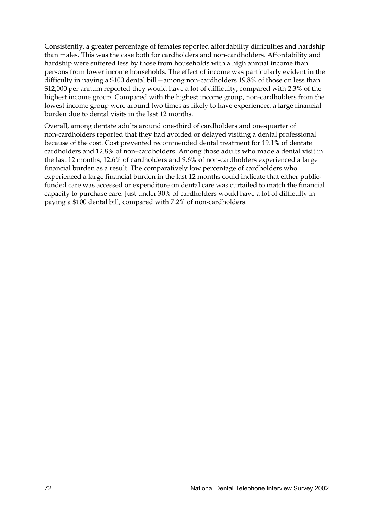Consistently, a greater percentage of females reported affordability difficulties and hardship than males. This was the case both for cardholders and non-cardholders. Affordability and hardship were suffered less by those from households with a high annual income than persons from lower income households. The effect of income was particularly evident in the difficulty in paying a \$100 dental bill—among non-cardholders 19.8% of those on less than \$12,000 per annum reported they would have a lot of difficulty, compared with 2.3% of the highest income group. Compared with the highest income group, non-cardholders from the lowest income group were around two times as likely to have experienced a large financial burden due to dental visits in the last 12 months.

Overall, among dentate adults around one-third of cardholders and one-quarter of non-cardholders reported that they had avoided or delayed visiting a dental professional because of the cost. Cost prevented recommended dental treatment for 19.1% of dentate cardholders and 12.8% of non–cardholders. Among those adults who made a dental visit in the last 12 months, 12.6% of cardholders and 9.6% of non-cardholders experienced a large financial burden as a result. The comparatively low percentage of cardholders who experienced a large financial burden in the last 12 months could indicate that either publicfunded care was accessed or expenditure on dental care was curtailed to match the financial capacity to purchase care. Just under 30% of cardholders would have a lot of difficulty in paying a \$100 dental bill, compared with 7.2% of non-cardholders.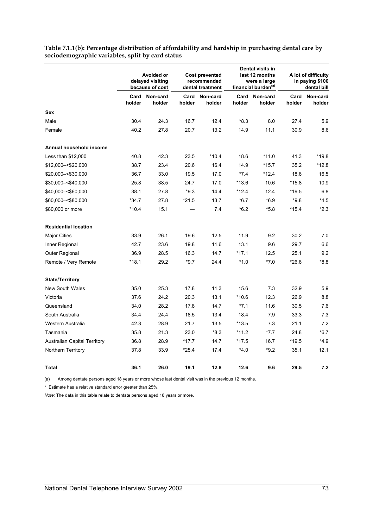|                                     | Avoided or<br>delayed visiting<br>because of cost |                    | <b>Cost prevented</b><br>recommended<br>dental treatment |                    |         | Dental visits in<br>last 12 months<br>were a large<br>financial burden <sup>(a)</sup> |                | A lot of difficulty<br>in paying \$100<br>dental bill |  |
|-------------------------------------|---------------------------------------------------|--------------------|----------------------------------------------------------|--------------------|---------|---------------------------------------------------------------------------------------|----------------|-------------------------------------------------------|--|
|                                     | Card<br>holder                                    | Non-card<br>holder | Card<br>holder                                           | Non-card<br>holder | holder  | Card Non-card<br>holder                                                               | Card<br>holder | Non-card<br>holder                                    |  |
| <b>Sex</b>                          |                                                   |                    |                                                          |                    |         |                                                                                       |                |                                                       |  |
| Male                                | 30.4                                              | 24.3               | 16.7                                                     | 12.4               | *8.3    | 8.0                                                                                   | 27.4           | 5.9                                                   |  |
| Female                              | 40.2                                              | 27.8               | 20.7                                                     | 13.2               | 14.9    | 11.1                                                                                  | 30.9           | 8.6                                                   |  |
| Annual household income             |                                                   |                    |                                                          |                    |         |                                                                                       |                |                                                       |  |
| Less than \$12,000                  | 40.8                                              | 42.3               | 23.5                                                     | $*10.4$            | 18.6    | *11.0                                                                                 | 41.3           | *19.8                                                 |  |
| \$12,000 - < \$20,000               | 38.7                                              | 23.4               | 20.6                                                     | 16.4               | 14.9    | $*15.7$                                                                               | 35.2           | $*12.8$                                               |  |
| \$20,000 - < \$30,000               | 36.7                                              | 33.0               | 19.5                                                     | 17.0               | $*7.4$  | $*12.4$                                                                               | 18.6           | 16.5                                                  |  |
| \$30,000 - < \$40,000               | 25.8                                              | 38.5               | 24.7                                                     | 17.0               | *13.6   | 10.6                                                                                  | $*15.8$        | 10.9                                                  |  |
| \$40,000 -< \$60,000                | 38.1                                              | 27.8               | $*9.3$                                                   | 14.4               | $*12.4$ | 12.4                                                                                  | $*19.5$        | 6.8                                                   |  |
| \$60,000 -< \$80,000                | $*34.7$                                           | 27.8               | $*21.5$                                                  | 13.7               | $*6.7$  | $*6.9$                                                                                | $*9.8$         | $*4.5$                                                |  |
| \$80,000 or more                    | $*10.4$                                           | 15.1               |                                                          | 7.4                | $*6.2$  | $*5.8$                                                                                | $*15.4$        | $*2.3$                                                |  |
| <b>Residential location</b>         |                                                   |                    |                                                          |                    |         |                                                                                       |                |                                                       |  |
| <b>Major Cities</b>                 | 33.9                                              | 26.1               | 19.6                                                     | 12.5               | 11.9    | 9.2                                                                                   | 30.2           | 7.0                                                   |  |
| Inner Regional                      | 42.7                                              | 23.6               | 19.8                                                     | 11.6               | 13.1    | 9.6                                                                                   | 29.7           | 6.6                                                   |  |
| Outer Regional                      | 36.9                                              | 28.5               | 16.3                                                     | 14.7               | $*17.1$ | 12.5                                                                                  | 25.1           | 9.2                                                   |  |
| Remote / Very Remote                | $*18.1$                                           | 29.2               | $*9.7$                                                   | 24.4               | $*1.0$  | $*7.0$                                                                                | $*26.6$        | $*8.8$                                                |  |
| <b>State/Territory</b>              |                                                   |                    |                                                          |                    |         |                                                                                       |                |                                                       |  |
| <b>New South Wales</b>              | 35.0                                              | 25.3               | 17.8                                                     | 11.3               | 15.6    | 7.3                                                                                   | 32.9           | 5.9                                                   |  |
| Victoria                            | 37.6                                              | 24.2               | 20.3                                                     | 13.1               | $*10.6$ | 12.3                                                                                  | 26.9           | 8.8                                                   |  |
| Queensland                          | 34.0                                              | 28.2               | 17.8                                                     | 14.7               | $*7.1$  | 11.6                                                                                  | 30.5           | 7.6                                                   |  |
| South Australia                     | 34.4                                              | 24.4               | 18.5                                                     | 13.4               | 18.4    | 7.9                                                                                   | 33.3           | 7.3                                                   |  |
| Western Australia                   | 42.3                                              | 28.9               | 21.7                                                     | 13.5               | $*13.5$ | 7.3                                                                                   | 21.1           | 7.2                                                   |  |
| Tasmania                            | 35.8                                              | 21.3               | 23.0                                                     | $*8.3$             | $*11.2$ | $*7.7$                                                                                | 24.8           | $*6.7$                                                |  |
| <b>Australian Capital Territory</b> | 36.8                                              | 28.9               | *17.7                                                    | 14.7               | *17.5   | 16.7                                                                                  | *19.5          | $*4.9$                                                |  |
| Northern Territory                  | 37.8                                              | 33.9               | *25.4                                                    | 17.4               | $*4.0$  | $*9.2$                                                                                | 35.1           | 12.1                                                  |  |
| <b>Total</b>                        | 36.1                                              | 26.0               | 19.1                                                     | 12.8               | 12.6    | 9.6                                                                                   | 29.5           | 7.2                                                   |  |

**Table 7.1.1(b): Percentage distribution of affordability and hardship in purchasing dental care by sociodemographic variables, split by card status** 

(a) Among dentate persons aged 18 years or more whose last dental visit was in the previous 12 months.

\* Estimate has a relative standard error greater than 25%.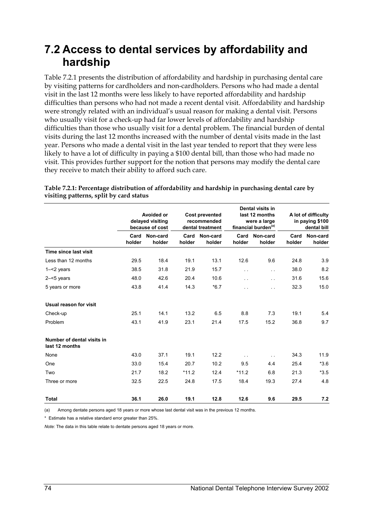### **7.2 Access to dental services by affordability and hardship**

Table 7.2.1 presents the distribution of affordability and hardship in purchasing dental care by visiting patterns for cardholders and non-cardholders. Persons who had made a dental visit in the last 12 months were less likely to have reported affordability and hardship difficulties than persons who had not made a recent dental visit. Affordability and hardship were strongly related with an individual's usual reason for making a dental visit. Persons who usually visit for a check-up had far lower levels of affordability and hardship difficulties than those who usually visit for a dental problem. The financial burden of dental visits during the last 12 months increased with the number of dental visits made in the last year. Persons who made a dental visit in the last year tended to report that they were less likely to have a lot of difficulty in paying a \$100 dental bill, than those who had made no visit. This provides further support for the notion that persons may modify the dental care they receive to match their ability to afford such care.

|                                              | Avoided or<br>delayed visiting<br>because of cost |                    |                | <b>Cost prevented</b><br>recommended<br>dental treatment |                | Dental visits in<br>last 12 months<br>were a large<br>financial burden <sup>(a)</sup> |                | A lot of difficulty<br>in paying \$100<br>dental bill |  |
|----------------------------------------------|---------------------------------------------------|--------------------|----------------|----------------------------------------------------------|----------------|---------------------------------------------------------------------------------------|----------------|-------------------------------------------------------|--|
|                                              | Card<br>holder                                    | Non-card<br>holder | Card<br>holder | Non-card<br>holder                                       | Card<br>holder | Non-card<br>holder                                                                    | Card<br>holder | Non-card<br>holder                                    |  |
| Time since last visit                        |                                                   |                    |                |                                                          |                |                                                                                       |                |                                                       |  |
| Less than 12 months                          | 29.5                                              | 18.4               | 19.1           | 13.1                                                     | 12.6           | 9.6                                                                                   | 24.8           | 3.9                                                   |  |
| $1 - 2$ years                                | 38.5                                              | 31.8               | 21.9           | 15.7                                                     | i.             | $\ddot{\phantom{a}}$                                                                  | 38.0           | 8.2                                                   |  |
| $2 - 5$ years                                | 48.0                                              | 42.6               | 20.4           | 10.6                                                     | $\sim$ $\sim$  | $\sim$ $\sim$                                                                         | 31.6           | 15.6                                                  |  |
| 5 years or more                              | 43.8                                              | 41.4               | 14.3           | $*6.7$                                                   | . .            | $\sim$ $\sim$                                                                         | 32.3           | 15.0                                                  |  |
| Usual reason for visit                       |                                                   |                    |                |                                                          |                |                                                                                       |                |                                                       |  |
| Check-up                                     | 25.1                                              | 14.1               | 13.2           | 6.5                                                      | 8.8            | 7.3                                                                                   | 19.1           | 5.4                                                   |  |
| Problem                                      | 43.1                                              | 41.9               | 23.1           | 21.4                                                     | 17.5           | 15.2                                                                                  | 36.8           | 9.7                                                   |  |
| Number of dental visits in<br>last 12 months |                                                   |                    |                |                                                          |                |                                                                                       |                |                                                       |  |
| None                                         | 43.0                                              | 37.1               | 19.1           | 12.2                                                     | $\sim$ $\sim$  | $\sim$ $\sim$                                                                         | 34.3           | 11.9                                                  |  |
| One                                          | 33.0                                              | 15.4               | 20.7           | 10.2                                                     | 9.5            | 4.4                                                                                   | 25.4           | $*3.6$                                                |  |
| Two                                          | 21.7                                              | 18.2               | $*11.2$        | 12.4                                                     | $*11.2$        | 6.8                                                                                   | 21.3           | $*3.5$                                                |  |
| Three or more                                | 32.5                                              | 22.5               | 24.8           | 17.5                                                     | 18.4           | 19.3                                                                                  | 27.4           | 4.8                                                   |  |
| <b>Total</b>                                 | 36.1                                              | 26.0               | 19.1           | 12.8                                                     | 12.6           | 9.6                                                                                   | 29.5           | 7.2                                                   |  |

**Table 7.2.1: Percentage distribution of affordability and hardship in purchasing dental care by visiting patterns, split by card status** 

(a) Among dentate persons aged 18 years or more whose last dental visit was in the previous 12 months.

\* Estimate has a relative standard error greater than 25%.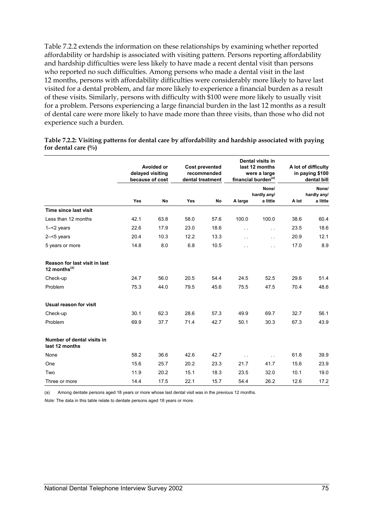Table 7.2.2 extends the information on these relationships by examining whether reported affordability or hardship is associated with visiting pattern. Persons reporting affordability and hardship difficulties were less likely to have made a recent dental visit than persons who reported no such difficulties. Among persons who made a dental visit in the last 12 months, persons with affordability difficulties were considerably more likely to have last visited for a dental problem, and far more likely to experience a financial burden as a result of these visits. Similarly, persons with difficulty with \$100 were more likely to usually visit for a problem. Persons experiencing a large financial burden in the last 12 months as a result of dental care were more likely to have made more than three visits, than those who did not experience such a burden.

|                                                  | Avoided or<br>delayed visiting<br>because of cost |           | <b>Cost prevented</b><br>recommended<br>dental treatment |      | Dental visits in<br>last 12 months<br>were a large<br>financial burden <sup>(a)</sup> |                                  | A lot of difficulty<br>in paying \$100<br>dental bill |                                  |
|--------------------------------------------------|---------------------------------------------------|-----------|----------------------------------------------------------|------|---------------------------------------------------------------------------------------|----------------------------------|-------------------------------------------------------|----------------------------------|
|                                                  | Yes                                               | <b>No</b> | Yes                                                      | No   | A large                                                                               | None/<br>hardly any/<br>a little | A lot                                                 | None/<br>hardly any/<br>a little |
| Time since last visit                            |                                                   |           |                                                          |      |                                                                                       |                                  |                                                       |                                  |
| Less than 12 months                              | 42.1                                              | 63.8      | 58.0                                                     | 57.6 | 100.0                                                                                 | 100.0                            | 38.6                                                  | 60.4                             |
| $1 - 2$ years                                    | 22.6                                              | 17.9      | 23.0                                                     | 18.6 | $\sim$ $\sim$                                                                         | $\sim$ $\sim$                    | 23.5                                                  | 18.6                             |
| $2 - 5$ years                                    | 20.4                                              | 10.3      | 12.2                                                     | 13.3 | $\sim$ $\sim$                                                                         | $\sim$ .                         | 20.9                                                  | 12.1                             |
| 5 years or more                                  | 14.8                                              | 8.0       | 6.8                                                      | 10.5 | $\ddotsc$                                                                             | $\sim$ $\sim$                    | 17.0                                                  | 8.9                              |
| Reason for last visit in last<br>12 months $(a)$ |                                                   |           |                                                          |      |                                                                                       |                                  |                                                       |                                  |
| Check-up                                         | 24.7                                              | 56.0      | 20.5                                                     | 54.4 | 24.5                                                                                  | 52.5                             | 29.6                                                  | 51.4                             |
| Problem                                          | 75.3                                              | 44.0      | 79.5                                                     | 45.6 | 75.5                                                                                  | 47.5                             | 70.4                                                  | 48.6                             |
| Usual reason for visit                           |                                                   |           |                                                          |      |                                                                                       |                                  |                                                       |                                  |
| Check-up                                         | 30.1                                              | 62.3      | 28.6                                                     | 57.3 | 49.9                                                                                  | 69.7                             | 32.7                                                  | 56.1                             |
| Problem                                          | 69.9                                              | 37.7      | 71.4                                                     | 42.7 | 50.1                                                                                  | 30.3                             | 67.3                                                  | 43.9                             |
| Number of dental visits in<br>last 12 months     |                                                   |           |                                                          |      |                                                                                       |                                  |                                                       |                                  |
| None                                             | 58.2                                              | 36.6      | 42.6                                                     | 42.7 | $\sim$ $\sim$                                                                         | $\sim$ $\sim$                    | 61.8                                                  | 39.9                             |
| One                                              | 15.6                                              | 25.7      | 20.2                                                     | 23.3 | 21.7                                                                                  | 41.7                             | 15.6                                                  | 23.9                             |
| Two                                              | 11.9                                              | 20.2      | 15.1                                                     | 18.3 | 23.5                                                                                  | 32.0                             | 10.1                                                  | 19.0                             |
| Three or more                                    | 14.4                                              | 17.5      | 22.1                                                     | 15.7 | 54.4                                                                                  | 26.2                             | 12.6                                                  | 17.2                             |

**Table 7.2.2: Visiting patterns for dental care by affordability and hardship associated with paying for dental care (%)** 

(a) Among dentate persons aged 18 years or more whose last dental visit was in the previous 12 months.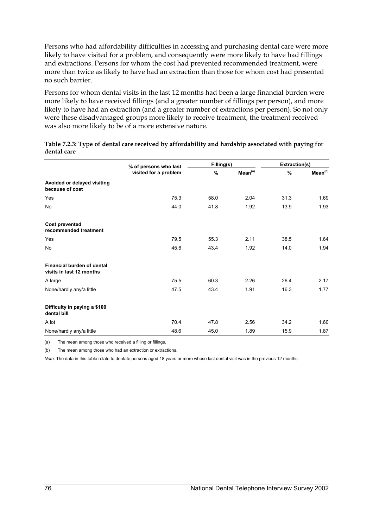Persons who had affordability difficulties in accessing and purchasing dental care were more likely to have visited for a problem, and consequently were more likely to have had fillings and extractions. Persons for whom the cost had prevented recommended treatment, were more than twice as likely to have had an extraction than those for whom cost had presented no such barrier.

Persons for whom dental visits in the last 12 months had been a large financial burden were more likely to have received fillings (and a greater number of fillings per person), and more likely to have had an extraction (and a greater number of extractions per person). So not only were these disadvantaged groups more likely to receive treatment, the treatment received was also more likely to be of a more extensive nature.

|                                                               | % of persons who last | Filling(s) |                     | Extraction(s) |                     |  |
|---------------------------------------------------------------|-----------------------|------------|---------------------|---------------|---------------------|--|
|                                                               | visited for a problem | %          | Mean <sup>(a)</sup> | %             | Mean <sup>(b)</sup> |  |
| Avoided or delayed visiting<br>because of cost                |                       |            |                     |               |                     |  |
| Yes                                                           | 75.3                  | 58.0       | 2.04                | 31.3          | 1.69                |  |
| No                                                            | 44.0                  | 41.8       | 1.92                | 13.9          | 1.93                |  |
| <b>Cost prevented</b><br>recommended treatment                |                       |            |                     |               |                     |  |
| Yes                                                           | 79.5                  | 55.3       | 2.11                | 38.5          | 1.64                |  |
| No                                                            | 45.6                  | 43.4       | 1.92                | 14.0          | 1.94                |  |
| <b>Financial burden of dental</b><br>visits in last 12 months |                       |            |                     |               |                     |  |
| A large                                                       | 75.5                  | 60.3       | 2.26                | 26.4          | 2.17                |  |
| None/hardly any/a little                                      | 47.5                  | 43.4       | 1.91                | 16.3          | 1.77                |  |
| Difficulty in paying a \$100<br>dental bill                   |                       |            |                     |               |                     |  |
| A lot                                                         | 70.4                  | 47.8       | 2.56                | 34.2          | 1.60                |  |
| None/hardly any/a little                                      | 48.6                  | 45.0       | 1.89                | 15.9          | 1.87                |  |

**Table 7.2.3: Type of dental care received by affordability and hardship associated with paying for dental care** 

(a) The mean among those who received a filling or fillings.

(b) The mean among those who had an extraction or extractions.

*Note:* The data in this table relate to dentate persons aged 18 years or more whose last dental visit was in the previous 12 months.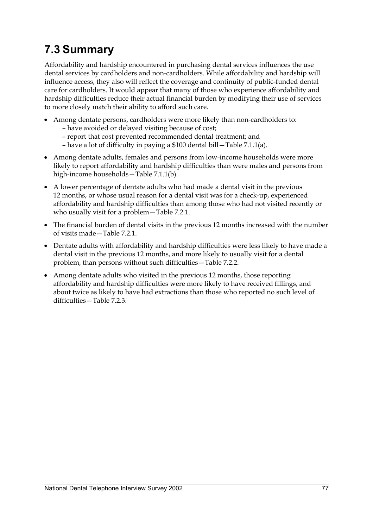## **7.3 Summary**

Affordability and hardship encountered in purchasing dental services influences the use dental services by cardholders and non-cardholders. While affordability and hardship will influence access, they also will reflect the coverage and continuity of public-funded dental care for cardholders. It would appear that many of those who experience affordability and hardship difficulties reduce their actual financial burden by modifying their use of services to more closely match their ability to afford such care.

- Among dentate persons, cardholders were more likely than non-cardholders to:
	- have avoided or delayed visiting because of cost;
	- report that cost prevented recommended dental treatment; and
	- have a lot of difficulty in paying a \$100 dental bill—Table 7.1.1(a).
- Among dentate adults, females and persons from low-income households were more likely to report affordability and hardship difficulties than were males and persons from high-income households—Table 7.1.1(b).
- A lower percentage of dentate adults who had made a dental visit in the previous 12 months, or whose usual reason for a dental visit was for a check-up, experienced affordability and hardship difficulties than among those who had not visited recently or who usually visit for a problem—Table 7.2.1.
- The financial burden of dental visits in the previous 12 months increased with the number of visits made—Table 7.2.1.
- Dentate adults with affordability and hardship difficulties were less likely to have made a dental visit in the previous 12 months, and more likely to usually visit for a dental problem, than persons without such difficulties—Table 7.2.2.
- Among dentate adults who visited in the previous 12 months, those reporting affordability and hardship difficulties were more likely to have received fillings, and about twice as likely to have had extractions than those who reported no such level of difficulties—Table 7.2.3.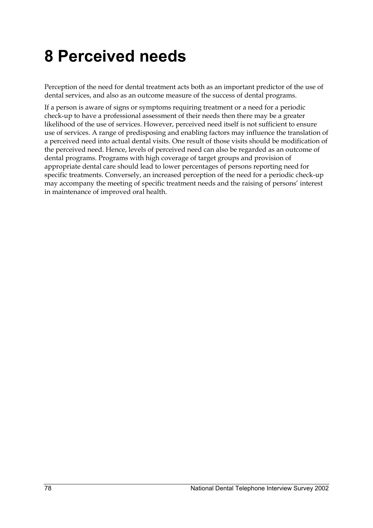## **8 Perceived needs**

Perception of the need for dental treatment acts both as an important predictor of the use of dental services, and also as an outcome measure of the success of dental programs.

If a person is aware of signs or symptoms requiring treatment or a need for a periodic check-up to have a professional assessment of their needs then there may be a greater likelihood of the use of services. However, perceived need itself is not sufficient to ensure use of services. A range of predisposing and enabling factors may influence the translation of a perceived need into actual dental visits. One result of those visits should be modification of the perceived need. Hence, levels of perceived need can also be regarded as an outcome of dental programs. Programs with high coverage of target groups and provision of appropriate dental care should lead to lower percentages of persons reporting need for specific treatments. Conversely, an increased perception of the need for a periodic check-up may accompany the meeting of specific treatment needs and the raising of persons' interest in maintenance of improved oral health.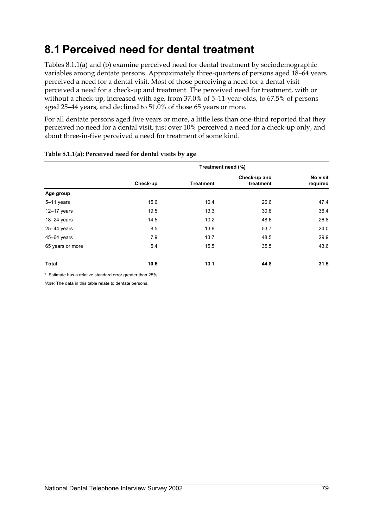### **8.1 Perceived need for dental treatment**

Tables 8.1.1(a) and (b) examine perceived need for dental treatment by sociodemographic variables among dentate persons. Approximately three-quarters of persons aged 18–64 years perceived a need for a dental visit. Most of those perceiving a need for a dental visit perceived a need for a check-up and treatment. The perceived need for treatment, with or without a check-up, increased with age, from 37.0% of 5–11-year-olds, to 67.5% of persons aged 25–44 years, and declined to 51.0% of those 65 years or more.

For all dentate persons aged five years or more, a little less than one-third reported that they perceived no need for a dental visit, just over 10% perceived a need for a check-up only, and about three-in-five perceived a need for treatment of some kind.

|                  | Treatment need (%) |                  |                           |                      |  |  |  |  |  |
|------------------|--------------------|------------------|---------------------------|----------------------|--|--|--|--|--|
|                  | Check-up           | <b>Treatment</b> | Check-up and<br>treatment | No visit<br>required |  |  |  |  |  |
| Age group        |                    |                  |                           |                      |  |  |  |  |  |
| $5-11$ years     | 15.6               | 10.4             | 26.6                      | 47.4                 |  |  |  |  |  |
| $12-17$ years    | 19.5               | 13.3             | 30.8                      | 36.4                 |  |  |  |  |  |
| $18-24$ years    | 14.5               | 10.2             | 48.6                      | 26.8                 |  |  |  |  |  |
| $25 - 44$ years  | 8.5                | 13.8             | 53.7                      | 24.0                 |  |  |  |  |  |
| 45-64 years      | 7.9                | 13.7             | 48.5                      | 29.9                 |  |  |  |  |  |
| 65 years or more | 5.4                | 15.5             | 35.5                      | 43.6                 |  |  |  |  |  |
| <b>Total</b>     | 10.6               | 13.1             | 44.8                      | 31.5                 |  |  |  |  |  |

#### **Table 8.1.1(a): Perceived need for dental visits by age**

\* Estimate has a relative standard error greater than 25%.

*Note:* The data in this table relate to dentate persons.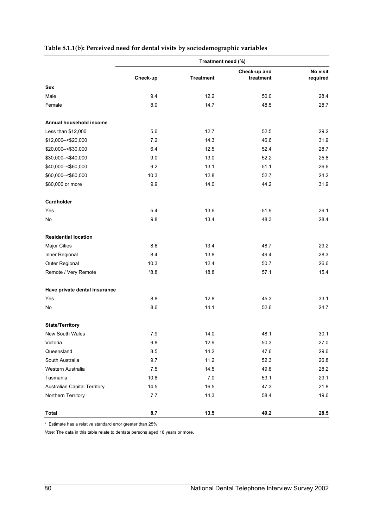|                                     |          | Treatment need (%) |                           |                      |
|-------------------------------------|----------|--------------------|---------------------------|----------------------|
|                                     | Check-up | <b>Treatment</b>   | Check-up and<br>treatment | No visit<br>required |
| Sex                                 |          |                    |                           |                      |
| Male                                | 9.4      | 12.2               | 50.0                      | 28.4                 |
| Female                              | 8.0      | 14.7               | 48.5                      | 28.7                 |
| Annual household income             |          |                    |                           |                      |
| Less than \$12,000                  | 5.6      | 12.7               | 52.5                      | 29.2                 |
| \$12,000 -< \$20,000                | 7.2      | 14.3               | 46.6                      | 31.9                 |
| \$20,000 -< \$30,000                | 6.4      | 12.5               | 52.4                      | 28.7                 |
| \$30,000 -< \$40,000                | 9.0      | 13.0               | 52.2                      | 25.8                 |
| \$40,000 -< \$60,000                | 9.2      | 13.1               | 51.1                      | 26.6                 |
| \$60,000 -< \$80,000                | 10.3     | 12.8               | 52.7                      | 24.2                 |
| \$80,000 or more                    | 9.9      | 14.0               | 44.2                      | 31.9                 |
| Cardholder                          |          |                    |                           |                      |
| Yes                                 | 5.4      | 13.6               | 51.9                      | 29.1                 |
| No                                  | 9.8      | 13.4               | 48.3                      | 28.4                 |
| <b>Residential location</b>         |          |                    |                           |                      |
| <b>Major Cities</b>                 | 8.6      | 13.4               | 48.7                      | 29.2                 |
| Inner Regional                      | 8.4      | 13.8               | 49.4                      | 28.3                 |
| Outer Regional                      | 10.3     | 12.4               | 50.7                      | 26.6                 |
| Remote / Very Remote                | $*8.8$   | 18.8               | 57.1                      | 15.4                 |
| Have private dental insurance       |          |                    |                           |                      |
| Yes                                 | 8.8      | 12.8               | 45.3                      | 33.1                 |
| No                                  | 8.6      | 14.1               | 52.6                      | 24.7                 |
| <b>State/Territory</b>              |          |                    |                           |                      |
| <b>New South Wales</b>              | 7.9      | 14.0               | 48.1                      | 30.1                 |
| Victoria                            | 9.8      | 12.9               | 50.3                      | 27.0                 |
| Queensland                          | 8.5      | 14.2               | 47.6                      | 29.6                 |
| South Australia                     | 9.7      | 11.2               | 52.3                      | 26.8                 |
| Western Australia                   | 7.5      | 14.5               | 49.8                      | 28.2                 |
| Tasmania                            | 10.8     | 7.0                | 53.1                      | 29.1                 |
| <b>Australian Capital Territory</b> | 14.5     | 16.5               | 47.3                      | 21.8                 |
| Northern Territory                  | 7.7      | 14.3               | 58.4                      | 19.6                 |
| <b>Total</b>                        | 8.7      | 13.5               | 49.2                      | 28.5                 |

### **Table 8.1.1(b): Perceived need for dental visits by sociodemographic variables**

\* Estimate has a relative standard error greater than 25%.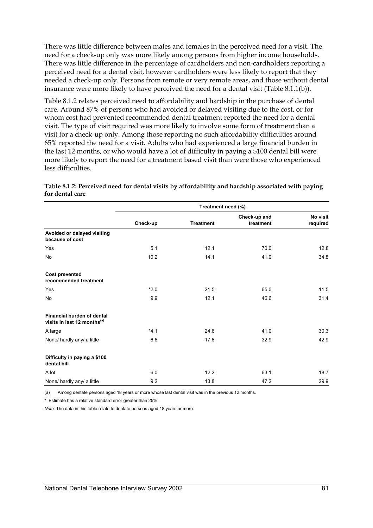There was little difference between males and females in the perceived need for a visit. The need for a check-up only was more likely among persons from higher income households. There was little difference in the percentage of cardholders and non-cardholders reporting a perceived need for a dental visit, however cardholders were less likely to report that they needed a check-up only. Persons from remote or very remote areas, and those without dental insurance were more likely to have perceived the need for a dental visit (Table 8.1.1(b)).

Table 8.1.2 relates perceived need to affordability and hardship in the purchase of dental care. Around 87% of persons who had avoided or delayed visiting due to the cost, or for whom cost had prevented recommended dental treatment reported the need for a dental visit. The type of visit required was more likely to involve some form of treatment than a visit for a check-up only. Among those reporting no such affordability difficulties around 65% reported the need for a visit. Adults who had experienced a large financial burden in the last 12 months, or who would have a lot of difficulty in paying a \$100 dental bill were more likely to report the need for a treatment based visit than were those who experienced less difficulties.

|                                                                       | Treatment need (%) |                  |                           |                      |  |  |  |  |  |
|-----------------------------------------------------------------------|--------------------|------------------|---------------------------|----------------------|--|--|--|--|--|
|                                                                       | Check-up           | <b>Treatment</b> | Check-up and<br>treatment | No visit<br>required |  |  |  |  |  |
| Avoided or delayed visiting<br>because of cost                        |                    |                  |                           |                      |  |  |  |  |  |
| Yes                                                                   | 5.1                | 12.1             | 70.0                      | 12.8                 |  |  |  |  |  |
| No                                                                    | 10.2               | 14.1             | 41.0                      | 34.8                 |  |  |  |  |  |
| <b>Cost prevented</b><br>recommended treatment                        |                    |                  |                           |                      |  |  |  |  |  |
| Yes                                                                   | $*2.0$             | 21.5             | 65.0                      | 11.5                 |  |  |  |  |  |
| No                                                                    | 9.9                | 12.1             | 46.6                      | 31.4                 |  |  |  |  |  |
| Financial burden of dental<br>visits in last 12 months <sup>(a)</sup> |                    |                  |                           |                      |  |  |  |  |  |
| A large                                                               | $*4.1$             | 24.6             | 41.0                      | 30.3                 |  |  |  |  |  |
| None/ hardly any/ a little                                            | 6.6                | 17.6             | 32.9                      | 42.9                 |  |  |  |  |  |
| Difficulty in paying a \$100<br>dental bill                           |                    |                  |                           |                      |  |  |  |  |  |
| A lot                                                                 | 6.0                | 12.2             | 63.1                      | 18.7                 |  |  |  |  |  |
| None/ hardly any/ a little                                            | 9.2                | 13.8             | 47.2                      | 29.9                 |  |  |  |  |  |

#### **Table 8.1.2: Perceived need for dental visits by affordability and hardship associated with paying for dental care**

(a) Among dentate persons aged 18 years or more whose last dental visit was in the previous 12 months.

\* Estimate has a relative standard error greater than 25%.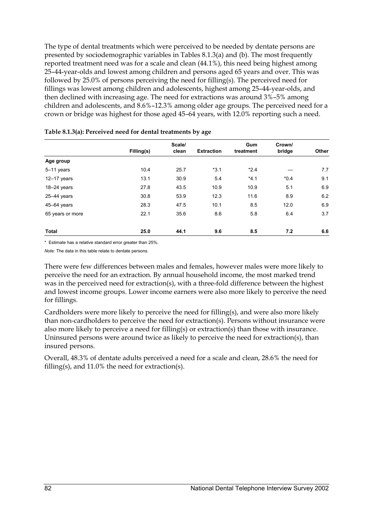The type of dental treatments which were perceived to be needed by dentate persons are presented by sociodemographic variables in Tables 8.1.3(a) and (b). The most frequently reported treatment need was for a scale and clean (44.1%), this need being highest among 25–44-year-olds and lowest among children and persons aged 65 years and over. This was followed by 25.0% of persons perceiving the need for filling(s). The perceived need for fillings was lowest among children and adolescents, highest among 25–44-year-olds, and then declined with increasing age. The need for extractions was around 3%–5% among children and adolescents, and 8.6%–12.3% among older age groups. The perceived need for a crown or bridge was highest for those aged 45–64 years, with 12.0% reporting such a need.

|                  |            | Scale/ |                   | Gum       | Crown/ |       |  |
|------------------|------------|--------|-------------------|-----------|--------|-------|--|
|                  | Filling(s) | clean  | <b>Extraction</b> | treatment | bridge | Other |  |
| Age group        |            |        |                   |           |        |       |  |
| $5-11$ years     | 10.4       | 25.7   | $*3.1$            | $*2.4$    |        | 7.7   |  |
| $12-17$ years    | 13.1       | 30.9   | 5.4               | $*4.1$    | $*0.4$ | 9.1   |  |
| $18 - 24$ years  | 27.8       | 43.5   | 10.9              | 10.9      | 5.1    | 6.9   |  |
| $25 - 44$ years  | 30.8       | 53.9   | 12.3              | 11.6      | 8.9    | 6.2   |  |
| 45-64 years      | 28.3       | 47.5   | 10.1              | 8.5       | 12.0   | 6.9   |  |
| 65 years or more | 22.1       | 35.6   | 8.6               | 5.8       | 6.4    | 3.7   |  |
| <b>Total</b>     | 25.0       | 44.1   | 9.6               | 8.5       | 7.2    | 6.6   |  |

#### **Table 8.1.3(a): Perceived need for dental treatments by age**

\* Estimate has a relative standard error greater than 25%.

*Note:* The data in this table relate to dentate persons.

There were few differences between males and females, however males were more likely to perceive the need for an extraction. By annual household income, the most marked trend was in the perceived need for extraction(s), with a three-fold difference between the highest and lowest income groups. Lower income earners were also more likely to perceive the need for fillings.

Cardholders were more likely to perceive the need for filling(s), and were also more likely than non-cardholders to perceive the need for extraction(s). Persons without insurance were also more likely to perceive a need for filling(s) or extraction(s) than those with insurance. Uninsured persons were around twice as likely to perceive the need for extraction(s), than insured persons.

Overall, 48.3% of dentate adults perceived a need for a scale and clean, 28.6% the need for filling(s), and 11.0% the need for extraction(s).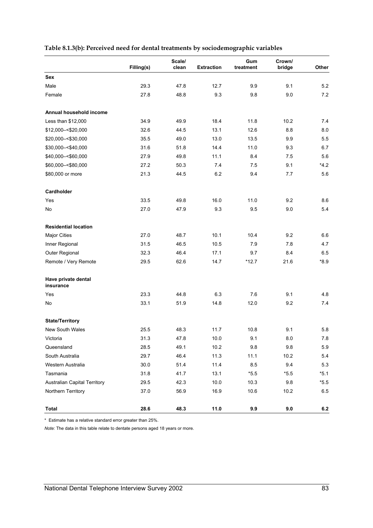| Table 8.1.3(b): Perceived need for dental treatments by sociodemographic variables |  |  |  |  |  |
|------------------------------------------------------------------------------------|--|--|--|--|--|
|                                                                                    |  |  |  |  |  |

|                                  | Filling(s) | Scale/<br>clean | <b>Extraction</b> | Gum<br>treatment | Crown/<br>bridge | Other  |
|----------------------------------|------------|-----------------|-------------------|------------------|------------------|--------|
| <b>Sex</b>                       |            |                 |                   |                  |                  |        |
| Male                             | 29.3       | 47.8            | 12.7              | 9.9              | 9.1              | 5.2    |
| Female                           | 27.8       | 48.8            | 9.3               | 9.8              | 9.0              | 7.2    |
| Annual household income          |            |                 |                   |                  |                  |        |
| Less than \$12,000               | 34.9       | 49.9            | 18.4              | 11.8             | 10.2             | 7.4    |
| \$12,000 -< \$20,000             | 32.6       | 44.5            | 13.1              | 12.6             | 8.8              | 8.0    |
| \$20,000 -< \$30,000             | 35.5       | 49.0            | 13.0              | 13.5             | 9.9              | 5.5    |
| \$30,000 -< \$40,000             | 31.6       | 51.8            | 14.4              | 11.0             | 9.3              | 6.7    |
| \$40,000 -< \$60,000             | 27.9       | 49.8            | 11.1              | 8.4              | 7.5              | 5.6    |
| \$60,000 -< \$80,000             | 27.2       | 50.3            | 7.4               | 7.5              | 9.1              | $*4.2$ |
| \$80,000 or more                 | 21.3       | 44.5            | 6.2               | 9.4              | 7.7              | 5.6    |
| Cardholder                       |            |                 |                   |                  |                  |        |
| Yes                              | 33.5       | 49.8            | 16.0              | 11.0             | 9.2              | 8.6    |
| No                               | 27.0       | 47.9            | 9.3               | 9.5              | 9.0              | 5.4    |
| <b>Residential location</b>      |            |                 |                   |                  |                  |        |
| <b>Major Cities</b>              | 27.0       | 48.7            | 10.1              | 10.4             | 9.2              | 6.6    |
| Inner Regional                   | 31.5       | 46.5            | 10.5              | 7.9              | 7.8              | 4.7    |
| Outer Regional                   | 32.3       | 46.4            | 17.1              | 9.7              | 8.4              | 6.5    |
| Remote / Very Remote             | 29.5       | 62.6            | 14.7              | $*12.7$          | 21.6             | $*8.9$ |
| Have private dental<br>insurance |            |                 |                   |                  |                  |        |
| Yes                              | 23.3       | 44.8            | 6.3               | 7.6              | 9.1              | 4.8    |
| No                               | 33.1       | 51.9            | 14.8              | 12.0             | 9.2              | 7.4    |
| <b>State/Territory</b>           |            |                 |                   |                  |                  |        |
| <b>New South Wales</b>           | 25.5       | 48.3            | 11.7              | 10.8             | 9.1              | 5.8    |
| Victoria                         | 31.3       | 47.8            | 10.0              | 9.1              | $8.0\,$          | 7.8    |
| Queensland                       | 28.5       | 49.1            | 10.2              | 9.8              | 9.8              | 5.9    |
| South Australia                  | 29.7       | 46.4            | 11.3              | 11.1             | 10.2             | 5.4    |
| Western Australia                | 30.0       | 51.4            | 11.4              | 8.5              | 9.4              | 5.3    |
| Tasmania                         | 31.8       | 41.7            | 13.1              | $*5.5$           | $*5.5$           | $*5.1$ |
| Australian Capital Territory     | 29.5       | 42.3            | 10.0              | 10.3             | 9.8              | $*5.5$ |
| Northern Territory               | 37.0       | 56.9            | 16.9              | 10.6             | 10.2             | 6.5    |
| <b>Total</b>                     | 28.6       | 48.3            | 11.0              | 9.9              | $9.0\,$          | 6.2    |

\* Estimate has a relative standard error greater than 25%.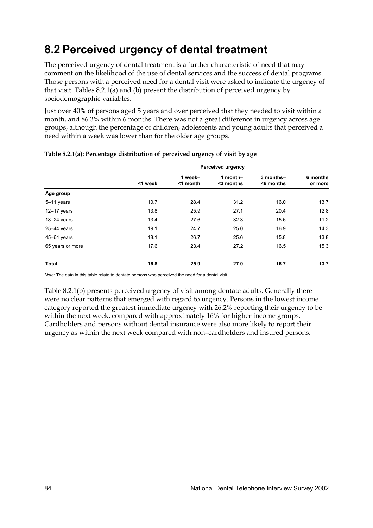### **8.2 Perceived urgency of dental treatment**

The perceived urgency of dental treatment is a further characteristic of need that may comment on the likelihood of the use of dental services and the success of dental programs. Those persons with a perceived need for a dental visit were asked to indicate the urgency of that visit. Tables 8.2.1(a) and (b) present the distribution of perceived urgency by sociodemographic variables.

Just over 40% of persons aged 5 years and over perceived that they needed to visit within a month, and 86.3% within 6 months. There was not a great difference in urgency across age groups, although the percentage of children, adolescents and young adults that perceived a need within a week was lower than for the older age groups.

|                  | <b>Perceived urgency</b> |                        |                       |                         |                     |  |  |  |
|------------------|--------------------------|------------------------|-----------------------|-------------------------|---------------------|--|--|--|
|                  | <1 week                  | 1 week-<br>$<$ 1 month | 1 month-<br><3 months | 3 months-<br>$6$ months | 6 months<br>or more |  |  |  |
| Age group        |                          |                        |                       |                         |                     |  |  |  |
| $5-11$ years     | 10.7                     | 28.4                   | 31.2                  | 16.0                    | 13.7                |  |  |  |
| $12-17$ years    | 13.8                     | 25.9                   | 27.1                  | 20.4                    | 12.8                |  |  |  |
| $18-24$ years    | 13.4                     | 27.6                   | 32.3                  | 15.6                    | 11.2                |  |  |  |
| $25 - 44$ years  | 19.1                     | 24.7                   | 25.0                  | 16.9                    | 14.3                |  |  |  |
| 45-64 years      | 18.1                     | 26.7                   | 25.6                  | 15.8                    | 13.8                |  |  |  |
| 65 years or more | 17.6                     | 23.4                   | 27.2                  | 16.5                    | 15.3                |  |  |  |
| Total            | 16.8                     | 25.9                   | 27.0                  | 16.7                    | 13.7                |  |  |  |

### **Table 8.2.1(a): Percentage distribution of perceived urgency of visit by age**

*Note:* The data in this table relate to dentate persons who perceived the need for a dental visit.

Table 8.2.1(b) presents perceived urgency of visit among dentate adults. Generally there were no clear patterns that emerged with regard to urgency. Persons in the lowest income category reported the greatest immediate urgency with 26.2% reporting their urgency to be within the next week, compared with approximately 16% for higher income groups. Cardholders and persons without dental insurance were also more likely to report their urgency as within the next week compared with non–cardholders and insured persons.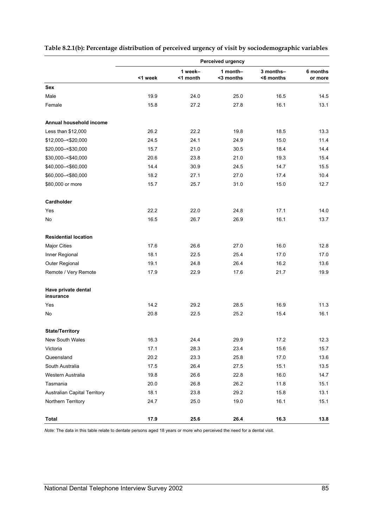|                                     | Perceived urgency |                     |                       |                        |                     |  |  |
|-------------------------------------|-------------------|---------------------|-----------------------|------------------------|---------------------|--|--|
|                                     | <1 week           | 1 week-<br><1 month | 1 month-<br><3 months | 3 months-<br><6 months | 6 months<br>or more |  |  |
| Sex                                 |                   |                     |                       |                        |                     |  |  |
| Male                                | 19.9              | 24.0                | 25.0                  | 16.5                   | 14.5                |  |  |
| Female                              | 15.8              | 27.2                | 27.8                  | 16.1                   | 13.1                |  |  |
| Annual household income             |                   |                     |                       |                        |                     |  |  |
| Less than \$12,000                  | 26.2              | 22.2                | 19.8                  | 18.5                   | 13.3                |  |  |
| \$12,000 -< \$20,000                | 24.5              | 24.1                | 24.9                  | 15.0                   | 11.4                |  |  |
| \$20,000 -< \$30,000                | 15.7              | 21.0                | 30.5                  | 18.4                   | 14.4                |  |  |
| \$30,000 -< \$40,000                | 20.6              | 23.8                | 21.0                  | 19.3                   | 15.4                |  |  |
| \$40,000 -< \$60,000                | 14.4              | 30.9                | 24.5                  | 14.7                   | 15.5                |  |  |
| \$60,000 -< \$80,000                | 18.2              | 27.1                | 27.0                  | 17.4                   | 10.4                |  |  |
| \$80,000 or more                    | 15.7              | 25.7                | 31.0                  | 15.0                   | 12.7                |  |  |
| Cardholder                          |                   |                     |                       |                        |                     |  |  |
| Yes                                 | 22.2              | 22.0                | 24.8                  | 17.1                   | 14.0                |  |  |
| No                                  | 16.5              | 26.7                | 26.9                  | 16.1                   | 13.7                |  |  |
| <b>Residential location</b>         |                   |                     |                       |                        |                     |  |  |
| <b>Major Cities</b>                 | 17.6              | 26.6                | 27.0                  | 16.0                   | 12.8                |  |  |
| Inner Regional                      | 18.1              | 22.5                | 25.4                  | 17.0                   | 17.0                |  |  |
| Outer Regional                      | 19.1              | 24.8                | 26.4                  | 16.2                   | 13.6                |  |  |
| Remote / Very Remote                | 17.9              | 22.9                | 17.6                  | 21.7                   | 19.9                |  |  |
| Have private dental<br>insurance    |                   |                     |                       |                        |                     |  |  |
| Yes                                 | 14.2              | 29.2                | 28.5                  | 16.9                   | 11.3                |  |  |
| No                                  | 20.8              | 22.5                | 25.2                  | 15.4                   | 16.1                |  |  |
| <b>State/Territory</b>              |                   |                     |                       |                        |                     |  |  |
| New South Wales                     | 16.3              | 24.4                | 29.9                  | 17.2                   | 12.3                |  |  |
| Victoria                            | 17.1              | 28.3                | 23.4                  | 15.6                   | 15.7                |  |  |
| Queensland                          | 20.2              | 23.3                | 25.8                  | 17.0                   | 13.6                |  |  |
| South Australia                     | 17.5              | 26.4                | 27.5                  | 15.1                   | 13.5                |  |  |
| Western Australia                   | 19.8              | 26.6                | 22.8                  | 16.0                   | 14.7                |  |  |
| Tasmania                            | 20.0              | 26.8                | 26.2                  | 11.8                   | 15.1                |  |  |
| <b>Australian Capital Territory</b> | 18.1              | 23.8                | 29.2                  | 15.8                   | 13.1                |  |  |
| Northern Territory                  | 24.7              | 25.0                | 19.0                  | 16.1                   | 15.1                |  |  |
| Total                               | 17.9              | 25.6                | 26.4                  | 16.3                   | 13.8                |  |  |

### **Table 8.2.1(b): Percentage distribution of perceived urgency of visit by sociodemographic variables**

*Note:* The data in this table relate to dentate persons aged 18 years or more who perceived the need for a dental visit.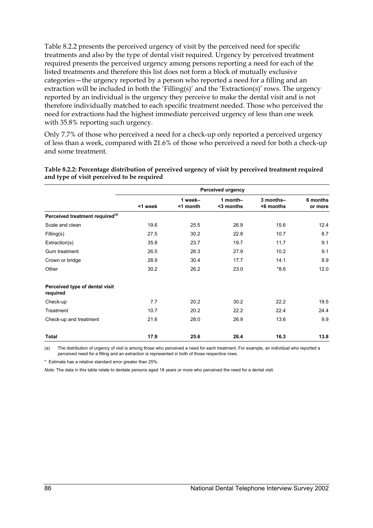Table 8.2.2 presents the perceived urgency of visit by the perceived need for specific treatments and also by the type of dental visit required. Urgency by perceived treatment required presents the perceived urgency among persons reporting a need for each of the listed treatments and therefore this list does not form a block of mutually exclusive categories—the urgency reported by a person who reported a need for a filling and an extraction will be included in both the 'Filling(s)' and the 'Extraction(s)' rows. The urgency reported by an individual is the urgency they perceive to make the dental visit and is not therefore individually matched to each specific treatment needed. Those who perceived the need for extractions had the highest immediate perceived urgency of less than one week with 35.8% reporting such urgency.

Only 7.7% of those who perceived a need for a check-up only reported a perceived urgency of less than a week, compared with 21.6% of those who perceived a need for both a check-up and some treatment.

|                                             | <b>Perceived urgency</b> |                     |                       |                        |                     |  |  |
|---------------------------------------------|--------------------------|---------------------|-----------------------|------------------------|---------------------|--|--|
|                                             | <1 week                  | 1 week-<br><1 month | 1 month-<br><3 months | 3 months-<br><6 months | 6 months<br>or more |  |  |
| Perceived treatment required <sup>(a)</sup> |                          |                     |                       |                        |                     |  |  |
| Scale and clean                             | 19.6                     | 25.5                | 26.9                  | 15.6                   | 12.4                |  |  |
| Filling(s)                                  | 27.5                     | 30.2                | 22.8                  | 10.7                   | 8.7                 |  |  |
| Extraction(s)                               | 35.8                     | 23.7                | 19.7                  | 11.7                   | 9.1                 |  |  |
| Gum treatment                               | 26.5                     | 26.3                | 27.9                  | 10.2                   | 9.1                 |  |  |
| Crown or bridge                             | 28.9                     | 30.4                | 17.7                  | 14.1                   | 8.9                 |  |  |
| Other                                       | 30.2                     | 26.2                | 23.0                  | $*8.6$                 | 12.0                |  |  |
| Perceived type of dental visit<br>required  |                          |                     |                       |                        |                     |  |  |
| Check-up                                    | 7.7                      | 20.2                | 30.2                  | 22.2                   | 19.5                |  |  |
| Treatment                                   | 10.7                     | 20.2                | 22.2                  | 22.4                   | 24.4                |  |  |
| Check-up and treatment                      | 21.6                     | 28.0                | 26.9                  | 13.6                   | 9.9                 |  |  |
| Total                                       | 17.9                     | 25.6                | 26.4                  | 16.3                   | 13.8                |  |  |

**Table 8.2.2: Percentage distribution of perceived urgency of visit by perceived treatment required and type of visit perceived to be required** 

(a) The distribution of urgency of visit is among those who perceived a need for each treatment. For example, an individual who reported a perceived need for a filling and an extraction is represented in both of those respective rows.

\* Estimate has a relative standard error greater than 25%.

*Note:* The data in this table relate to dentate persons aged 18 years or more who perceived the need for a dental visit.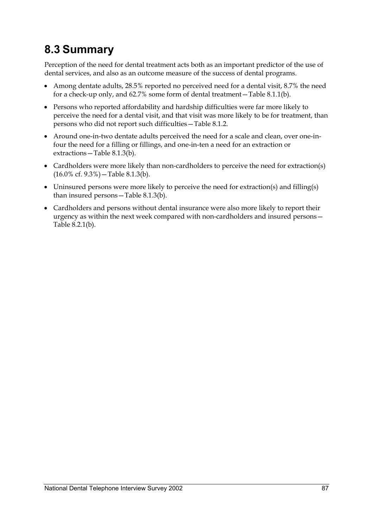### **8.3 Summary**

Perception of the need for dental treatment acts both as an important predictor of the use of dental services, and also as an outcome measure of the success of dental programs.

- Among dentate adults, 28.5% reported no perceived need for a dental visit, 8.7% the need for a check-up only, and 62.7% some form of dental treatment—Table 8.1.1(b).
- Persons who reported affordability and hardship difficulties were far more likely to perceive the need for a dental visit, and that visit was more likely to be for treatment, than persons who did not report such difficulties—Table 8.1.2.
- Around one-in-two dentate adults perceived the need for a scale and clean, over one-infour the need for a filling or fillings, and one-in-ten a need for an extraction or extractions—Table 8.1.3(b).
- Cardholders were more likely than non-cardholders to perceive the need for extraction(s) (16.0% cf. 9.3%)—Table 8.1.3(b).
- Uninsured persons were more likely to perceive the need for extraction(s) and filling(s) than insured persons—Table 8.1.3(b).
- Cardholders and persons without dental insurance were also more likely to report their urgency as within the next week compared with non-cardholders and insured persons— Table 8.2.1(b).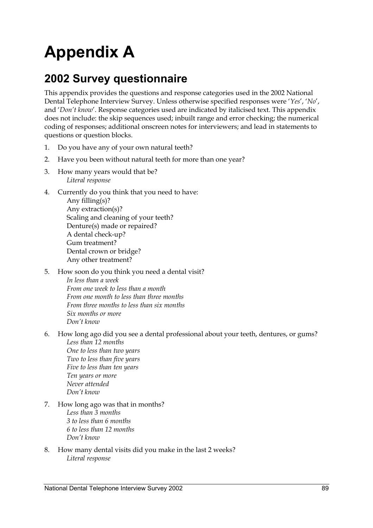## **Appendix A**

### **2002 Survey questionnaire**

This appendix provides the questions and response categories used in the 2002 National Dental Telephone Interview Survey. Unless otherwise specified responses were '*Yes*', '*No*', and '*Don't know*'. Response categories used are indicated by italicised text. This appendix does not include: the skip sequences used; inbuilt range and error checking; the numerical coding of responses; additional onscreen notes for interviewers; and lead in statements to questions or question blocks.

- 1. Do you have any of your own natural teeth?
- 2. Have you been without natural teeth for more than one year?
- 3. How many years would that be? *Literal response*
- 4. Currently do you think that you need to have:

 Any filling(s)? Any extraction(s)? Scaling and cleaning of your teeth? Denture(s) made or repaired? A dental check-up? Gum treatment? Dental crown or bridge? Any other treatment?

- 5. How soon do you think you need a dental visit?  *In less than a week From one week to less than a month From one month to less than three months From three months to less than six months Six months or more Don't know*
- 6. How long ago did you see a dental professional about your teeth, dentures, or gums? *Less than 12 months*

 *One to less than two years Two to less than five years Five to less than ten years Ten years or more Never attended Don't know*

- 7. How long ago was that in months?  *Less than 3 months 3 to less than 6 months 6 to less than 12 months Don't know*
- 8. How many dental visits did you make in the last 2 weeks? *Literal response*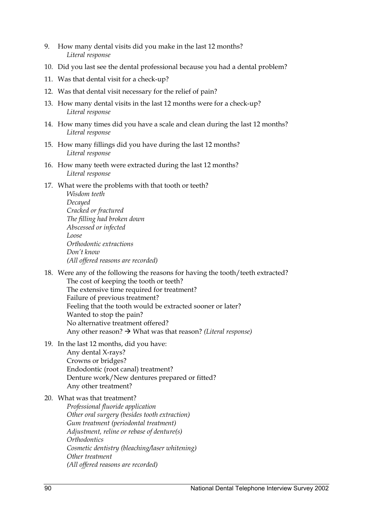- 9. How many dental visits did you make in the last 12 months? *Literal response*
- 10. Did you last see the dental professional because you had a dental problem?
- 11. Was that dental visit for a check-up?
- 12. Was that dental visit necessary for the relief of pain?
- 13. How many dental visits in the last 12 months were for a check-up? *Literal response*
- 14. How many times did you have a scale and clean during the last 12 months? *Literal response*
- 15. How many fillings did you have during the last 12 months? *Literal response*
- 16. How many teeth were extracted during the last 12 months? *Literal response*
- 17. What were the problems with that tooth or teeth?

*Wisdom teeth Decayed Cracked or fractured The filling had broken down Abscessed or infected Loose Orthodontic extractions Don't know (All offered reasons are recorded)*

18. Were any of the following the reasons for having the tooth/teeth extracted?

 The cost of keeping the tooth or teeth? The extensive time required for treatment? Failure of previous treatment? Feeling that the tooth would be extracted sooner or later? Wanted to stop the pain? No alternative treatment offered? Any other reason?  $\rightarrow$  What was that reason? *(Literal response)* 

19. In the last 12 months, did you have:

 Any dental X-rays? Crowns or bridges? Endodontic (root canal) treatment? Denture work/New dentures prepared or fitted? Any other treatment?

20. What was that treatment?

 *Professional fluoride application Other oral surgery (besides tooth extraction) Gum treatment (periodontal treatment) Adjustment, reline or rebase of denture(s) Orthodontics Cosmetic dentistry (bleaching/laser whitening) Other treatment (All offered reasons are recorded)*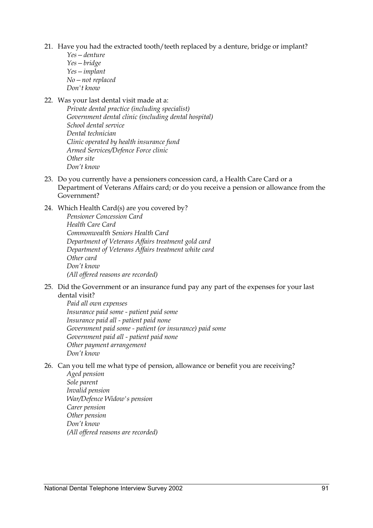- 21. Have you had the extracted tooth/teeth replaced by a denture, bridge or implant?
	- *Yes—denture Yes—bridge Yes—implant No—not replaced Don't know*
- 22. Was your last dental visit made at a:
	- *Private dental practice (including specialist) Government dental clinic (including dental hospital) School dental service Dental technician Clinic operated by health insurance fund Armed Services/Defence Force clinic Other site Don't know*
- 23. Do you currently have a pensioners concession card, a Health Care Card or a Department of Veterans Affairs card; or do you receive a pension or allowance from the Government?
- 24. Which Health Card(s) are you covered by?  *Pensioner Concession Card Health Care Card Commonwealth Seniors Health Card Department of Veterans Affairs treatment gold card Department of Veterans Affairs treatment white card Other card Don't know (All offered reasons are recorded)*
- 25. Did the Government or an insurance fund pay any part of the expenses for your last dental visit?

*Paid all own expenses Insurance paid some - patient paid some Insurance paid all - patient paid none Government paid some - patient (or insurance) paid some Government paid all - patient paid none Other payment arrangement Don't know*

- 26. Can you tell me what type of pension, allowance or benefit you are receiving?
	- *Aged pension Sole parent Invalid pension War/Defence Widow's pension Carer pension Other pension Don't know (All offered reasons are recorded)*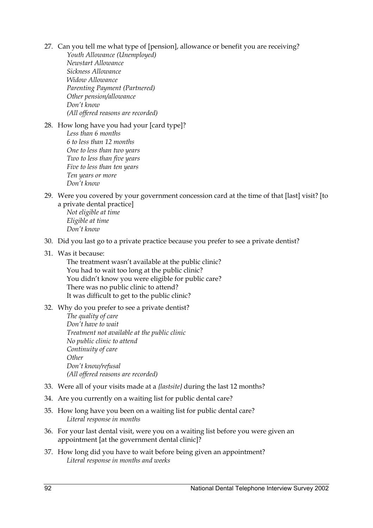- 27. Can you tell me what type of [pension], allowance or benefit you are receiving?
	- *Youth Allowance (Unemployed) Newstart Allowance Sickness Allowance Widow Allowance Parenting Payment (Partnered) Other pension/allowance Don't know (All offered reasons are recorded)*
- 28. How long have you had your [card type]?
	- *Less than 6 months 6 to less than 12 months One to less than two years Two to less than five years Five to less than ten years Ten years or more Don't know*
- 29. Were you covered by your government concession card at the time of that [last] visit? [to a private dental practice]

*Not eligible at time Eligible at time Don't know*

- 30. Did you last go to a private practice because you prefer to see a private dentist?
- 31. Was it because:

 The treatment wasn't available at the public clinic? You had to wait too long at the public clinic? You didn't know you were eligible for public care? There was no public clinic to attend? It was difficult to get to the public clinic?

- 32. Why do you prefer to see a private dentist?
	- *The quality of care Don't have to wait Treatment not available at the public clinic No public clinic to attend Continuity of care Other Don't know/refusal (All offered reasons are recorded)*
- 33. Were all of your visits made at a *{lastsite}* during the last 12 months?
- 34. Are you currently on a waiting list for public dental care?
- 35. How long have you been on a waiting list for public dental care? *Literal response in months*
- 36. For your last dental visit, were you on a waiting list before you were given an appointment [at the government dental clinic]?
- 37. How long did you have to wait before being given an appointment? *Literal response in months and weeks*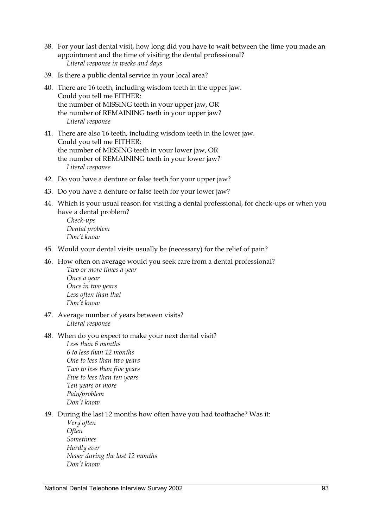- 38. For your last dental visit, how long did you have to wait between the time you made an appointment and the time of visiting the dental professional? *Literal response in weeks and days*
- 39. Is there a public dental service in your local area?
- 40. There are 16 teeth, including wisdom teeth in the upper jaw. Could you tell me EITHER: the number of MISSING teeth in your upper jaw, OR the number of REMAINING teeth in your upper jaw? *Literal response*
- 41. There are also 16 teeth, including wisdom teeth in the lower jaw. Could you tell me EITHER: the number of MISSING teeth in your lower jaw, OR the number of REMAINING teeth in your lower jaw? *Literal response*
- 42. Do you have a denture or false teeth for your upper jaw?
- 43. Do you have a denture or false teeth for your lower jaw?
- 44. Which is your usual reason for visiting a dental professional, for check-ups or when you have a dental problem?

*Check-ups Dental problem Don't know*

- 45. Would your dental visits usually be (necessary) for the relief of pain?
- 46. How often on average would you seek care from a dental professional? *Two or more times a year Once a year*

 *Once in two years Less often than that Don't know*

- 47. Average number of years between visits? *Literal response*
- 48. When do you expect to make your next dental visit? *Less than 6 months 6 to less than 12 months One to less than two years Two to less than five years Five to less than ten years Ten years or more Pain/problem Don't know*
- 49. During the last 12 months how often have you had toothache? Was it:
	- *Very often Often Sometimes Hardly ever Never during the last 12 months Don't know*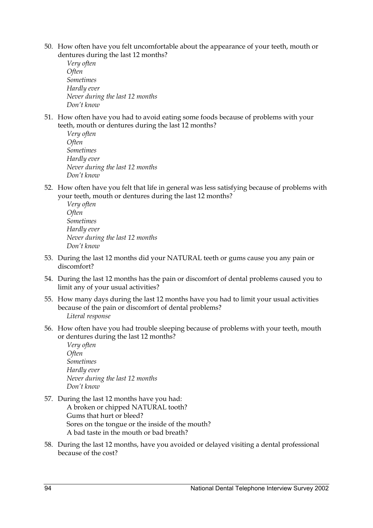- 50. How often have you felt uncomfortable about the appearance of your teeth, mouth or dentures during the last 12 months?
	- *Very often Often Sometimes Hardly ever Never during the last 12 months Don't know*
- 51. How often have you had to avoid eating some foods because of problems with your teeth, mouth or dentures during the last 12 months?

```
Very often 
Often 
Sometimes 
Hardly ever 
Never during the last 12 months 
Don't know
```
52. How often have you felt that life in general was less satisfying because of problems with your teeth, mouth or dentures during the last 12 months?

- 53. During the last 12 months did your NATURAL teeth or gums cause you any pain or discomfort?
- 54. During the last 12 months has the pain or discomfort of dental problems caused you to limit any of your usual activities?
- 55. How many days during the last 12 months have you had to limit your usual activities because of the pain or discomfort of dental problems? *Literal response*
- 56. How often have you had trouble sleeping because of problems with your teeth, mouth or dentures during the last 12 months?

*Very often Often Sometimes Hardly ever Never during the last 12 months Don't know*

- 57. During the last 12 months have you had: A broken or chipped NATURAL tooth? Gums that hurt or bleed? Sores on the tongue or the inside of the mouth? A bad taste in the mouth or bad breath?
- 58. During the last 12 months, have you avoided or delayed visiting a dental professional because of the cost?

*Very often Often Sometimes Hardly ever Never during the last 12 months Don't know*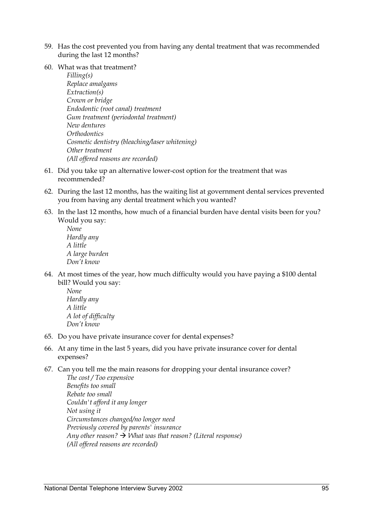- 59. Has the cost prevented you from having any dental treatment that was recommended during the last 12 months?
- 60. What was that treatment?

 *Filling(s) Replace amalgams Extraction(s) Crown or bridge Endodontic (root canal) treatment Gum treatment (periodontal treatment) New dentures Orthodontics Cosmetic dentistry (bleaching/laser whitening) Other treatment (All offered reasons are recorded)*

- 61. Did you take up an alternative lower-cost option for the treatment that was recommended?
- 62. During the last 12 months, has the waiting list at government dental services prevented you from having any dental treatment which you wanted?
- 63. In the last 12 months, how much of a financial burden have dental visits been for you? Would you say:

*None Hardly any A little A large burden Don't know*

64. At most times of the year, how much difficulty would you have paying a \$100 dental bill? Would you say:

*None Hardly any A little A lot of difficulty Don't know*

- 65. Do you have private insurance cover for dental expenses?
- 66. At any time in the last 5 years, did you have private insurance cover for dental expenses?
- 67. Can you tell me the main reasons for dropping your dental insurance cover?

 *The cost / Too expensive Benefits too small Rebate too small Couldn't afford it any longer Not using it Circumstances changed/no longer need Previously covered by parents' insurance Any other reason?*  $\rightarrow$  *What was that reason?* (Literal response)  *(All offered reasons are recorded)*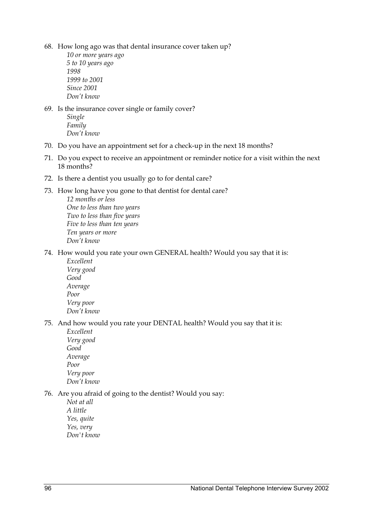68. How long ago was that dental insurance cover taken up?

 *10 or more years ago 5 to 10 years ago 1998 1999 to 2001 Since 2001 Don't know*

- 69. Is the insurance cover single or family cover? *Single Family Don't know*
- 70. Do you have an appointment set for a check-up in the next 18 months?
- 71. Do you expect to receive an appointment or reminder notice for a visit within the next 18 months?
- 72. Is there a dentist you usually go to for dental care?
- 73. How long have you gone to that dentist for dental care?

*12 months or less One to less than two years Two to less than five years Five to less than ten years Ten years or more Don't know*

- 74. How would you rate your own GENERAL health? Would you say that it is: *Excellent* 
	- *Very good Good Average Poor Very poor Don't know*

75. And how would you rate your DENTAL health? Would you say that it is:

*Excellent Very good Good Average Poor Very poor Don't know*

### 76. Are you afraid of going to the dentist? Would you say:

 *Not at all A little Yes, quite Yes, very Don't know*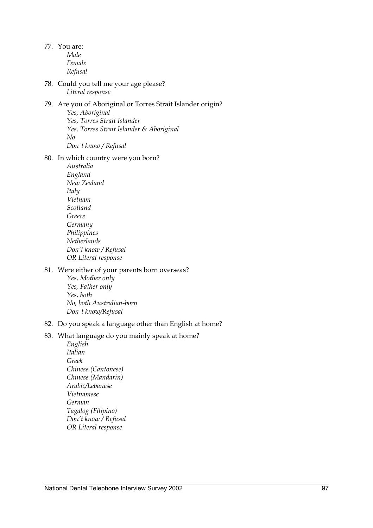77. You are: *Male Female Refusal*

78. Could you tell me your age please? *Literal response*

#### 79. Are you of Aboriginal or Torres Strait Islander origin?  *Yes, Aboriginal Yes, Torres Strait Islander Yes, Torres Strait Islander & Aboriginal No*

 *Don't know / Refusal*

#### 80. In which country were you born?

*Australia England New Zealand Italy Vietnam Scotland Greece Germany Philippines Netherlands Don't know / Refusal OR Literal response*

#### 81. Were either of your parents born overseas?

 *Yes, Mother only Yes, Father only Yes, both No, both Australian-born Don't know/Refusal*

#### 82. Do you speak a language other than English at home?

### 83. What language do you mainly speak at home?

*English Italian Greek Chinese (Cantonese) Chinese (Mandarin) Arabic/Lebanese Vietnamese German Tagalog (Filipino) Don't know / Refusal OR Literal response*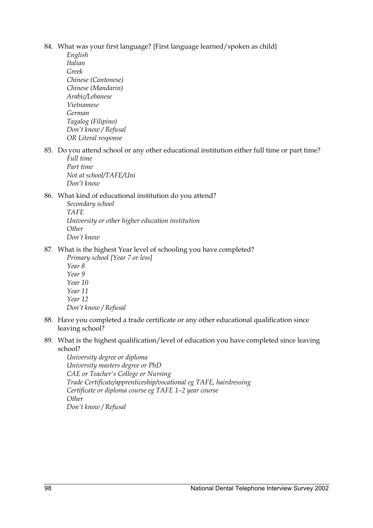- 84. What was your first language? {First language learned/spoken as child}
	- *English Italian Greek Chinese (Cantonese) Chinese (Mandarin) Arabic/Lebanese Vietnamese German Tagalog (Filipino) Don't know / Refusal OR Literal response*
- 85. Do you attend school or any other educational institution either full time or part time? *Full time*

 *Part time Not at school/TAFE/Uni Don't know*

#### 86. What kind of educational institution do you attend?

 *Secondary school TAFE University or other higher education institution Other Don't know*

- 87. What is the highest Year level of schooling you have completed?
	- *Primary school [Year 7 or less] Year 8 Year 9 Year 10 Year 11 Year 12 Don't know / Refusal*
- 88. Have you completed a trade certificate or any other educational qualification since leaving school?
- 89. What is the highest qualification/level of education you have completed since leaving school?

 *University degree or diploma University masters degree or PhD CAE or Teacher's College or Nursing Trade Certificate/apprenticeship/vocational eg TAFE, hairdressing Certificate or diploma course eg TAFE 1–2 year course Other Don't know / Refusal*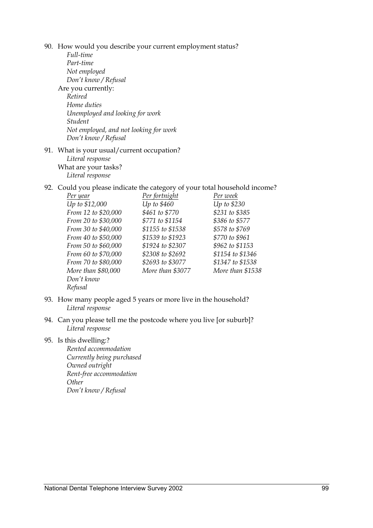90. How would you describe your current employment status?

- *Full-time Part-time Not employed Don't know / Refusal*  Are you currently:  *Retired Home duties Unemployed and looking for work Student Not employed, and not looking for work Don't know / Refusal* 91. What is your usual/current occupation?
	- *Literal response*  What are your tasks? *Literal response*
- 92. Could you please indicate the category of your total household income?

| Per year            | Per fortnight    | Per week         |
|---------------------|------------------|------------------|
| Up to \$12,000      | Up to \$460      | Up to \$230      |
| From 12 to \$20,000 | \$461 to \$770   | \$231 to \$385   |
| From 20 to \$30,000 | \$771 to \$1154  | \$386 to \$577   |
| From 30 to \$40,000 | \$1155 to \$1538 | \$578 to \$769   |
| From 40 to \$50,000 | \$1539 to \$1923 | \$770 to \$961   |
| From 50 to \$60,000 | \$1924 to \$2307 | \$962 to \$1153  |
| From 60 to \$70,000 | \$2308 to \$2692 | \$1154 to \$1346 |
| From 70 to \$80,000 | \$2693 to \$3077 | \$1347 to \$1538 |
| More than \$80,000  | More than \$3077 | More than \$1538 |
| Don't know          |                  |                  |
| Refusal             |                  |                  |

- 93. How many people aged 5 years or more live in the household? *Literal response*
- 94. Can you please tell me the postcode where you live [or suburb]? *Literal response*
- 95. Is this dwelling:?

 *Rented accommodation Currently being purchased Owned outright Rent-free accommodation Other Don't know / Refusal*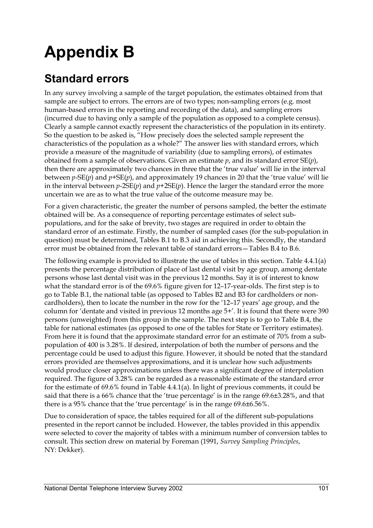## **Appendix B**

### **Standard errors**

In any survey involving a sample of the target population, the estimates obtained from that sample are subject to errors. The errors are of two types; non-sampling errors (e.g. most human-based errors in the reporting and recording of the data), and sampling errors (incurred due to having only a sample of the population as opposed to a complete census). Clearly a sample cannot exactly represent the characteristics of the population in its entirety. So the question to be asked is, "How precisely does the selected sample represent the characteristics of the population as a whole?" The answer lies with standard errors, which provide a measure of the magnitude of variability (due to sampling errors), of estimates obtained from a sample of observations. Given an estimate *p*, and its standard error SE(*p*), then there are approximately two chances in three that the 'true value' will lie in the interval between *p*-SE(*p*) and *p*+SE(*p*), and approximately 19 chances in 20 that the 'true value' will lie in the interval between  $p$ -2SE( $p$ ) and  $p$ +2SE( $p$ ). Hence the larger the standard error the more uncertain we are as to what the true value of the outcome measure may be.

For a given characteristic, the greater the number of persons sampled, the better the estimate obtained will be. As a consequence of reporting percentage estimates of select subpopulations, and for the sake of brevity, two stages are required in order to obtain the standard error of an estimate. Firstly, the number of sampled cases (for the sub-population in question) must be determined, Tables B.1 to B.3 aid in achieving this. Secondly, the standard error must be obtained from the relevant table of standard errors—Tables B.4 to B.6.

The following example is provided to illustrate the use of tables in this section. Table 4.4.1(a) presents the percentage distribution of place of last dental visit by age group, among dentate persons whose last dental visit was in the previous 12 months. Say it is of interest to know what the standard error is of the 69.6% figure given for 12–17-year-olds. The first step is to go to Table B.1, the national table (as opposed to Tables B2 and B3 for cardholders or noncardholders), then to locate the number in the row for the '12–17 years' age group, and the column for 'dentate and visited in previous 12 months age 5+'. It is found that there were 390 persons (unweighted) from this group in the sample. The next step is to go to Table B.4, the table for national estimates (as opposed to one of the tables for State or Territory estimates). From here it is found that the approximate standard error for an estimate of 70% from a subpopulation of 400 is 3.28%. If desired, interpolation of both the number of persons and the percentage could be used to adjust this figure. However, it should be noted that the standard errors provided are themselves approximations, and it is unclear how such adjustments would produce closer approximations unless there was a significant degree of interpolation required. The figure of 3.28% can be regarded as a reasonable estimate of the standard error for the estimate of 69.6% found in Table 4.4.1(a). In light of previous comments, it could be said that there is a 66% chance that the 'true percentage' is in the range 69.6±3.28%, and that there is a 95% chance that the 'true percentage' is in the range 69.6±6.56%.

Due to consideration of space, the tables required for all of the different sub-populations presented in the report cannot be included. However, the tables provided in this appendix were selected to cover the majority of tables with a minimum number of conversion tables to consult. This section drew on material by Foreman (1991, *Survey Sampling Principles*, NY: Dekker).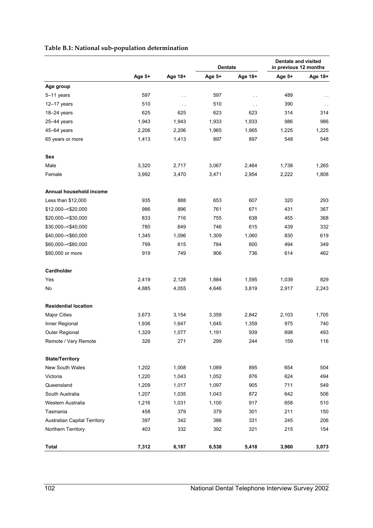### **Table B.1: National sub-population determination**

|                                     | Age 5+ | Age 18+              | <b>Dentate</b> |               | <b>Dentate and visited</b><br>in previous 12 months |         |
|-------------------------------------|--------|----------------------|----------------|---------------|-----------------------------------------------------|---------|
|                                     |        |                      | Age 5+         | Age 18+       | Age 5+                                              | Age 18+ |
| Age group                           |        |                      |                |               |                                                     |         |
| 5-11 years                          | 597    | $\ddotsc$            | 597            | $\sim$ $\sim$ | 489                                                 |         |
| $12-17$ years                       | 510    | $\ddot{\phantom{0}}$ | 510            | $\sim$ $\sim$ | 390                                                 | $\sim$  |
| 18-24 years                         | 625    | 625                  | 623            | 623           | 314                                                 | 314     |
| $25-44$ years                       | 1,943  | 1,943                | 1,933          | 1,933         | 986                                                 | 986     |
| $45-64$ years                       | 2,206  | 2,206                | 1,965          | 1,965         | 1,225                                               | 1,225   |
| 65 years or more                    | 1,413  | 1,413                | 897            | 897           | 548                                                 | 548     |
| Sex                                 |        |                      |                |               |                                                     |         |
| Male                                | 3,320  | 2,717                | 3,067          | 2,464         | 1,738                                               | 1,265   |
| Female                              | 3,992  | 3,470                | 3,471          | 2,954         | 2,222                                               | 1,808   |
| Annual household income             |        |                      |                |               |                                                     |         |
| Less than \$12,000                  | 935    | 888                  | 653            | 607           | 320                                                 | 293     |
| \$12,000 -< \$20,000                | 986    | 896                  | 761            | 671           | 431                                                 | 367     |
| \$20,000 -< \$30,000                | 833    | 716                  | 755            | 638           | 455                                                 | 368     |
| \$30,000 -< \$40,000                | 780    | 649                  | 746            | 615           | 439                                                 | 332     |
| \$40,000 -< \$60,000                | 1,345  | 1,096                | 1,309          | 1,060         | 830                                                 | 619     |
| \$60,000 -< \$80,000                | 799    | 615                  | 784            | 600           | 494                                                 | 349     |
| \$80,000 or more                    | 919    | 749                  | 906            | 736           | 614                                                 | 462     |
| Cardholder                          |        |                      |                |               |                                                     |         |
| Yes                                 | 2,419  | 2,128                | 1,884          | 1,595         | 1,039                                               | 829     |
| No                                  | 4,885  | 4,055                | 4,646          | 3,819         | 2,917                                               | 2,243   |
| <b>Residential location</b>         |        |                      |                |               |                                                     |         |
| <b>Major Cities</b>                 | 3,673  | 3,154                | 3,359          | 2,842         | 2,103                                               | 1,705   |
| Inner Regional                      | 1,936  | 1,647                | 1,645          | 1,359         | 975                                                 | 740     |
| Outer Regional                      | 1,329  | 1,077                | 1,191          | 939           | 698                                                 | 493     |
| Remote / Very Remote                | 326    | 271                  | 299            | 244           | 159                                                 | 116     |
| <b>State/Territory</b>              |        |                      |                |               |                                                     |         |
| New South Wales                     | 1,202  | 1,008                | 1,089          | 895           | 654                                                 | 504     |
| Victoria                            | 1,220  | 1,043                | 1,052          | 876           | 624                                                 | 494     |
| Queensland                          | 1,209  | 1,017                | 1,097          | 905           | 711                                                 | 549     |
| South Australia                     | 1,207  | 1,035                | 1,043          | 872           | 642                                                 | 506     |
| Western Australia                   | 1,216  | 1,031                | 1,100          | 917           | 658                                                 | 510     |
| Tasmania                            | 458    | 379                  | 379            | 301           | 211                                                 | 150     |
| <b>Australian Capital Territory</b> | 397    | 342                  | 386            | 331           | 245                                                 | 206     |
| Northern Territory                  | 403    | 332                  | 392            | 321           | 215                                                 | 154     |
| <b>Total</b>                        | 7,312  | 6,187                | 6,538          | 5,418         | 3,960                                               | 3,073   |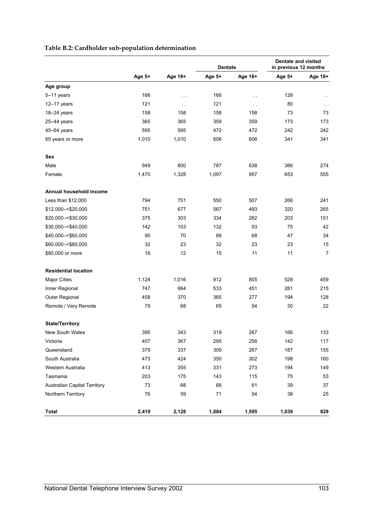|                              | Age 5+ | Age 18+ | <b>Dentate</b> |               | <b>Dentate and visited</b><br>in previous 12 months |                |
|------------------------------|--------|---------|----------------|---------------|-----------------------------------------------------|----------------|
|                              |        |         | Age 5+         | Age 18+       | Age 5+                                              | Age 18+        |
| Age group                    |        |         |                |               |                                                     |                |
| 5-11 years                   | 166    | $\sim$  | 166            | $\sim$        | 128                                                 |                |
| $12-17$ years                | 121    | $\sim$  | 121            | $\sim$ $\sim$ | 80                                                  | $\sim$ $\sim$  |
| $18 - 24$ years              | 158    | 158     | 158            | 158           | 73                                                  | 73             |
| $25-44$ years                | 365    | 365     | 359            | 359           | 173                                                 | 173            |
| $45-64$ years                | 595    | 595     | 472            | 472           | 242                                                 | 242            |
| 65 years or more             | 1,010  | 1,010   | 606            | 606           | 341                                                 | 341            |
| Sex                          |        |         |                |               |                                                     |                |
| Male                         | 949    | 800     | 787            | 638           | 386                                                 | 274            |
| Female                       | 1,470  | 1,328   | 1,097          | 957           | 653                                                 | 555            |
| Annual household income      |        |         |                |               |                                                     |                |
| Less than \$12,000           | 794    | 751     | 550            | 507           | 266                                                 | 241            |
| \$12,000 -< \$20,000         | 751    | 677     | 567            | 493           | 320                                                 | 265            |
| \$20,000 -< \$30,000         | 375    | 303     | 334            | 262           | 203                                                 | 151            |
| \$30,000 -< \$40,000         | 142    | 103     | 132            | 93            | 75                                                  | 42             |
| \$40,000 -< \$60,000         | 90     | 70      | 88             | 68            | 47                                                  | 34             |
| \$60,000 -< \$80,000         | 32     | 23      | 32             | 23            | 23                                                  | 15             |
| \$80,000 or more             | 16     | 12      | 15             | 11            | 11                                                  | $\overline{7}$ |
| <b>Residential location</b>  |        |         |                |               |                                                     |                |
| Major Cities                 | 1,124  | 1,016   | 912            | 805           | 528                                                 | 459            |
| Inner Regional               | 747    | 664     | 533            | 451           | 281                                                 | 215            |
| Outer Regional               | 458    | 370     | 365            | 277           | 194                                                 | 128            |
| Remote / Very Remote         | 79     | 68      | 65             | 54            | 30                                                  | 22             |
| <b>State/Territory</b>       |        |         |                |               |                                                     |                |
| <b>New South Wales</b>       | 395    | 343     | 319            | 267           | 166                                                 | 133            |
| Victoria                     | 407    | 367     | 295            | 256           | 142                                                 | 117            |
| Queensland                   | 379    | 337     | 309            | 267           | 187                                                 | 155            |
| South Australia              | 473    | 424     | 350            | 302           | 198                                                 | 160            |
| Western Australia            | 413    | 355     | 331            | 273           | 194                                                 | 149            |
| Tasmania                     | 203    | 175     | 143            | 115           | 75                                                  | 53             |
| Australian Capital Territory | 73     | 68      | 66             | 61            | 39                                                  | 37             |
| Northern Territory           | 76     | 59      | 71             | 54            | 38                                                  | 25             |
| <b>Total</b>                 | 2,419  | 2,128   | 1,884          | 1,595         | 1,039                                               | 829            |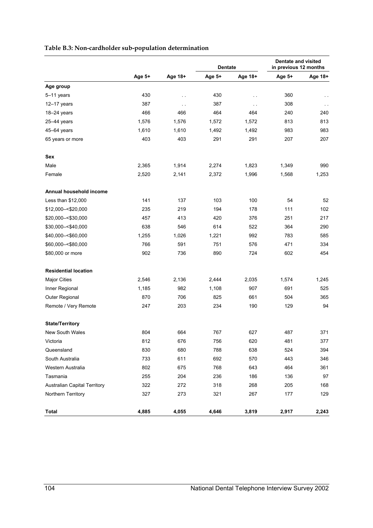|                                     | Age 5+ | Age 18+ | <b>Dentate</b> |               | <b>Dentate and visited</b><br>in previous 12 months |         |
|-------------------------------------|--------|---------|----------------|---------------|-----------------------------------------------------|---------|
|                                     |        |         | Age 5+         | Age 18+       | Age 5+                                              | Age 18+ |
| Age group                           |        |         |                |               |                                                     |         |
| 5-11 years                          | 430    | . .     | 430            | $\sim$ $\sim$ | 360                                                 |         |
| $12-17$ years                       | 387    | . .     | 387            | $\sim$ $\sim$ | 308                                                 | $\sim$  |
| $18 - 24$ years                     | 466    | 466     | 464            | 464           | 240                                                 | 240     |
| $25-44$ years                       | 1,576  | 1,576   | 1,572          | 1,572         | 813                                                 | 813     |
| 45-64 years                         | 1,610  | 1,610   | 1,492          | 1,492         | 983                                                 | 983     |
| 65 years or more                    | 403    | 403     | 291            | 291           | 207                                                 | 207     |
| Sex                                 |        |         |                |               |                                                     |         |
| Male                                | 2,365  | 1,914   | 2,274          | 1,823         | 1,349                                               | 990     |
| Female                              | 2,520  | 2,141   | 2,372          | 1,996         | 1,568                                               | 1,253   |
| Annual household income             |        |         |                |               |                                                     |         |
| Less than \$12,000                  | 141    | 137     | 103            | 100           | 54                                                  | 52      |
| \$12,000 -< \$20,000                | 235    | 219     | 194            | 178           | 111                                                 | 102     |
| \$20,000 -< \$30,000                | 457    | 413     | 420            | 376           | 251                                                 | 217     |
| \$30,000 -< \$40,000                | 638    | 546     | 614            | 522           | 364                                                 | 290     |
| \$40,000 -< \$60,000                | 1,255  | 1,026   | 1,221          | 992           | 783                                                 | 585     |
| \$60,000 -< \$80,000                | 766    | 591     | 751            | 576           | 471                                                 | 334     |
| \$80,000 or more                    | 902    | 736     | 890            | 724           | 602                                                 | 454     |
| <b>Residential location</b>         |        |         |                |               |                                                     |         |
| <b>Major Cities</b>                 | 2,546  | 2,136   | 2,444          | 2,035         | 1,574                                               | 1,245   |
| Inner Regional                      | 1,185  | 982     | 1,108          | 907           | 691                                                 | 525     |
| Outer Regional                      | 870    | 706     | 825            | 661           | 504                                                 | 365     |
| Remote / Very Remote                | 247    | 203     | 234            | 190           | 129                                                 | 94      |
| <b>State/Territory</b>              |        |         |                |               |                                                     |         |
| <b>New South Wales</b>              | 804    | 664     | 767            | 627           | 487                                                 | 371     |
| Victoria                            | 812    | 676     | 756            | 620           | 481                                                 | 377     |
| Queensland                          | 830    | 680     | 788            | 638           | 524                                                 | 394     |
| South Australia                     | 733    | 611     | 692            | 570           | 443                                                 | 346     |
| Western Australia                   | 802    | 675     | 768            | 643           | 464                                                 | 361     |
| Tasmania                            | 255    | 204     | 236            | 186           | 136                                                 | 97      |
| <b>Australian Capital Territory</b> | 322    | 272     | 318            | 268           | 205                                                 | 168     |
| Northern Territory                  | 327    | 273     | 321            | 267           | 177                                                 | 129     |
| <b>Total</b>                        | 4,885  | 4,055   | 4,646          | 3,819         | 2,917                                               | 2,243   |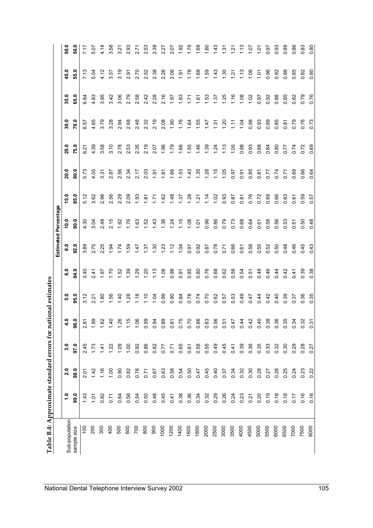|                |         |             |           |                            |      |      |               | <b>Estimated Percentage</b> |            |      |      |      |      |                |                |
|----------------|---------|-------------|-----------|----------------------------|------|------|---------------|-----------------------------|------------|------|------|------|------|----------------|----------------|
| Sub-population | ္       | 2.0         | 3.0       | 4.0                        | 5.0  | ္ဗိ  | $\frac{8}{6}$ | 10.0                        | 15.0       | 20.0 | 25.0 | 30.0 | 35.0 | 45.0           | 50.0           |
| size<br>sample | 99.0    | 98.0        | 97.0      | 96.0                       | 95.0 | 94.0 | 92.0          | 90.0                        | 85.0       | 80.0 | 75.0 | 70.0 | 65.0 | 55.0           | 50.0           |
| 100            | 1.43    | 2.01        | 2.45      |                            | 3.12 | 3.40 | 3.89          | 4.30                        | 5.12       | 5.73 | 6.21 | 6.57 | 6.84 | 7.13           | 7.17           |
| 200            | $-1.07$ | 142         | 1.73      | $2.87$<br>1.99             | 221  | 2.41 | 2.75          | 3.04                        | 3.62       | 4.05 | 4.39 | 4.65 | 4.83 | 5.04           | 5.07           |
| 300            | 0.82    | 1.16        | 141       | 1.62                       | 1.80 | 1.97 | 2.25          | 2.48                        | 2.96       | 3.31 | 3.58 | 3.79 | 3.95 | 4.12           | 4.14           |
| 400            | 0.71    | $rac{1}{2}$ | 122       | 1.40                       | 1.56 | 1.70 | 1.94          | 2.15                        | 2.56       | 2.87 | 3.10 | 3.28 | 3.42 | 3.57           | 3.58           |
| 500            | 0.64    | 0.90        | $^{00.1}$ | 1.26                       | 1.40 | 1.52 | 1.74          | 1.92                        | 2.29       | 2.56 | 2.78 | 2.94 | 3.06 | 3.19           | 3.21           |
| 600            | 0.58    | 0.82        | 001       | 1.15                       | 1.28 | 1.39 | 1.59          | 1.76                        | 2.09       | 2.34 | 2.53 | 2.68 | 2.79 | 2.91           | 2.93           |
| 700            | 0.54    | 0.76        | 0.92      | 1.06                       | 1.18 | 1.29 | 1.47          | 1.63                        | 1.93       | 2.17 | 2.35 | 2.48 | 2.58 | 2.70           | 2.71           |
| 800            | 0.50    | 0.71        | 0.86      | 0.99                       | 1.10 | 1,20 | 1.37          | $-52$                       | 1.81       | 2.03 | 2.19 | 2.32 | 2.42 | 2.52           | 2.53           |
| 900            | 0.48    | 0.67        | 0.82      | 0.94                       | 1.04 | 1.13 | 1.30          | 1.43                        | $\ddot{z}$ | 1.91 | 2.07 | 2.19 | 2.28 | 2.38           | 2.39           |
| 1000           | 0.45    | 0.63        | 0.77      | 0.89                       | 0.99 | 1.08 | 1.23          | 1.36                        | 1.62       | 1.81 | 1.96 | 2.08 | 2.16 | 2.26           | 2.27           |
| 1200           | 0.41    | 0.58        | 0.71      |                            | 0.90 | 0.98 | 1.12          | 1.24                        | 1.48       | 1.66 | 1.79 | 1.90 | 1.97 | 2.06           | 2.07           |
| 1400           | 0.38    | 0.54        | 0.65      | 81<br>0.75<br>0.66<br>0.60 | 0.84 | 0.91 | 1.04          | 1.15                        | 1.37       | 1.53 | 1.66 | 1.76 | 1.83 | 1.91           | 1.92           |
| 1600           | 0.36    | 0.50        | 0.61      |                            | 0.78 | 0.85 | 0.97          | 1.08                        | 1.28       | 1.43 | 1.55 | 1.64 | 1.71 | 1.78           | 1.79           |
| 1800           | 0.34    | 0.47        | 0.58      | 66                         | 0.74 | 0.80 | 0.92          | 1.01                        | 1.21       | 1.35 | 1.46 | 1.55 | 1.61 | 1.68           | 1.69           |
| 2000           | 0.32    | 0.45        | 0.55      | 0.63<br>0.56               | 0.70 | 0.76 | 0.87          | 0.96                        | 1.14       | 1.28 | 1.39 | 1.47 | 1,53 | 1.59           | 1.60           |
| 2500           | 0.29    | 0.40        | 0.49      |                            | 0.62 | 0.68 | 0.78          | 0.86                        | 1.02       | 1.15 | 1.24 | 1.31 | 1.37 | 1.43           | 1.43           |
| 3000           | 0.26    | 0.37        | 0.45      | 0.51                       | 0.57 | 0.62 | 0.71          | 0.79                        | 0.93       | 1.05 | 1.13 | 1.20 | 1.25 | 1.30           | $\frac{5}{1}$  |
| 3500           | 0.24    | 0.34        | 0.41      | $0.47$<br>0.44             | 0.53 | 0.58 | 0.66          | 0.73                        | 0.87       | 0.97 | 1.05 | 111  | 1.16 | $\frac{21}{2}$ | $\frac{1}{2}$  |
| 4000           | 0.23    | 0.32        | 0.39      |                            | 0.49 | 0.54 | 0.61          | 0.68                        | 0.87       | 0.91 | 0.98 | 1.04 | 1,08 | 1.13           | $\frac{3}{11}$ |
| 4500           | 0.21    | 0.30        | 0.36      | 0.42                       | 0.47 | 0.51 | 0.58          | 0.64                        | 0.76       | 0.85 | 0.93 | 0.98 | 1.02 | 1.06           | $-1.07$        |
| 5000           | 0.20    | 0.28        | 0.35      | 0.40                       | 0.44 | 0.48 | 0.55          | 0.61                        | 0.72       | 0.81 | 0.88 | 0.93 | 0.97 | 1.01           | $\frac{5}{1}$  |
| 5500           | 0.19    | 0.27        | 0.33      | 0.38<br>0.36               | 0.42 | 0.46 | 0.52          | 0.58                        | 0.69       | 0.77 | 0.84 | 0.89 | 0.92 | 0.96           | 0.97           |
| 6000           | 0.18    | 0.26        | 0.32      |                            | 0.40 | 0.44 | 0.50          | 0.56                        | 0.66       | 0.74 | 0.80 | 0.85 | 0.88 | 0.92           | 0.93           |
| 6500           | 0.18    | 0.25        | 0.30      | 0.35                       | 0.39 | 0.42 | 0.48          | 0.53                        | 0.63       | 0.71 | 0.77 | 0.81 | 0.85 | 0.88           | 0.89           |
| 7000           | 0.17    | 0.24        | 0.29      | 0.34                       | 0.37 | 0.41 | 0.46          | 0.51                        | 0.61       | 0.69 | 0.74 | 0.79 | 0.82 | 0.85           | 0.86           |
| 7500           | 0.16    | 0.23        | 0.28      | $\mathfrak{B}$<br>$\circ$  | 0.36 | 0.39 | 0.45          | 0.50                        | 0.59       | 0.66 | 0.72 | 0.76 | 0.79 | 0.82           | 0.83           |
| 8000           | 0.16    | 0.22        | 0.27      | $\tilde{\mathcal{E}}$<br>ö | 0.35 | 0.38 | 0.43          | 0.48                        | 0.57       | 0.64 | 0.69 | 0.73 | 0.76 | 0.80           | 0.80           |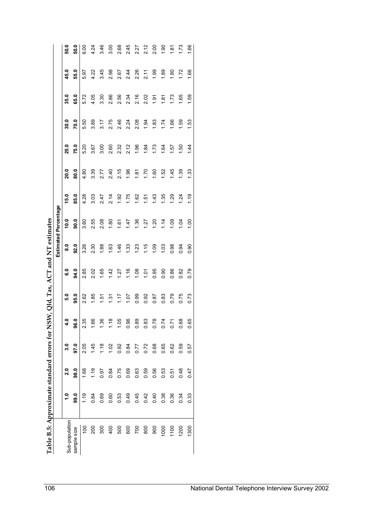|                                              | 50.0                       | 50.0        | 6.00               | 4.24                           | 3.46                 | 3.00 | 2.68 | 2.45                 | 2.27          | 2.12         | 2.00 | 1.90 | $rac{6}{1.8}$             | 1.73          | 1.66                 |
|----------------------------------------------|----------------------------|-------------|--------------------|--------------------------------|----------------------|------|------|----------------------|---------------|--------------|------|------|---------------------------|---------------|----------------------|
|                                              | ę<br>45.                   | 55.0        | 5.97               | 4.22                           | 3.45                 | 2.98 | 2.67 | 2.44                 | 2.26          | 2.11         | 1.99 | 1.89 | 80                        | .72           | 66                   |
|                                              | 35.0                       | 65.0        | 5.72               | 4.05                           | 3.30                 | 2.86 | 2.56 | 2.34                 | 2.16          | 2.02         | 1.91 | 1.81 | 1.73                      | 1.65          | 1.59                 |
|                                              | 30.0                       | 70.0        | 5.50               | 3.89                           | 3.17                 | 2.75 | 2.46 | 2.24                 | 2.08          | 1.94         | 1.83 | 1.74 | 1.66                      | 1.59          | 53                   |
|                                              | 25.0                       | 75.0        | 5.20               | 3.67                           | 3.00                 | 2.60 | 2.32 | 2.12                 | 1.96          | 1.84         | 1.73 | 1.64 | 1.57                      | 1.50          | 1.44                 |
|                                              | 20.0                       | 80.0        | 4.80               | 3.39                           | 2.77                 | 2.40 | 2.15 | 1.96                 | 181           | 1.70         | 1.60 | 1.52 | 45                        | $\ddot{3}$    | 33                   |
|                                              | 15.0                       | 85.0        | 4.28               | 3.03                           | 2.47                 | 2.14 | 1.92 | 1.75                 | 1.62          | 1.51         | 1.43 | 1.35 | 1.29                      | 1.24          | 1.19                 |
| <b>Estimated Percentage</b>                  | 10.0                       | 90.0        | 3.60               | 2.55                           | 2.08                 | 1.80 | 1.61 | 1.47                 | 1.36          | 1.27         | 1.20 | 1.14 | 1.09                      | 1.04          | 1,00                 |
| SW, Qld, Tas, ACT and NT estimates           | $\overline{\mathbf{8}}$ .0 | 92.0        | 3.26               | 2.30                           | 1.88                 | 1.63 | 1.46 | 1.33                 | 1.23          | 1.15         | 1.09 | 1.03 | 0.98                      | 0.94          | $\overline{90}$<br>Ö |
|                                              | <b>G.O</b>                 | 94.0        | 2.85               | 2.02                           | 1.65                 | 1.42 | 1.27 | 1.16                 | 1.08          | 101          | 0.95 | 0.90 | 0.86                      | 0.82          | 0.79                 |
|                                              | 5.0                        | 95.0        | 2.62               | 1.85                           | 1.51                 | 1.31 | 1.17 | 10.7                 | 0.99          | 0.92         | 0.87 | 0.83 | 0.79                      | 0.75          | 0.73                 |
|                                              | 4.0                        | ္ယ<br>ō     | 35<br>$\mathbf{N}$ | 66<br>$\overline{\phantom{0}}$ | 36<br>$\overline{ }$ | 1.18 | 1.05 | 96<br>$\ddot{\circ}$ | 89<br>$\circ$ | 0.83<br>0.78 |      | 0.74 | $\overline{z}$<br>$\circ$ | 89<br>$\circ$ | 65<br>$\circ$        |
|                                              | 3.0                        | 97.0        | 2.05               | 1.45                           | 1.18                 | 1.02 | 0.92 | 0.84                 | 0.77          | 0.72         | 0.68 | 0.65 | 0.62                      | 0.59          | 0.57                 |
|                                              | 2.0                        | 98.0        | 1.68               | 1.19                           | 0.97                 | 0.84 | 0.75 | 0.69                 | 0.63          | 0.59         | 0.56 | 0.53 | 0.51                      | 0.48          | 0.47                 |
|                                              | $\ddot{ }$                 | 99.0        | 1.19               | 0.84                           | 0.69                 | 0.60 | 0.53 | 0.49                 | 0.45          | 0.42         | 0.40 | 0.38 | 0.36                      | 0.34          | 0.33                 |
| Table B.5: Approximate standard errors for N | Sub-population             | sample size | $\frac{100}{2}$    | 200                            | 300                  | 400  | 500  | 600                  | 700           | 800          | 900  | 1000 | 1100                      | 1200          | 1300                 |

| <br> <br>                                                                                                           |  |
|---------------------------------------------------------------------------------------------------------------------|--|
| $\frac{1}{2}$                                                                                                       |  |
|                                                                                                                     |  |
|                                                                                                                     |  |
| ֧֚֝֟֝֬<br>֧֚֚֚֚֚֚֚֚֚֚֚֚֚֚֚֚֚֚֚֝֝֝֝֝֝֝֝֬֝<br>֧֧֪֪֖֪֖֪֪֪֧֪֪֪֪֪֪֪֪֪֪֪֪֪֪֪֪֪֚֚֚֚֚֚֚֝֟֓֬֝֓֬֝֬֝֬֝֬֝֬֝֬֝֬֝֬֝֬֝֬֝֬֝֬֝֬<br>i |  |
| ॄ                                                                                                                   |  |
| ֕                                                                                                                   |  |
| I                                                                                                                   |  |
| ֖֖֧ׅ֪ׅ֧֧֧ׅ֖֧֧֚֚֚֚֚֚֚֚֚֚֚֚֚֚֚֚֚֚֚֚֚֚֚֚֚֚֚֚֚֚֚֚֡֟֓֡֟֓֡֟֓֡֟֓֡֟֝֓֝֬֝֝֓<br>i                                             |  |